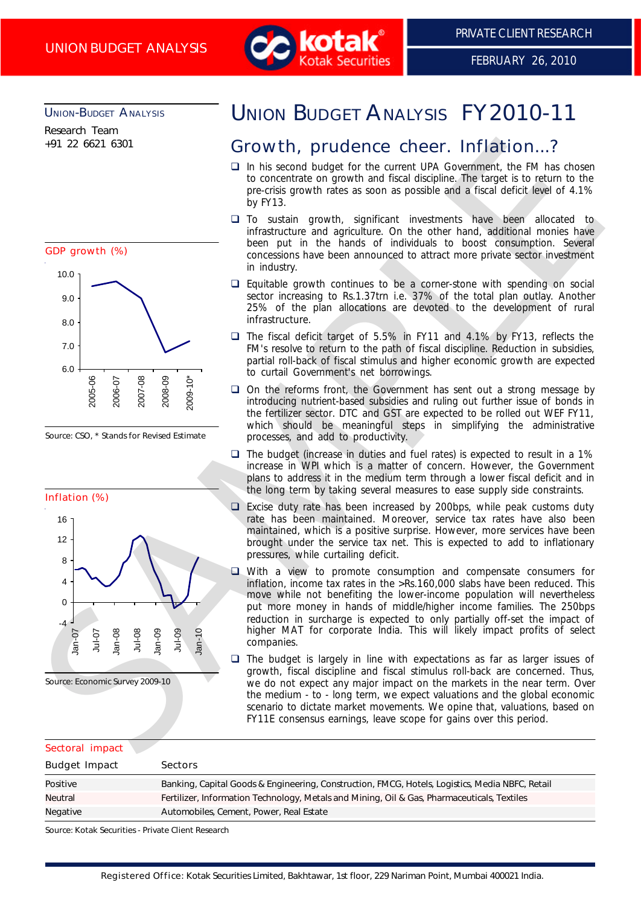

# UNION-BUDGET ANALYSIS

Research Team +91 22 6621 6301



Source: CSO, \* Stands for Revised Estimate



# UNION BUDGET ANALYSIS FY2010-11

# Growth, prudence cheer. Inflation...?

- $\Box$  In his second budget for the current UPA Government, the FM has chosen to concentrate on growth and fiscal discipline. The target is to return to the pre-crisis growth rates as soon as possible and a fiscal deficit level of 4.1% by FY13.
- $\Box$  To sustain growth, significant investments have been allocated to infrastructure and agriculture. On the other hand, additional monies have been put in the hands of individuals to boost consumption. Several concessions have been announced to attract more private sector investment in industry.
- $\Box$  Equitable growth continues to be a corner-stone with spending on social sector increasing to Rs.1.37trn i.e. 37% of the total plan outlay. Another 25% of the plan allocations are devoted to the development of rural infrastructure.
- □ The fiscal deficit target of 5.5% in FY11 and 4.1% by FY13, reflects the FM's resolve to return to the path of fiscal discipline. Reduction in subsidies, partial roll-back of fiscal stimulus and higher economic growth are expected to curtail Government's net borrowings.
- $\Box$  On the reforms front, the Government has sent out a strong message by introducing nutrient-based subsidies and ruling out further issue of bonds in the fertilizer sector. DTC and GST are expected to be rolled out WEF FY11, which should be meaningful steps in simplifying the administrative processes, and add to productivity.
- $\Box$  The budget (increase in duties and fuel rates) is expected to result in a 1% increase in WPI which is a matter of concern. However, the Government plans to address it in the medium term through a lower fiscal deficit and in the long term by taking several measures to ease supply side constraints.
- Excise duty rate has been increased by 200bps, while peak customs duty rate has been maintained. Moreover, service tax rates have also been maintained, which is a positive surprise. However, more services have been brought under the service tax net. This is expected to add to inflationary pressures, while curtailing deficit.
- $\Box$  With a view to promote consumption and compensate consumers for inflation, income tax rates in the >Rs.160,000 slabs have been reduced. This move while not benefiting the lower-income population will nevertheless put more money in hands of middle/higher income families. The 250bps reduction in surcharge is expected to only partially off-set the impact of higher MAT for corporate India. This will likely impact profits of select companies.
- $\Box$  The budget is largely in line with expectations as far as larger issues of growth, fiscal discipline and fiscal stimulus roll-back are concerned. Thus, we do not expect any major impact on the markets in the near term. Over the medium - to - long term, we expect valuations and the global economic scenario to dictate market movements. We opine that, valuations, based on FY11E consensus earnings, leave scope for gains over this period.

| Sectoral impact      |                                                                                                 |  |
|----------------------|-------------------------------------------------------------------------------------------------|--|
| <b>Budget Impact</b> | <b>Sectors</b>                                                                                  |  |
| Positive             | Banking, Capital Goods & Engineering, Construction, FMCG, Hotels, Logistics, Media NBFC, Retail |  |
| Neutral              | Fertilizer, Information Technology, Metals and Mining, Oil & Gas, Pharmaceuticals, Textiles     |  |
| Negative             | Automobiles, Cement, Power, Real Estate                                                         |  |

Source: Kotak Securities - Private Client Research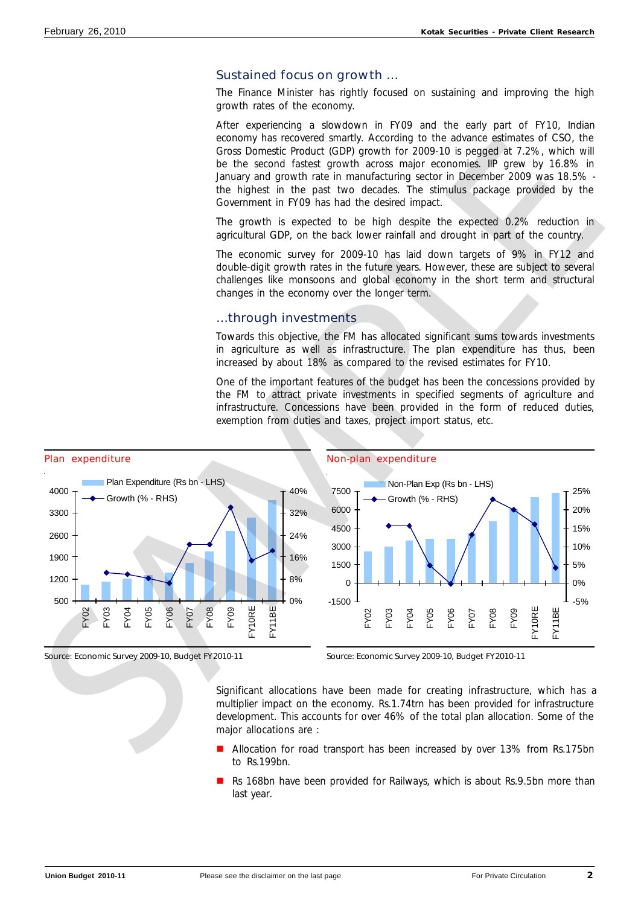# Sustained focus on growth …

The Finance Minister has rightly focused on sustaining and improving the high growth rates of the economy.

After experiencing a slowdown in FY09 and the early part of FY10, Indian economy has recovered smartly. According to the advance estimates of CSO, the Gross Domestic Product (GDP) growth for 2009-10 is pegged at 7.2%, which will be the second fastest growth across major economies. IIP grew by 16.8% in January and growth rate in manufacturing sector in December 2009 was 18.5% the highest in the past two decades. The stimulus package provided by the Government in FY09 has had the desired impact.

The growth is expected to be high despite the expected 0.2% reduction in agricultural GDP, on the back lower rainfall and drought in part of the country.

The economic survey for 2009-10 has laid down targets of 9% in FY12 and double-digit growth rates in the future years. However, these are subject to several challenges like monsoons and global economy in the short term and structural changes in the economy over the longer term.

# …through investments

Towards this objective, the FM has allocated significant sums towards investments in agriculture as well as infrastructure. The plan expenditure has thus, been increased by about 18% as compared to the revised estimates for FY10.

One of the important features of the budget has been the concessions provided by the FM to attract private investments in specified segments of agriculture and infrastructure. Concessions have been provided in the form of reduced duties, exemption from duties and taxes, project import status, etc.



Source: Economic Survey 2009-10, Budget FY2010-11





### Source: Economic Survey 2009-10, Budget FY2010-11

Significant allocations have been made for creating infrastructure, which has a multiplier impact on the economy. Rs.1.74trn has been provided for infrastructure development. This accounts for over 46% of the total plan allocation. Some of the major allocations are :

- Allocation for road transport has been increased by over 13% from Rs.175bn to Rs.199bn.
- Rs 168bn have been provided for Railways, which is about Rs.9.5bn more than last year.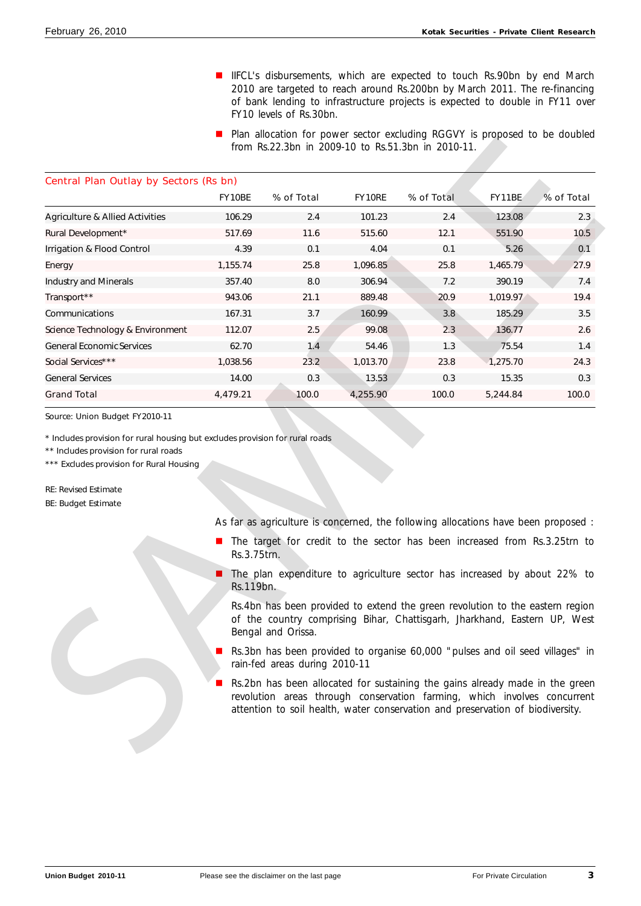- **n** IIFCL's disbursements, which are expected to touch Rs.90bn by end March 2010 are targeted to reach around Rs.200bn by March 2011. The re-financing of bank lending to infrastructure projects is expected to double in FY11 over FY10 levels of Rs.30bn.
- **n** Plan allocation for power sector excluding RGGVY is proposed to be doubled from Rs.22.3bn in 2009-10 to Rs.51.3bn in 2010-11.

| <b>Central Plan Outlay by Sectors (Rs bn)</b>                                                                                                                                                                                                                     |             |                                                                                                                                                                                  |               |            |          |            |
|-------------------------------------------------------------------------------------------------------------------------------------------------------------------------------------------------------------------------------------------------------------------|-------------|----------------------------------------------------------------------------------------------------------------------------------------------------------------------------------|---------------|------------|----------|------------|
|                                                                                                                                                                                                                                                                   | FY10BE      | % of Total                                                                                                                                                                       | <b>FY10RE</b> | % of Total | FY11BE   | % of Total |
| <b>Agriculture &amp; Allied Activities</b>                                                                                                                                                                                                                        | 106.29      | 2.4                                                                                                                                                                              | 101.23        | 2.4        | 123.08   | 2.3        |
| Rural Development*                                                                                                                                                                                                                                                | 517.69      | 11.6                                                                                                                                                                             | 515.60        | 12.1       | 551.90   | 10.5       |
| Irrigation & Flood Control                                                                                                                                                                                                                                        | 4.39        | 0.1                                                                                                                                                                              | 4.04          | 0.1        | 5.26     | 0.1        |
| Energy                                                                                                                                                                                                                                                            | 1,155.74    | 25.8                                                                                                                                                                             | 1,096.85      | 25.8       | 1,465.79 | 27.9       |
| <b>Industry and Minerals</b>                                                                                                                                                                                                                                      | 357.40      | 8.0                                                                                                                                                                              | 306.94        | 7.2        | 390.19   | 7.4        |
| Transport**                                                                                                                                                                                                                                                       | 943.06      | 21.1                                                                                                                                                                             | 889.48        | 20.9       | 1,019.97 | 19.4       |
| Communications                                                                                                                                                                                                                                                    | 167.31      | 3.7                                                                                                                                                                              | 160.99        | 3.8        | 185.29   | 3.5        |
| Science Technology & Environment                                                                                                                                                                                                                                  | 112.07      | 2.5                                                                                                                                                                              | 99.08         | 2.3        | 136.77   | 2.6        |
| <b>General Economic Services</b>                                                                                                                                                                                                                                  | 62.70       | 1.4                                                                                                                                                                              | 54.46         | 1.3        | 75.54    | 1.4        |
| Social Services***                                                                                                                                                                                                                                                | 1,038.56    | 23.2                                                                                                                                                                             | 1,013.70      | 23.8       | 1,275.70 | 24.3       |
| <b>General Services</b>                                                                                                                                                                                                                                           | 14.00       | 0.3                                                                                                                                                                              | 13.53         | 0.3        | 15.35    | 0.3        |
| <b>Grand Total</b>                                                                                                                                                                                                                                                | 4,479.21    | 100.0                                                                                                                                                                            | 4,255.90      | 100.0      | 5,244.84 | 100.0      |
|                                                                                                                                                                                                                                                                   |             |                                                                                                                                                                                  |               |            |          |            |
|                                                                                                                                                                                                                                                                   |             |                                                                                                                                                                                  |               |            |          |            |
|                                                                                                                                                                                                                                                                   |             |                                                                                                                                                                                  |               |            |          |            |
|                                                                                                                                                                                                                                                                   |             | As far as agriculture is concerned, the following allocations have been proposed :                                                                                               |               |            |          |            |
|                                                                                                                                                                                                                                                                   | Rs.3.75trn. | The target for credit to the sector has been increased from Rs.3.25trn to                                                                                                        |               |            |          |            |
|                                                                                                                                                                                                                                                                   | Rs.119bn.   | The plan expenditure to agriculture sector has increased by about 22% to                                                                                                         |               |            |          |            |
| Source: Union Budget FY2010-11<br>* Includes provision for rural housing but excludes provision for rural roads<br>** Includes provision for rural roads<br>*** Excludes provision for Rural Housing<br><b>RE: Revised Estimate</b><br><b>BE: Budget Estimate</b> |             | Rs.4bn has been provided to extend the green revolution to the eastern region<br>of the country comprising Bihar, Chattisgarh, Jharkhand, Eastern UP, West<br>Bengal and Orissa. |               |            |          |            |
|                                                                                                                                                                                                                                                                   |             | Rs.3bn has been provided to organise 60,000 "pulses and oil seed villages" in<br>rain-fed areas during 2010-11                                                                   |               |            |          |            |

- The target for credit to the sector has been increased from Rs.3.25trn to Rs.3.75trn.
- The plan expenditure to agriculture sector has increased by about 22% to Rs.119bn.

- n Rs.3bn has been provided to organise 60,000 "pulses and oil seed villages" in rain-fed areas during 2010-11
- Rs.2bn has been allocated for sustaining the gains already made in the green revolution areas through conservation farming, which involves concurrent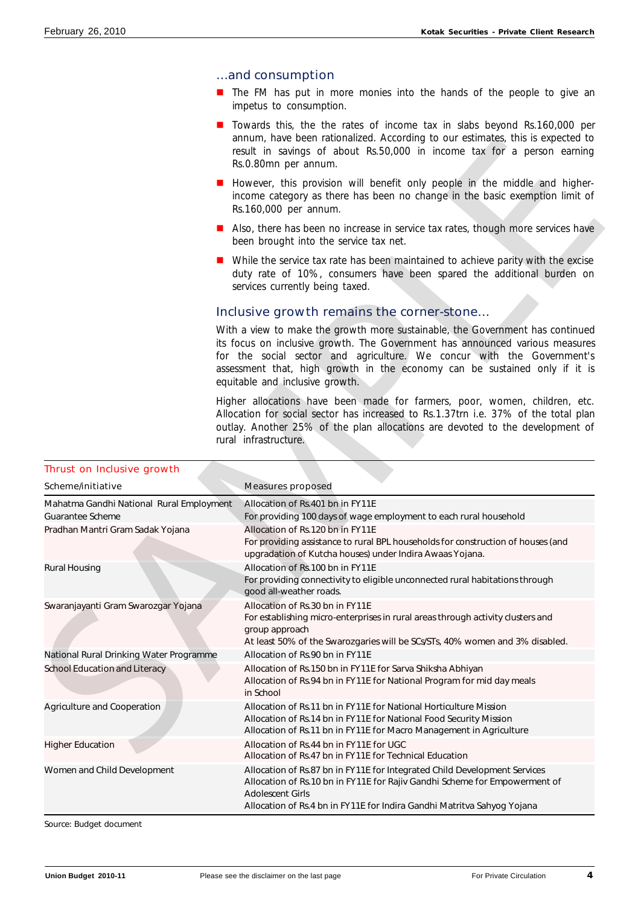### …and consumption

- $\blacksquare$  The FM has put in more monies into the hands of the people to give an impetus to consumption.
- **n** Towards this, the the rates of income tax in slabs beyond Rs.160,000 per annum, have been rationalized. According to our estimates, this is expected to result in savings of about Rs.50,000 in income tax for a person earning Rs.0.80mn per annum.
- **n** However, this provision will benefit only people in the middle and higherincome category as there has been no change in the basic exemption limit of Rs.160,000 per annum.
- Also, there has been no increase in service tax rates, though more services have been brought into the service tax net.
- **n** While the service tax rate has been maintained to achieve parity with the excise duty rate of 10%, consumers have been spared the additional burden on services currently being taxed.

# Inclusive growth remains the corner-stone…

|                                                                          | annum, have been rationalized. According to our estimates, this is expected to<br>result in savings of about Rs.50,000 in income tax for a person earning<br>Rs.0.80mn per annum.                                                                                                                                                                        |
|--------------------------------------------------------------------------|----------------------------------------------------------------------------------------------------------------------------------------------------------------------------------------------------------------------------------------------------------------------------------------------------------------------------------------------------------|
|                                                                          | However, this provision will benefit only people in the middle and higher-<br>income category as there has been no change in the basic exemption limit of<br>Rs.160,000 per annum.                                                                                                                                                                       |
|                                                                          | Also, there has been no increase in service tax rates, though more services have<br>been brought into the service tax net.                                                                                                                                                                                                                               |
|                                                                          | While the service tax rate has been maintained to achieve parity with the excise<br>duty rate of 10%, consumers have been spared the additional burden on<br>services currently being taxed.                                                                                                                                                             |
|                                                                          | Inclusive growth remains the corner-stone                                                                                                                                                                                                                                                                                                                |
|                                                                          | With a view to make the growth more sustainable, the Government has continued<br>its focus on inclusive growth. The Government has announced various measures<br>for the social sector and agriculture. We concur with the Government's<br>assessment that, high growth in the economy can be sustained only if it is<br>equitable and inclusive growth. |
|                                                                          | Higher allocations have been made for farmers, poor, women, children, etc.<br>Allocation for social sector has increased to Rs.1.37trn i.e. 37% of the total plan<br>outlay. Another 25% of the plan allocations are devoted to the development of<br>rural infrastructure.                                                                              |
| <b>Thrust on Inclusive growth</b>                                        |                                                                                                                                                                                                                                                                                                                                                          |
| Scheme/initiative                                                        | <b>Measures proposed</b>                                                                                                                                                                                                                                                                                                                                 |
| Mahatma Gandhi National Rural Employment                                 | Allocation of Rs.401 bn in FY11E                                                                                                                                                                                                                                                                                                                         |
| Guarantee Scheme                                                         | For providing 100 days of wage employment to each rural household                                                                                                                                                                                                                                                                                        |
| Pradhan Mantri Gram Sadak Yojana                                         | Allocation of Rs.120 bn in FY11E<br>For providing assistance to rural BPL households for construction of houses (and                                                                                                                                                                                                                                     |
|                                                                          |                                                                                                                                                                                                                                                                                                                                                          |
| <b>Rural Housing</b>                                                     | upgradation of Kutcha houses) under Indira Awaas Yojana.<br>Allocation of Rs.100 bn in FY11E<br>For providing connectivity to eligible unconnected rural habitations through<br>good all-weather roads.                                                                                                                                                  |
| Swaranjayanti Gram Swarozgar Yojana                                      | Allocation of Rs.30 bn in FY11E<br>For establishing micro-enterprises in rural areas through activity clusters and<br>group approach                                                                                                                                                                                                                     |
|                                                                          | At least 50% of the Swarozgaries will be SCs/STs, 40% women and 3% disabled.<br>Allocation of Rs.90 bn in FY11E                                                                                                                                                                                                                                          |
| National Rural Drinking Water Programme<br>School Education and Literacy | Allocation of Rs.150 bn in FY11E for Sarva Shiksha Abhiyan<br>Allocation of Rs.94 bn in FY11E for National Program for mid day meals<br>in School                                                                                                                                                                                                        |
| Agriculture and Cooperation                                              | Allocation of Rs.11 bn in FY11E for National Horticulture Mission<br>Allocation of Rs.14 bn in FY11E for National Food Security Mission<br>Allocation of Rs.11 bn in FY11E for Macro Management in Agriculture                                                                                                                                           |
| <b>Higher Education</b>                                                  | Allocation of Rs.44 bn in FY11E for UGC<br>Allocation of Rs.47 bn in FY11E for Technical Education                                                                                                                                                                                                                                                       |
| Women and Child Development                                              | Allocation of Rs.87 bn in FY11E for Integrated Child Development Services<br>Allocation of Rs.10 bn in FY11E for Rajiv Gandhi Scheme for Empowerment of<br><b>Adolescent Girls</b><br>Allocation of Rs.4 bn in FY11E for Indira Gandhi Matritva Sahyog Yojana                                                                                            |

# Thrust on Inclusive growth

Source: Budget document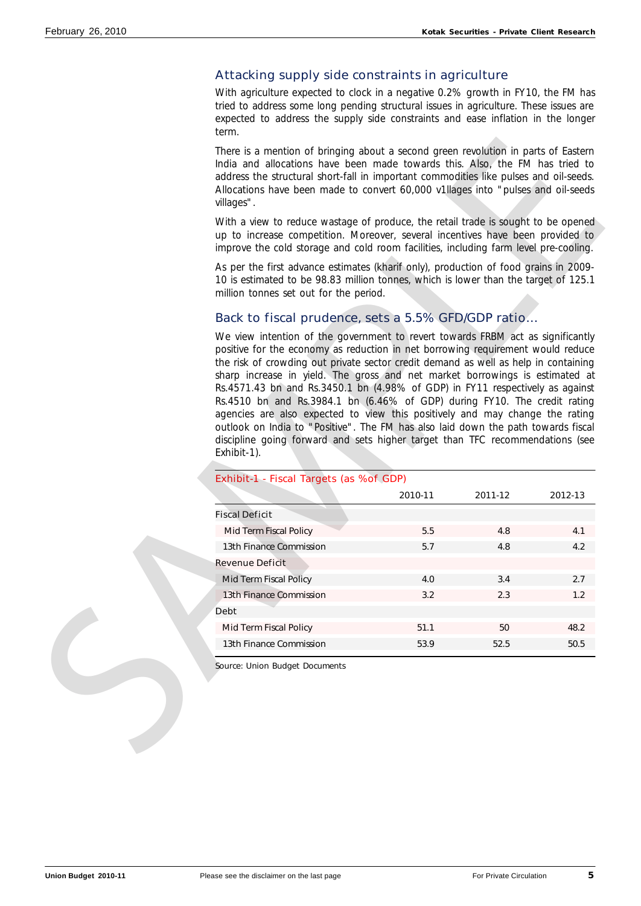# Attacking supply side constraints in agriculture

With agriculture expected to clock in a negative 0.2% growth in FY10, the FM has tried to address some long pending structural issues in agriculture. These issues are expected to address the supply side constraints and ease inflation in the longer term.

# Back to fiscal prudence, sets a 5.5% GFD/GDP ratio…

| There is a mention of bringing about a second green revolution in parts of Eastern                                                                                                                                                                                                                                                                                                                                                                                                                                                                                                      |         |         |         |
|-----------------------------------------------------------------------------------------------------------------------------------------------------------------------------------------------------------------------------------------------------------------------------------------------------------------------------------------------------------------------------------------------------------------------------------------------------------------------------------------------------------------------------------------------------------------------------------------|---------|---------|---------|
| India and allocations have been made towards this. Also, the FM has tried to<br>address the structural short-fall in important commodities like pulses and oil-seeds.<br>Allocations have been made to convert 60,000 v1llages into "pulses and oil-seeds<br>villages".                                                                                                                                                                                                                                                                                                                 |         |         |         |
| With a view to reduce wastage of produce, the retail trade is sought to be opened<br>up to increase competition. Moreover, several incentives have been provided to<br>improve the cold storage and cold room facilities, including farm level pre-cooling.                                                                                                                                                                                                                                                                                                                             |         |         |         |
| As per the first advance estimates (kharif only), production of food grains in 2009-<br>10 is estimated to be 98.83 million tonnes, which is lower than the target of 125.1<br>million tonnes set out for the period.                                                                                                                                                                                                                                                                                                                                                                   |         |         |         |
| Back to fiscal prudence, sets a 5.5% GFD/GDP ratio                                                                                                                                                                                                                                                                                                                                                                                                                                                                                                                                      |         |         |         |
| the risk of crowding out private sector credit demand as well as help in containing<br>sharp increase in yield. The gross and net market borrowings is estimated at<br>Rs.4571.43 bn and Rs.3450.1 bn (4.98% of GDP) in FY11 respectively as against<br>Rs.4510 bn and Rs.3984.1 bn (6.46% of GDP) during FY10. The credit rating<br>agencies are also expected to view this positively and may change the rating<br>outlook on India to "Positive". The FM has also laid down the path towards fiscal<br>discipline going forward and sets higher target than TFC recommendations (see |         |         |         |
| Exhibit-1).                                                                                                                                                                                                                                                                                                                                                                                                                                                                                                                                                                             |         |         |         |
| Exhibit-1 - Fiscal Targets (as %of GDP)                                                                                                                                                                                                                                                                                                                                                                                                                                                                                                                                                 | 2010-11 | 2011-12 | 2012-13 |
| <b>Fiscal Deficit</b>                                                                                                                                                                                                                                                                                                                                                                                                                                                                                                                                                                   |         |         |         |
| Mid Term Fiscal Policy                                                                                                                                                                                                                                                                                                                                                                                                                                                                                                                                                                  | 5.5     | 4.8     | 4.1     |
| 13th Finance Commission                                                                                                                                                                                                                                                                                                                                                                                                                                                                                                                                                                 | 5.7     | 4.8     | 4.2     |
| <b>Revenue Deficit</b>                                                                                                                                                                                                                                                                                                                                                                                                                                                                                                                                                                  |         |         |         |
| Mid Term Fiscal Policy                                                                                                                                                                                                                                                                                                                                                                                                                                                                                                                                                                  | 4.0     | 3.4     | 2.7     |
| 13th Finance Commission                                                                                                                                                                                                                                                                                                                                                                                                                                                                                                                                                                 | 3.2     | 2.3     | 1.2     |
|                                                                                                                                                                                                                                                                                                                                                                                                                                                                                                                                                                                         |         |         |         |
| <b>Debt</b><br>Mid Term Fiscal Policy                                                                                                                                                                                                                                                                                                                                                                                                                                                                                                                                                   | 51.1    | 50      | 48.2    |
| 13th Finance Commission                                                                                                                                                                                                                                                                                                                                                                                                                                                                                                                                                                 | 53.9    | 52.5    | 50.5    |

### Exhibit-1 - Fiscal Targets (as %of GDP)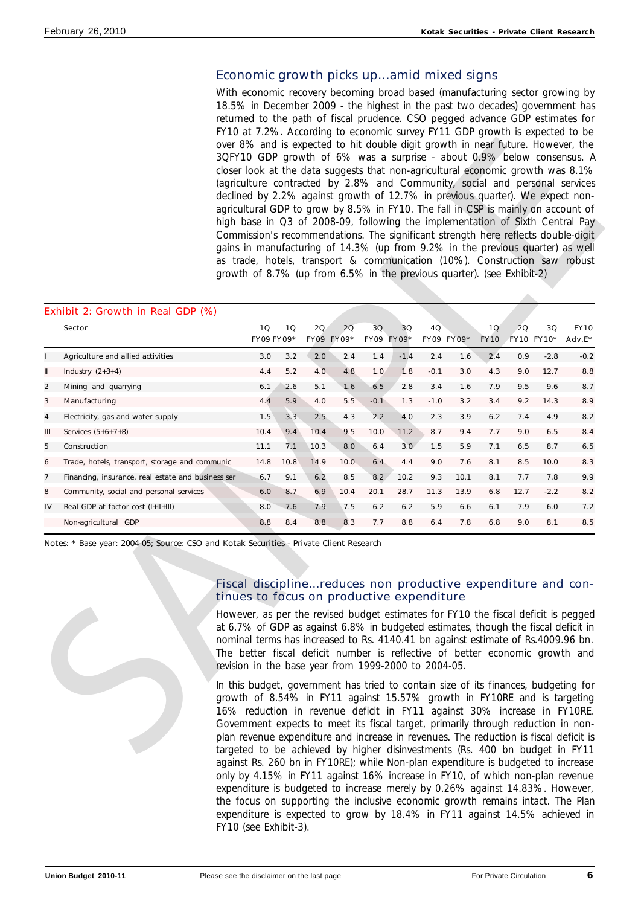# Economic growth picks up…amid mixed signs

With economic recovery becoming broad based (manufacturing sector growing by 18.5% in December 2009 - the highest in the past two decades) government has returned to the path of fiscal prudence. CSO pegged advance GDP estimates for FY10 at 7.2%. According to economic survey FY11 GDP growth is expected to be over 8% and is expected to hit double digit growth in near future. However, the 3QFY10 GDP growth of 6% was a surprise - about 0.9% below consensus. A closer look at the data suggests that non-agricultural economic growth was 8.1% (agriculture contracted by 2.8% and Community, social and personal services declined by 2.2% against growth of 12.7% in previous quarter). We expect nonagricultural GDP to grow by 8.5% in FY10. The fall in CSP is mainly on account of high base in Q3 of 2008-09, following the implementation of Sixth Central Pay Commission's recommendations. The significant strength here reflects double-digit gains in manufacturing of 14.3% (up from 9.2% in the previous quarter) as well as trade, hotels, transport & communication (10%). Construction saw robust growth of 8.7% (up from 6.5% in the previous quarter). (see Exhibit-2)

|    |                                                    | growth of 8.7% (up from 6.5% in the previous quarter). (see Exhibit-2) |      |      |            |            |        |        |            |             |      |            | 3QFY10 GDP growth of 6% was a surprise - about 0.9% below consensus. A<br>closer look at the data suggests that non-agricultural economic growth was 8.1%<br>(agriculture contracted by 2.8% and Community, social and personal services<br>declined by 2.2% against growth of 12.7% in previous quarter). We expect non-<br>agricultural GDP to grow by 8.5% in FY10. The fall in CSP is mainly on account of<br>high base in Q3 of 2008-09, following the implementation of Sixth Central Pay<br>Commission's recommendations. The significant strength here reflects double-digit<br>gains in manufacturing of 14.3% (up from 9.2% in the previous quarter) as well<br>as trade, hotels, transport & communication (10%). Construction saw robust |
|----|----------------------------------------------------|------------------------------------------------------------------------|------|------|------------|------------|--------|--------|------------|-------------|------|------------|------------------------------------------------------------------------------------------------------------------------------------------------------------------------------------------------------------------------------------------------------------------------------------------------------------------------------------------------------------------------------------------------------------------------------------------------------------------------------------------------------------------------------------------------------------------------------------------------------------------------------------------------------------------------------------------------------------------------------------------------------|
|    | Exhibit 2: Growth in Real GDP (%)<br><b>Sector</b> | 10                                                                     | 10   | 2Q   | 20         | 3Q         | 3Q     | 4Q     |            | 10          | 20   | 3Q         | <b>FY10</b>                                                                                                                                                                                                                                                                                                                                                                                                                                                                                                                                                                                                                                                                                                                                          |
|    |                                                    | <b>FY09 FY09*</b>                                                      |      |      | FY09 FY09* | FY09 FY09* |        |        | FY09 FY09* | <b>FY10</b> |      | FY10 FY10* | Adv.E*                                                                                                                                                                                                                                                                                                                                                                                                                                                                                                                                                                                                                                                                                                                                               |
|    | Agriculture and allied activities                  | 3.0                                                                    | 3.2  | 2.0  | 2.4        | 1.4        | $-1.4$ | 2.4    | 1.6        | 2.4         | 0.9  | $-2.8$     | $-0.2$                                                                                                                                                                                                                                                                                                                                                                                                                                                                                                                                                                                                                                                                                                                                               |
| Ш  | Industry $(2+3+4)$                                 | 4.4                                                                    | 5.2  | 4.0. | 4.8        | 1.0        | 1.8    | $-0.1$ | 3.0        | 4.3         | 9.0  | 12.7       | 8.8                                                                                                                                                                                                                                                                                                                                                                                                                                                                                                                                                                                                                                                                                                                                                  |
| 2  | Mining and quarrying                               | 6.1                                                                    | 2.6  | 5.1  | 1.6        | 6.5        | 2.8    | 3.4    | 1.6        | 7.9         | 9.5  | 9.6        | 8.7                                                                                                                                                                                                                                                                                                                                                                                                                                                                                                                                                                                                                                                                                                                                                  |
| 3  | Manufacturing                                      | 4.4                                                                    | 5.9  | 4.0  | 5.5        | $-0.1$     | 1.3    | $-1.0$ | 3.2        | 3.4         | 9.2  | 14.3       | 8.9                                                                                                                                                                                                                                                                                                                                                                                                                                                                                                                                                                                                                                                                                                                                                  |
| 4  | Electricity, gas and water supply                  | 1.5                                                                    | 3.3  | 2.5  | 4.3        | 2.2        | 4.0    | 2.3    | 3.9        | 6.2         | 7.4  | 4.9        | 8.2                                                                                                                                                                                                                                                                                                                                                                                                                                                                                                                                                                                                                                                                                                                                                  |
| Ш  | Services $(5+6+7+8)$                               | 10.4                                                                   | 9.4  | 10.4 | 9.5        | 10.0       | 11.2   | 8.7    | 9.4        | 7.7         | 9.0  | 6.5        | 8.4                                                                                                                                                                                                                                                                                                                                                                                                                                                                                                                                                                                                                                                                                                                                                  |
| 5  | Construction                                       | 11.1                                                                   | 7.1  | 10.3 | 8.0        | 6.4        | 3.0    | 1.5    | 5.9        | 7.1         | 6.5  | 8.7        | 6.5                                                                                                                                                                                                                                                                                                                                                                                                                                                                                                                                                                                                                                                                                                                                                  |
| 6  | Trade, hotels, transport, storage and communic     | 14.8                                                                   | 10.8 | 14.9 | 10.0       | 6.4        | 4.4    | 9.0    | 7.6        | 8.1         | 8.5  | 10.0       | 8.3                                                                                                                                                                                                                                                                                                                                                                                                                                                                                                                                                                                                                                                                                                                                                  |
| 7  | Financing, insurance, real estate and business ser | 6.7                                                                    | 9.1  | 6.2  | 8.5        | 8.2        | 10.2   | 9.3    | 10.1       | 8.1         | 7.7  | 7.8        | 9.9                                                                                                                                                                                                                                                                                                                                                                                                                                                                                                                                                                                                                                                                                                                                                  |
| 8  | Community, social and personal services            | 6.0                                                                    | 8.7  | 6.9  | 10.4       | 20.1       | 28.7   | 11.3   | 13.9       | 6.8         | 12.7 | $-2.2$     | 8.2                                                                                                                                                                                                                                                                                                                                                                                                                                                                                                                                                                                                                                                                                                                                                  |
| IV | Real GDP at factor cost (I+II+III)                 | 8.0                                                                    | 7.6  | 7.9  | 7.5        | 6.2        | 6.2    | 5.9    | 6.6        | 6.1         | 7.9  | 6.0        | 7.2                                                                                                                                                                                                                                                                                                                                                                                                                                                                                                                                                                                                                                                                                                                                                  |
|    | Non-agricultural GDP                               | 8.8                                                                    | 8.4  | 8.8  | 8.3        | 7.7        | 8.8    | 6.4    | 7.8        | 6.8         | 9.0  | 8.1        | 8.5                                                                                                                                                                                                                                                                                                                                                                                                                                                                                                                                                                                                                                                                                                                                                  |

# Fiscal discipline…reduces non productive expenditure and continues to focus on productive expenditure

In this budget, government has tried to contain size of its finances, budgeting for growth of 8.54% in FY11 against 15.57% growth in FY10RE and is targeting 16% reduction in revenue deficit in FY11 against 30% increase in FY10RE. Government expects to meet its fiscal target, primarily through reduction in nonplan revenue expenditure and increase in revenues. The reduction is fiscal deficit is targeted to be achieved by higher disinvestments (Rs. 400 bn budget in FY11 against Rs. 260 bn in FY10RE); while Non-plan expenditure is budgeted to increase only by 4.15% in FY11 against 16% increase in FY10, of which non-plan revenue expenditure is budgeted to increase merely by 0.26% against 14.83%. However, the focus on supporting the inclusive economic growth remains intact. The Plan expenditure is expected to grow by 18.4% in FY11 against 14.5% achieved in FY10 (see Exhibit-3).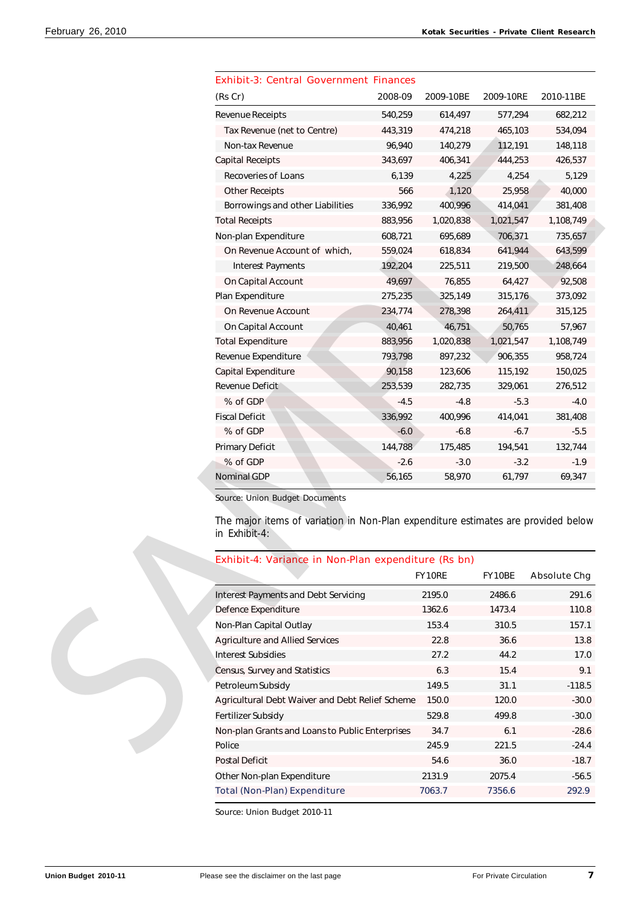| <b>Exhibit-3: Central Government Finances</b><br>(Rs Cr)                                                                             | 2008-09 | 2009-10BE | 2009-10RE | 2010-11BE                                |
|--------------------------------------------------------------------------------------------------------------------------------------|---------|-----------|-----------|------------------------------------------|
| Revenue Receipts                                                                                                                     | 540,259 | 614,497   | 577,294   | 682,212                                  |
| Tax Revenue (net to Centre)                                                                                                          | 443,319 | 474,218   | 465,103   | 534,094                                  |
| Non-tax Revenue                                                                                                                      | 96,940  | 140,279   | 112,191   | 148,118                                  |
| <b>Capital Receipts</b>                                                                                                              | 343,697 | 406,341   | 444,253   | 426,537                                  |
| Recoveries of Loans                                                                                                                  | 6,139   | 4,225     | 4,254     | 5,129                                    |
| <b>Other Receipts</b>                                                                                                                | 566     | 1,120     | 25,958    | 40,000                                   |
| Borrowings and other Liabilities                                                                                                     | 336,992 | 400,996   | 414,041   | 381,408                                  |
|                                                                                                                                      |         |           |           |                                          |
| <b>Total Receipts</b>                                                                                                                | 883,956 | 1,020,838 | 1,021,547 | 1,108,749                                |
| Non-plan Expenditure                                                                                                                 | 608,721 | 695,689   | 706,371   | 735,657                                  |
| On Revenue Account of which,                                                                                                         | 559,024 | 618,834   | 641,944   | 643,599                                  |
| <b>Interest Payments</b>                                                                                                             | 192,204 | 225,511   | 219,500   | 248,664                                  |
| On Capital Account                                                                                                                   | 49,697  | 76,855    | 64,427    | 92,508                                   |
| Plan Expenditure                                                                                                                     | 275,235 | 325,149   | 315,176   | 373,092                                  |
| On Revenue Account                                                                                                                   | 234,774 | 278,398   | 264,411   | 315,125                                  |
| On Capital Account                                                                                                                   | 40,461  | 46,751    | 50,765    | 57,967                                   |
| <b>Total Expenditure</b>                                                                                                             | 883,956 | 1,020,838 | 1,021,547 | 1,108,749                                |
| Revenue Expenditure                                                                                                                  | 793,798 | 897,232   | 906,355   | 958,724                                  |
| Capital Expenditure                                                                                                                  | 90,158  | 123,606   | 115,192   | 150,025                                  |
| Revenue Deficit                                                                                                                      | 253,539 | 282,735   | 329,061   | 276,512                                  |
| % of GDP                                                                                                                             | $-4.5$  | $-4.8$    | $-5.3$    | $-4.0$                                   |
| <b>Fiscal Deficit</b>                                                                                                                | 336,992 | 400,996   | 414,041   | 381,408                                  |
| % of GDP                                                                                                                             | $-6.0$  | $-6.8$    | $-6.7$    | $-5.5$                                   |
| <b>Primary Deficit</b>                                                                                                               | 144,788 | 175,485   | 194,541   | 132,744                                  |
| % of GDP                                                                                                                             | $-2.6$  | $-3.0$    | $-3.2$    | $-1.9$                                   |
| <b>Nominal GDP</b>                                                                                                                   | 56,165  | 58,970    | 61,797    | 69,347                                   |
| Source: Union Budget Documents<br>The major items of variation in Non-Plan expenditure estimates are provided below<br>in Exhibit-4: |         |           |           |                                          |
| Exhibit-4: Variance in Non-Plan expenditure (Rs bn)                                                                                  |         |           |           |                                          |
|                                                                                                                                      |         | FY10RE    | FY10BE    | <b>Absolute Chg</b>                      |
|                                                                                                                                      |         |           |           |                                          |
| <b>Interest Payments and Debt Servicing</b>                                                                                          |         | 2195.0    | 2486.6    |                                          |
| Defence Expenditure                                                                                                                  |         | 1362.6    | 1473.4    | 291.6<br>110.8                           |
| Non-Plan Capital Outlay                                                                                                              |         | 153.4     | 310.5     |                                          |
| <b>Agriculture and Allied Services</b>                                                                                               |         | 22.8      | 36.6      |                                          |
| <b>Interest Subsidies</b>                                                                                                            |         | 27.2      | 44.2      |                                          |
| Census, Survey and Statistics                                                                                                        |         | $6.3\,$   | 15.4      |                                          |
| Petroleum Subsidy                                                                                                                    |         | 149.5     | 31.1      | 157.1<br>13.8<br>17.0<br>9.1<br>$-118.5$ |
| Agricultural Debt Waiver and Debt Relief Scheme                                                                                      |         | 150.0     | 120.0     | $-30.0$                                  |
| Fertilizer Subsidy                                                                                                                   |         | 529.8     | 499.8     | $-30.0$                                  |
| Non-plan Grants and Loans to Public Enterprises                                                                                      |         | 34.7      | 6.1       | $-28.6$                                  |
| Police                                                                                                                               |         | 245.9     | 221.5     | $-24.4$                                  |

|  | <b>Exhibit-3: Central Government Finances</b> |  |
|--|-----------------------------------------------|--|
|  |                                               |  |

| Exhibit-4: Variance in Non-Plan expenditure (Rs bn) |               |        |                     |
|-----------------------------------------------------|---------------|--------|---------------------|
|                                                     | <b>FY10RE</b> | FY10BE | <b>Absolute Chg</b> |
| <b>Interest Payments and Debt Servicing</b>         | 2195.0        | 2486.6 | 291.6               |
| Defence Expenditure                                 | 1362.6        | 1473.4 | 110.8               |
| Non-Plan Capital Outlay                             | 153.4         | 310.5  | 157.1               |
| <b>Agriculture and Allied Services</b>              | 22.8          | 36.6   | 13.8                |
| Interest Subsidies                                  | 27.2          | 44.2   | 17.0                |
| Census, Survey and Statistics                       | 6.3           | 15.4   | 9.1                 |
| Petroleum Subsidy                                   | 149.5         | 31.1   | $-118.5$            |
| Agricultural Debt Waiver and Debt Relief Scheme     | 150.0         | 120.0  | $-30.0$             |
| <b>Fertilizer Subsidy</b>                           | 529.8         | 499.8  | $-30.0$             |
| Non-plan Grants and Loans to Public Enterprises     | 34.7          | 6.1    | $-28.6$             |
| Police                                              | 245.9         | 221.5  | $-24.4$             |
| <b>Postal Deficit</b>                               | 54.6          | 36.0   | $-18.7$             |
| Other Non-plan Expenditure                          | 2131.9        | 2075.4 | $-56.5$             |
| <b>Total (Non-Plan) Expenditure</b>                 | 7063.7        | 7356.6 | 292.9               |
|                                                     |               |        |                     |

Source: Union Budget 2010-11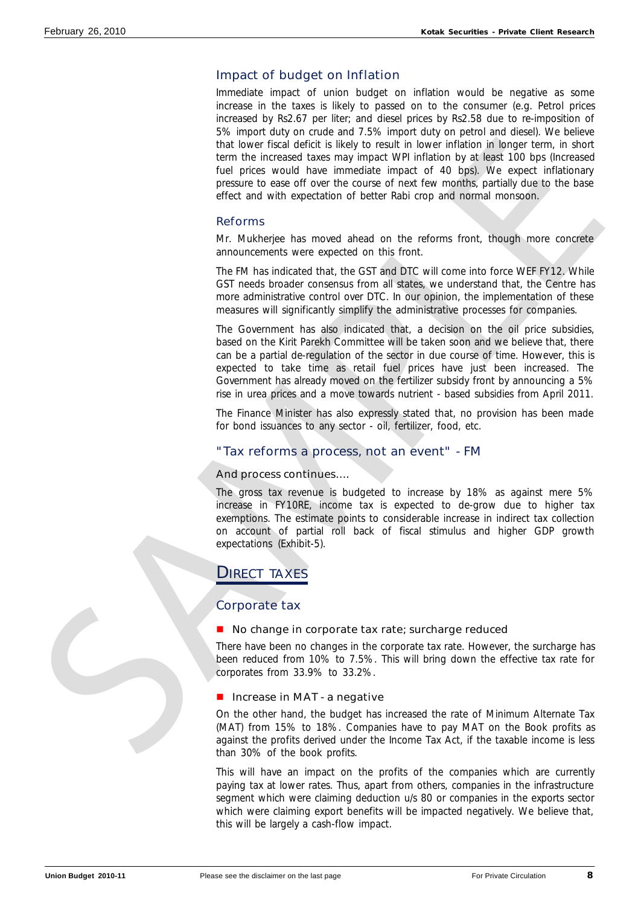# Impact of budget on Inflation

Immediate impact of union budget on inflation would be negative as some increase in the taxes is likely to passed on to the consumer (e.g. Petrol prices increased by Rs2.67 per liter; and diesel prices by Rs2.58 due to re-imposition of 5% import duty on crude and 7.5% import duty on petrol and diesel). We believe that lower fiscal deficit is likely to result in lower inflation in longer term, in short term the increased taxes may impact WPI inflation by at least 100 bps (Increased fuel prices would have immediate impact of 40 bps). We expect inflationary pressure to ease off over the course of next few months, partially due to the base effect and with expectation of better Rabi crop and normal monsoon.

# Reforms

Mr. Mukherjee has moved ahead on the reforms front, though more concrete announcements were expected on this front.

The FM has indicated that, the GST and DTC will come into force WEF FY12. While GST needs broader consensus from all states, we understand that, the Centre has more administrative control over DTC. In our opinion, the implementation of these measures will significantly simplify the administrative processes for companies.

The Government has also indicated that, a decision on the oil price subsidies, based on the Kirit Parekh Committee will be taken soon and we believe that, there can be a partial de-regulation of the sector in due course of time. However, this is expected to take time as retail fuel prices have just been increased. The Government has already moved on the fertilizer subsidy front by announcing a 5% rise in urea prices and a move towards nutrient - based subsidies from April 2011. That lower from denticine their theory is most in lower from those from the paper term, in once the increased that we method in the case of the second the method in the method in the method in the method paper in the case

The Finance Minister has also expressly stated that, no provision has been made for bond issuances to any sector - oil, fertilizer, food, etc.

# "Tax reforms a process, not an event" - FM

# And process continues….

The gross tax revenue is budgeted to increase by 18% as against mere 5% increase in FY10RE, income tax is expected to de-grow due to higher tax exemptions. The estimate points to considerable increase in indirect tax collection on account of partial roll back of fiscal stimulus and higher GDP growth expectations (Exhibit-5).

# **DIRECT TAXES**

# Corporate tax

# $\blacksquare$  No change in corporate tax rate; surcharge reduced

There have been no changes in the corporate tax rate. However, the surcharge has been reduced from 10% to 7.5%. This will bring down the effective tax rate for corporates from 33.9% to 33.2%.

# $\blacksquare$  Increase in MAT - a negative

On the other hand, the budget has increased the rate of Minimum Alternate Tax (MAT) from 15% to 18%. Companies have to pay MAT on the Book profits as against the profits derived under the Income Tax Act, if the taxable income is less than 30% of the book profits.

This will have an impact on the profits of the companies which are currently paying tax at lower rates. Thus, apart from others, companies in the infrastructure segment which were claiming deduction u/s 80 or companies in the exports sector which were claiming export benefits will be impacted negatively. We believe that, this will be largely a cash-flow impact.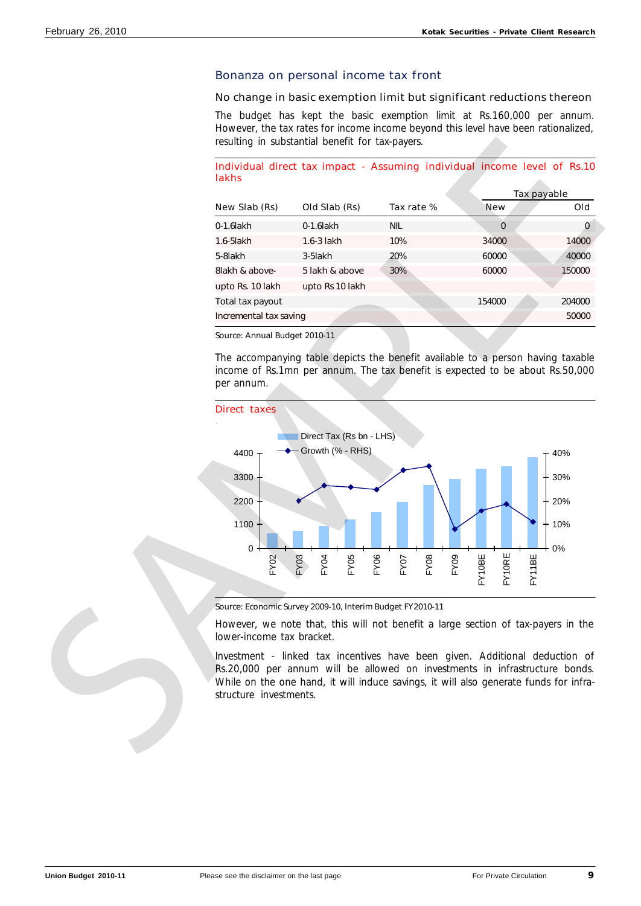# Bonanza on personal income tax front

### No change in basic exemption limit but significant reductions thereon

The budget has kept the basic exemption limit at Rs.160,000 per annum. However, the tax rates for income income beyond this level have been rationalized, resulting in substantial benefit for tax-payers.

### Individual direct tax impact - Assuming individual income level of Rs.10 lakhs

| <b>New</b><br>Tax rate % | Old    |
|--------------------------|--------|
|                          |        |
| 0                        | 0      |
| 34000                    | 14000  |
| 60000                    | 40000  |
| 60000                    | 150000 |
|                          |        |
| 154000                   | 204000 |
|                          | 50000  |
|                          |        |

Source: Annual Budget 2010-11

The accompanying table depicts the benefit available to a person having taxable income of Rs.1mn per annum. The tax benefit is expected to be about Rs.50,000 per annum.



Source: Economic Survey 2009-10, lnterim Budget FY2010-11

However, we note that, this will not benefit a large section of tax-payers in the lower-income tax bracket.

Investment - linked tax incentives have been given. Additional deduction of Rs.20,000 per annum will be allowed on investments in infrastructure bonds. While on the one hand, it will induce savings, it will also generate funds for infra-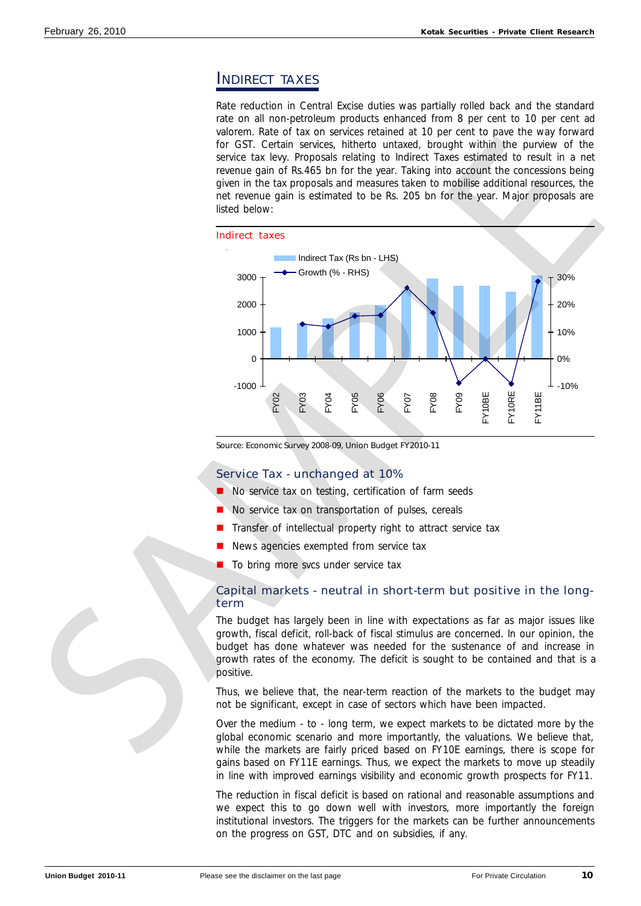# INDIRECT TAXES

Rate reduction in Central Excise duties was partially rolled back and the standard rate on all non-petroleum products enhanced from 8 per cent to 10 per cent ad valorem. Rate of tax on services retained at 10 per cent to pave the way forward for GST. Certain services, hitherto untaxed, brought within the purview of the service tax levy. Proposals relating to Indirect Taxes estimated to result in a net revenue gain of Rs.465 bn for the year. Taking into account the concessions being given in the tax proposals and measures taken to mobilise additional resources, the net revenue gain is estimated to be Rs. 205 bn for the year. Major proposals are listed below:



Source: Economic Survey 2008-09, Union Budget FY2010-11

# Service Tax - unchanged at 10%

- n No service tax on testing, certification of farm seeds
- No service tax on transportation of pulses, cereals
- Transfer of intellectual property right to attract service tax
- News agencies exempted from service tax
- To bring more svcs under service tax

# Capital markets - neutral in short-term but positive in the longterm

The budget has largely been in line with expectations as far as major issues like growth, fiscal deficit, roll-back of fiscal stimulus are concerned. In our opinion, the budget has done whatever was needed for the sustenance of and increase in growth rates of the economy. The deficit is sought to be contained and that is a positive.

Thus, we believe that, the near-term reaction of the markets to the budget may not be significant, except in case of sectors which have been impacted.

Over the medium - to - long term, we expect markets to be dictated more by the global economic scenario and more importantly, the valuations. We believe that, while the markets are fairly priced based on FY10E earnings, there is scope for gains based on FY11E earnings. Thus, we expect the markets to move up steadily in line with improved earnings visibility and economic growth prospects for FY11.

The reduction in fiscal deficit is based on rational and reasonable assumptions and we expect this to go down well with investors, more importantly the foreign institutional investors. The triggers for the markets can be further announcements on the progress on GST, DTC and on subsidies, if any.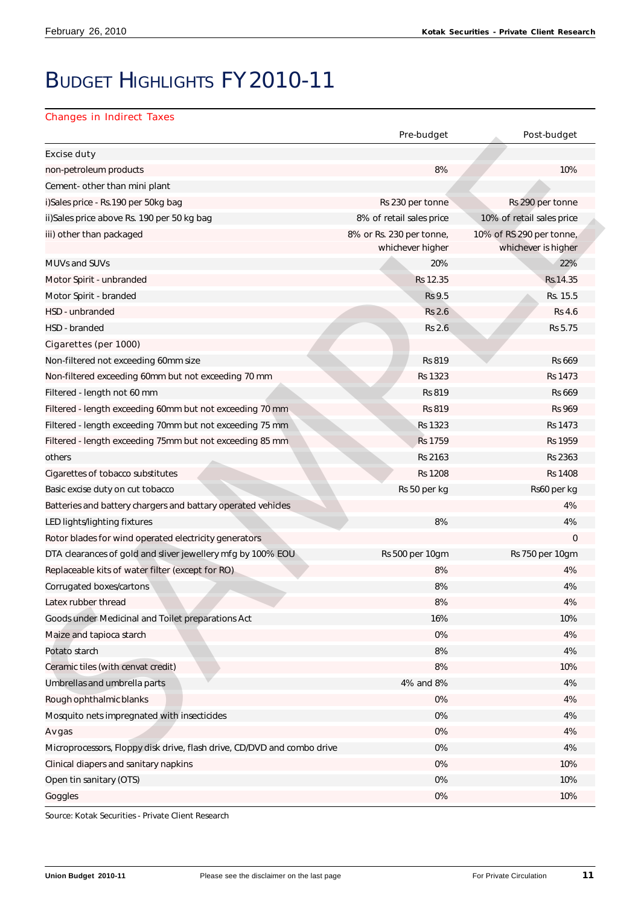# BUDGET HIGHLIGHTS FY2010-11

# Changes in Indirect Taxes

|                                                                         | Pre-budget                                   | Post-budget                                     |
|-------------------------------------------------------------------------|----------------------------------------------|-------------------------------------------------|
| <b>Excise duty</b>                                                      |                                              |                                                 |
| non-petroleum products                                                  | 8%                                           | 10%                                             |
| Cement- other than mini plant                                           |                                              |                                                 |
| i)Sales price - Rs.190 per 50kg bag                                     | Rs 230 per tonne                             | Rs 290 per tonne                                |
| ii)Sales price above Rs. 190 per 50 kg bag                              | 8% of retail sales price                     | 10% of retail sales price                       |
| iii) other than packaged                                                | 8% or Rs. 230 per tonne,<br>whichever higher | 10% of RS 290 per tonne,<br>whichever is higher |
| <b>MUVs and SUVs</b>                                                    | 20%                                          | 22%                                             |
| Motor Spirit - unbranded                                                | Rs 12.35                                     | Rs.14.35                                        |
| Motor Spirit - branded                                                  | Rs 9.5                                       | Rs. 15.5                                        |
| HSD - unbranded                                                         | <b>Rs 2.6</b>                                | <b>Rs 4.6</b>                                   |
| HSD - branded                                                           | <b>Rs 2.6</b>                                | Rs 5.75                                         |
| Cigarettes (per 1000)                                                   |                                              |                                                 |
| Non-filtered not exceeding 60mm size                                    | <b>Rs 819</b>                                | <b>Rs 669</b>                                   |
| Non-filtered exceeding 60mm but not exceeding 70 mm                     | Rs 1323                                      | <b>Rs 1473</b>                                  |
| Filtered - length not 60 mm                                             | <b>Rs 819</b>                                | Rs 669                                          |
| Filtered - length exceeding 60mm but not exceeding 70 mm                | <b>Rs 819</b>                                | <b>Rs 969</b>                                   |
| Filtered - length exceeding 70mm but not exceeding 75 mm                | Rs 1323                                      | Rs 1473                                         |
| Filtered - length exceeding 75mm but not exceeding 85 mm                | Rs 1759                                      | <b>Rs 1959</b>                                  |
| others                                                                  | Rs 2163                                      | Rs 2363                                         |
| Cigarettes of tobacco substitutes                                       | <b>Rs 1208</b>                               | <b>Rs 1408</b>                                  |
| Basic excise duty on cut tobacco                                        | Rs 50 per kg                                 | Rs60 per kg                                     |
| Batteries and battery chargers and battary operated vehicles            |                                              | 4%                                              |
| LED lights/lighting fixtures                                            | 8%                                           | 4%                                              |
| Rotor blades for wind operated electricity generators                   |                                              | $\mathbf 0$                                     |
| DTA clearances of gold and sliver jewellery mfg by 100% EOU             | Rs 500 per 10gm                              | Rs 750 per 10gm                                 |
| Replaceable kits of water filter (except for RO)                        | 8%                                           | 4%                                              |
| Corrugated boxes/cartons                                                | 8%                                           | 4%                                              |
| Latex rubber thread                                                     | 8%                                           | 4%                                              |
| Goods under Medicinal and Toilet preparations Act                       | 16%                                          | 10%                                             |
| Maize and tapioca starch                                                | 0%                                           | 4%                                              |
| Potato starch                                                           | $8\%$                                        | 4%                                              |
| Ceramic tiles (with cenvat credit)                                      | 8%                                           | 10%                                             |
| Umbrellas and umbrella parts                                            | 4% and 8%                                    | 4%                                              |
| Rough ophthalmic blanks                                                 | 0%                                           | 4%                                              |
| Mosquito nets impregnated with insecticides                             | $0\%$                                        | 4%                                              |
| Av gas                                                                  | 0%                                           | 4%                                              |
| Microprocessors, Floppy disk drive, flash drive, CD/DVD and combo drive | $0\%$                                        | 4%                                              |
| Clinical diapers and sanitary napkins                                   | 0%                                           | 10%                                             |
| Open tin sanitary (OTS)                                                 | $0\%$                                        | 10%                                             |
| Goggles                                                                 | 0%                                           | 10%                                             |

Source: Kotak Securities - Private Client Research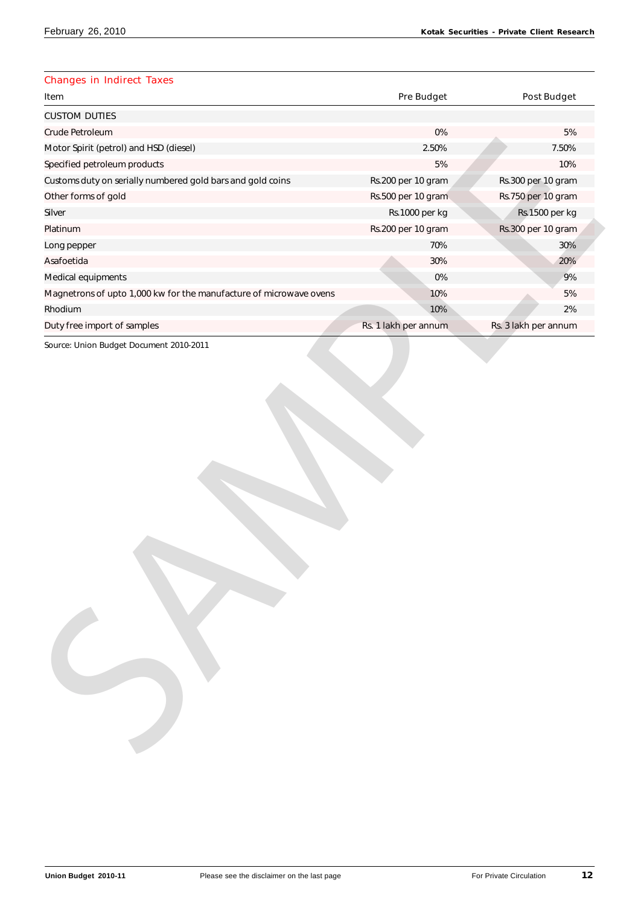# Changes in Indirect Taxes

| Item                                                               | <b>Pre Budget</b>    | <b>Post Budget</b>   |
|--------------------------------------------------------------------|----------------------|----------------------|
| <b>CUSTOM DUTIES</b>                                               |                      |                      |
| Crude Petroleum                                                    | $0\%$                | 5%                   |
| Motor Spirit (petrol) and HSD (diesel)                             | 2.50%                | 7.50%                |
| Specified petroleum products                                       | $5\%$                | 10%                  |
| Customs duty on serially numbered gold bars and gold coins         | Rs.200 per 10 gram   | Rs.300 per 10 gram   |
| Other forms of gold                                                | Rs.500 per 10 gram   | Rs.750 per 10 gram   |
| Silver                                                             | Rs.1000 per kg       | Rs.1500 per kg       |
| Platinum                                                           | Rs.200 per 10 gram   | Rs.300 per 10 gram   |
| Long pepper                                                        | 70%                  | 30%                  |
| Asafoetida                                                         | 30%                  | 20%                  |
| Medical equipments                                                 | $0\%$                | 9%                   |
| Magnetrons of upto 1,000 kw for the manufacture of microwave ovens | 10%                  | 5%                   |
| Rhodium                                                            | 10%                  | 2%                   |
| Duty free import of samples                                        | Rs. 1 lakh per annum | Rs. 3 lakh per annum |
|                                                                    |                      |                      |
|                                                                    |                      |                      |
|                                                                    |                      |                      |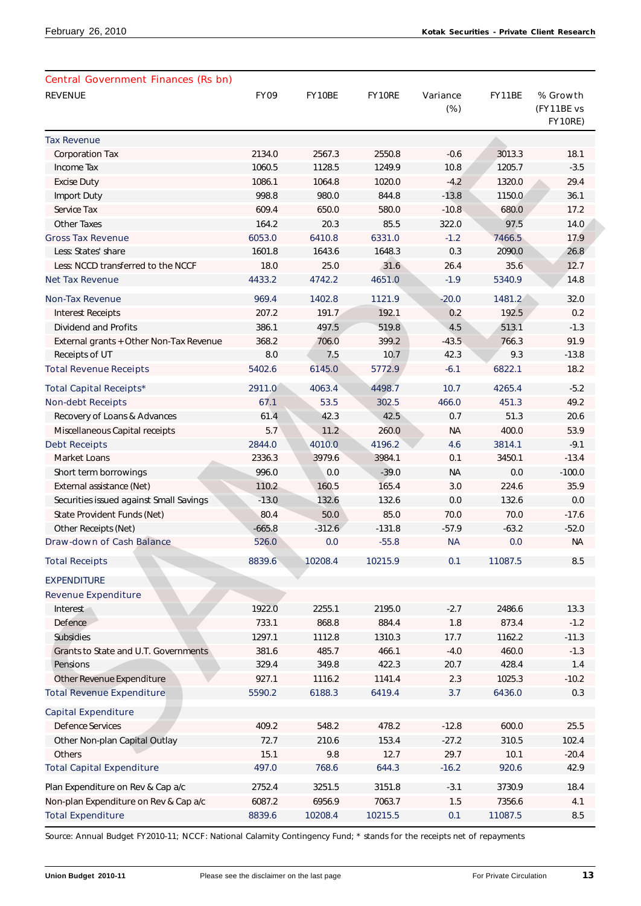| <b>REVENUE</b>                          | <b>FY09</b> | FY10BE   | FY10RE   | Variance<br>$(\%)$ | FY11BE  | % Growth<br>(FY11BE vs<br>FY10RE) |
|-----------------------------------------|-------------|----------|----------|--------------------|---------|-----------------------------------|
| <b>Tax Revenue</b>                      |             |          |          |                    |         |                                   |
| <b>Corporation Tax</b>                  | 2134.0      | 2567.3   | 2550.8   | $-0.6$             | 3013.3  | 18.1                              |
| Income Tax                              | 1060.5      | 1128.5   | 1249.9   | 10.8               | 1205.7  | $-3.5$                            |
| <b>Excise Duty</b>                      | 1086.1      | 1064.8   | 1020.0   | $-4.2$             | 1320.0  | 29.4                              |
| Import Duty                             | 998.8       | 980.0    | 844.8    | $-13.8$            | 1150.0  | 36.1                              |
| Service Tax                             | 609.4       | 650.0    | 580.0    | $-10.8$            | 680.0   | 17.2                              |
| <b>Other Taxes</b>                      | 164.2       | 20.3     | 85.5     | 322.0              | 97.5    | 14.0                              |
| <b>Gross Tax Revenue</b>                | 6053.0      | 6410.8   | 6331.0   | $-1.2$             | 7466.5  | 17.9                              |
| Less: States' share                     | 1601.8      | 1643.6   | 1648.3   | 0.3                | 2090.0  | 26.8                              |
| Less: NCCD transferred to the NCCF      | 18.0        | 25.0     | 31.6     | 26.4               | 35.6    | 12.7                              |
| <b>Net Tax Revenue</b>                  | 4433.2      | 4742.2   | 4651.0   | $-1.9$             | 5340.9  | 14.8                              |
| <b>Non-Tax Revenue</b>                  | 969.4       | 1402.8   | 1121.9   | $-20.0$            | 1481.2  | 32.0                              |
| <b>Interest Receipts</b>                | 207.2       | 191.7    | 192.1    | 0.2                | 192.5   | 0.2                               |
| <b>Dividend and Profits</b>             | 386.1       | 497.5    | 519.8    | 4.5                | 513.1   | $-1.3$                            |
| External grants + Other Non-Tax Revenue | 368.2       | 706.0    | 399.2    | $-43.5$            | 766.3   | 91.9                              |
| Receipts of UT                          | 8.0         | 7.5      | 10.7     | 42.3               | 9.3     | $-13.8$                           |
| <b>Total Revenue Receipts</b>           | 5402.6      | 6145.0   | 5772.9   | $-6.1$             | 6822.1  | 18.2                              |
| <b>Total Capital Receipts*</b>          | 2911.0      | 4063.4   | 4498.7   | 10.7               | 4265.4  | $-5.2$                            |
| <b>Non-debt Receipts</b>                | 67.1        | 53.5     | 302.5    | 466.0              | 451.3   | 49.2                              |
| Recovery of Loans & Advances            | 61.4        | 42.3     | 42.5     | 0.7                | 51.3    | 20.6                              |
| Miscellaneous Capital receipts          | 5.7         | 11.2     | 260.0    | <b>NA</b>          | 400.0   | 53.9                              |
| <b>Debt Receipts</b>                    | 2844.0      | 4010.0   | 4196.2   | 4.6                | 3814.1  | $-9.1$                            |
| <b>Market Loans</b>                     | 2336.3      | 3979.6   | 3984.1   | 0.1                | 3450.1  | $-13.4$                           |
| Short term borrowings                   | 996.0       | 0.0      | $-39.0$  | <b>NA</b>          | 0.0     | $-100.0$                          |
| External assistance (Net)               | 110.2       | 160.5    | 165.4    | 3.0                | 224.6   | 35.9                              |
| Securities issued against Small Savings | $-13.0$     | 132.6    | 132.6    | 0.0                | 132.6   | 0.0                               |
| State Provident Funds (Net)             | 80.4        | 50.0     | 85.0     | 70.0               | 70.0    | $-17.6$                           |
| Other Receipts (Net)                    | $-665.8$    | $-312.6$ | $-131.8$ | $-57.9$            | $-63.2$ | $-52.0$                           |
| <b>Draw-down of Cash Balance</b>        | 526.0       | 0.0      | $-55.8$  | <b>NA</b>          | 0.0     | <b>NA</b>                         |
| <b>Total Receipts</b>                   | 8839.6      | 10208.4  | 10215.9  | 0.1                | 11087.5 | 8.5                               |
| <b>EXPENDITURE</b>                      |             |          |          |                    |         |                                   |
| <b>Revenue Expenditure</b>              |             |          |          |                    |         |                                   |
| Interest                                | 1922.0      | 2255.1   | 2195.0   | $-2.7$             | 2486.6  | 13.3                              |
| Defence                                 | 733.1       | 868.8    | 884.4    | 1.8                | 873.4   | $-1.2$                            |
| <b>Subsidies</b>                        | 1297.1      | 1112.8   | 1310.3   | 17.7               | 1162.2  | $-11.3$                           |
| Grants to State and U.T. Governments    | 381.6       | 485.7    | 466.1    | $-4.0$             | 460.0   | $-1.3$                            |
| Pensions                                | 329.4       | 349.8    | 422.3    | 20.7               | 428.4   | 1.4                               |
| Other Revenue Expenditure               | 927.1       | 1116.2   | 1141.4   | 2.3                | 1025.3  | $-10.2$                           |
| <b>Total Revenue Expenditure</b>        | 5590.2      | 6188.3   | 6419.4   | 3.7                | 6436.0  | 0.3                               |
| <b>Capital Expenditure</b>              |             |          |          |                    |         |                                   |
| <b>Defence Services</b>                 | 409.2       | 548.2    | 478.2    | $-12.8$            | 600.0   | 25.5                              |
| Other Non-plan Capital Outlay           | 72.7        | 210.6    | 153.4    | $-27.2$            | 310.5   | 102.4                             |
| Others                                  | 15.1        | 9.8      | 12.7     | 29.7               | 10.1    | $-20.4$                           |
| <b>Total Capital Expenditure</b>        | 497.0       | 768.6    | 644.3    | $-16.2$            | 920.6   | 42.9                              |
| Plan Expenditure on Rev & Cap a/c       | 2752.4      | 3251.5   | 3151.8   | $-3.1$             | 3730.9  | 18.4                              |
| Non-plan Expenditure on Rev & Cap a/c   | 6087.2      | 6956.9   | 7063.7   | 1.5                | 7356.6  | 4.1                               |
| <b>Total Expenditure</b>                | 8839.6      | 10208.4  | 10215.5  | 0.1                | 11087.5 | 8.5                               |

Source: Annual Budget FY2010-11; NCCF: National Calamity Contingency Fund; \* stands for the receipts net of repayments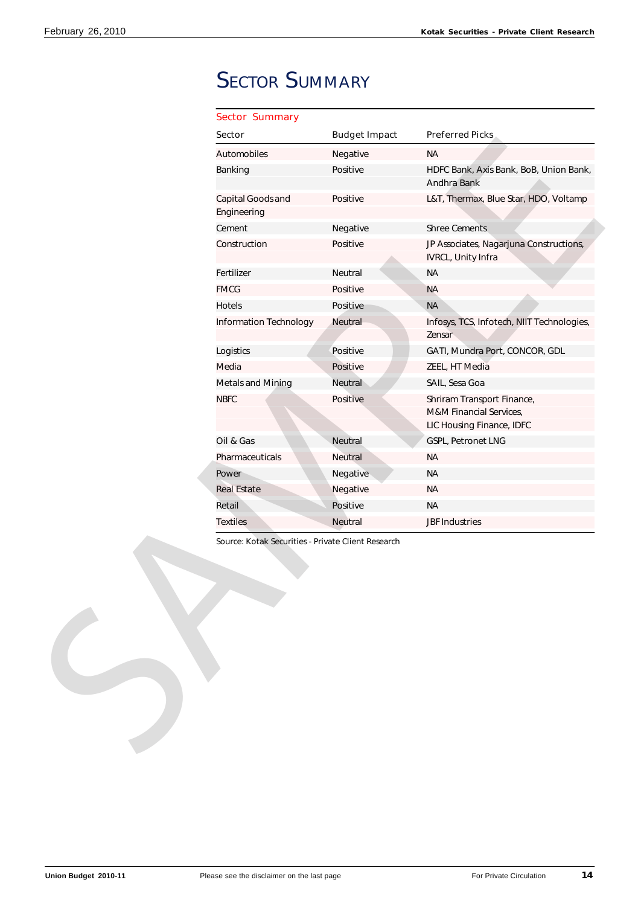# **SECTOR SUMMARY**

| <b>Sector Summary</b>            |                      |                                                                                    |
|----------------------------------|----------------------|------------------------------------------------------------------------------------|
| <b>Sector</b>                    | <b>Budget Impact</b> | <b>Preferred Picks</b>                                                             |
| Automobiles                      | Negative             | <b>NA</b>                                                                          |
| Banking                          | Positive             | HDFC Bank, Axis Bank, BoB, Union Bank,<br>Andhra Bank                              |
| Capital Goods and<br>Engineering | Positive             | L&T, Thermax, Blue Star, HDO, Voltamp                                              |
| Cement                           | Negative             | <b>Shree Cements</b>                                                               |
| Construction                     | Positive             | JP Associates, Nagarjuna Constructions,<br>IVRCL, Unity Infra                      |
| Fertilizer                       | Neutral              | <b>NA</b>                                                                          |
| <b>FMCG</b>                      | Positive             | <b>NA</b>                                                                          |
| Hotels                           | Positive             | <b>NA</b>                                                                          |
| Information Technology           | Neutral              | Infosys, TCS, Infotech, NIIT Technologies,<br>Zensar                               |
| Logistics                        | Positive             | GATI, Mundra Port, CONCOR, GDL                                                     |
| Media                            | Positive             | ZEEL, HT Media                                                                     |
| Metals and Mining                | Neutral              | SAIL, Sesa Goa                                                                     |
| <b>NBFC</b>                      | Positive             | Shriram Transport Finance,<br>M&M Financial Services,<br>LIC Housing Finance, IDFC |
| Oil & Gas                        | Neutral              | GSPL, Petronet LNG                                                                 |
| Pharmaceuticals                  | Neutral              | <b>NA</b>                                                                          |
| Power                            | Negative             | <b>NA</b>                                                                          |
| <b>Real Estate</b>               | Negative             | <b>NA</b>                                                                          |
|                                  | Positive             |                                                                                    |
| Retail                           |                      | <b>NA</b>                                                                          |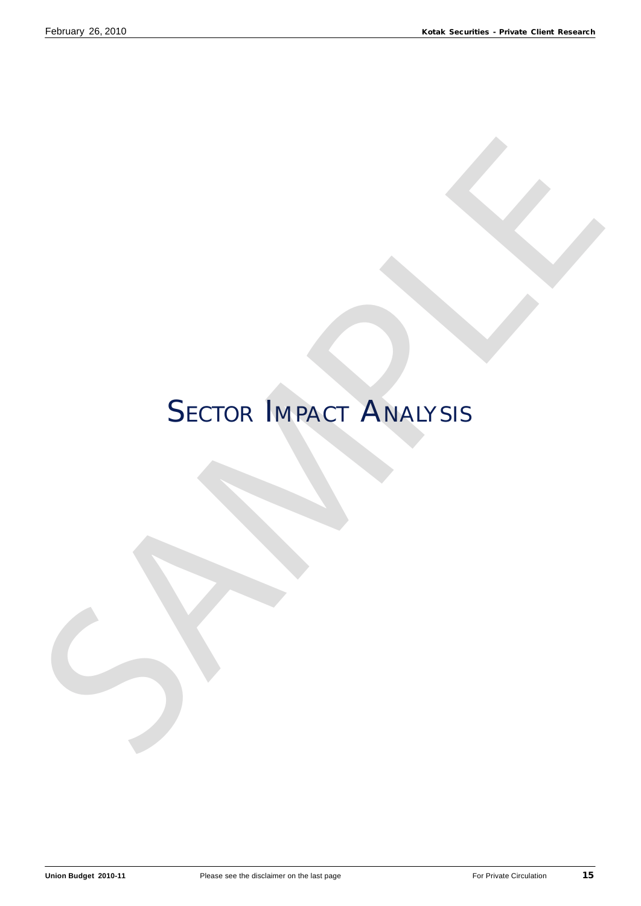# SECTOR IMPACT ANALYSIS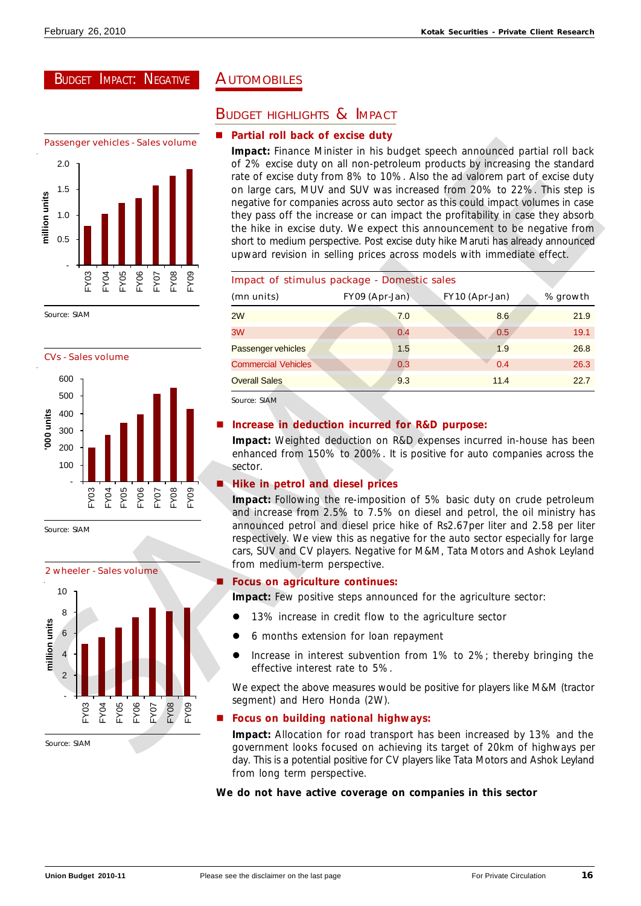# BUDGET IMPACT: NEGATIVE

![](_page_15_Figure_3.jpeg)

![](_page_15_Figure_5.jpeg)

Source: SIAM

![](_page_15_Figure_7.jpeg)

# **AUTOMOBILES**

# BUDGET HIGHLIGHTS & IMPACT

# **Partial roll back of excise duty**

| 2.0<br>1.5<br>million units<br>$1.0\,$<br>$0.5\,$<br>FY04<br>FY05<br>FY06<br>FY03<br>FY08<br><b>FY07</b><br>FY09 | of 2% excise duty on all non-petroleum products by increasing the standard<br>rate of excise duty from 8% to 10%. Also the ad valorem part of excise duty<br>on large cars, MUV and SUV was increased from 20% to 22%. This step is<br>negative for companies across auto sector as this could impact volumes in case<br>they pass off the increase or can impact the profitability in case they absorb<br>the hike in excise duty. We expect this announcement to be negative from<br>short to medium perspective. Post excise duty hike Maruti has already announced<br>upward revision in selling prices across models with immediate effect.<br>Impact of stimulus package - Domestic sales |                                       |                                                                                                                                                                                                                                                                                                                                                                                            |          |
|------------------------------------------------------------------------------------------------------------------|-------------------------------------------------------------------------------------------------------------------------------------------------------------------------------------------------------------------------------------------------------------------------------------------------------------------------------------------------------------------------------------------------------------------------------------------------------------------------------------------------------------------------------------------------------------------------------------------------------------------------------------------------------------------------------------------------|---------------------------------------|--------------------------------------------------------------------------------------------------------------------------------------------------------------------------------------------------------------------------------------------------------------------------------------------------------------------------------------------------------------------------------------------|----------|
|                                                                                                                  | (mn units)                                                                                                                                                                                                                                                                                                                                                                                                                                                                                                                                                                                                                                                                                      | FY09 (Apr-Jan)                        | FY10 (Apr-Jan)                                                                                                                                                                                                                                                                                                                                                                             | % growth |
| Source: SIAM                                                                                                     | 2W                                                                                                                                                                                                                                                                                                                                                                                                                                                                                                                                                                                                                                                                                              | 7.0                                   | 8.6                                                                                                                                                                                                                                                                                                                                                                                        | 21.9     |
|                                                                                                                  | 3W                                                                                                                                                                                                                                                                                                                                                                                                                                                                                                                                                                                                                                                                                              | 0.4                                   | 0.5                                                                                                                                                                                                                                                                                                                                                                                        | 19.1     |
| <b>CVs - Sales volume</b>                                                                                        | Passenger vehicles                                                                                                                                                                                                                                                                                                                                                                                                                                                                                                                                                                                                                                                                              | 1.5                                   | 1.9                                                                                                                                                                                                                                                                                                                                                                                        | 26.8     |
| 600                                                                                                              | <b>Commercial Vehicles</b>                                                                                                                                                                                                                                                                                                                                                                                                                                                                                                                                                                                                                                                                      | 0.3                                   | 0.4                                                                                                                                                                                                                                                                                                                                                                                        | 26.3     |
| 500                                                                                                              | <b>Overall Sales</b>                                                                                                                                                                                                                                                                                                                                                                                                                                                                                                                                                                                                                                                                            | 9.3                                   | 11.4                                                                                                                                                                                                                                                                                                                                                                                       | 22.7     |
| 000 units<br>200<br>100<br>FY05<br>FY06<br>FY07<br>FY08<br>$-Y03$<br>FY04<br>FY09<br>Source: SIAM                | enhanced from 150% to 200%. It is positive for auto companies across the<br>sector.<br>Hike in petrol and diesel prices<br>respectively. We view this as negative for the auto sector especially for large                                                                                                                                                                                                                                                                                                                                                                                                                                                                                      |                                       | Impact: Weighted deduction on R&D expenses incurred in-house has been<br>Impact: Following the re-imposition of 5% basic duty on crude petroleum<br>and increase from 2.5% to 7.5% on diesel and petrol, the oil ministry has<br>announced petrol and diesel price hike of Rs2.67per liter and 2.58 per liter<br>cars, SUV and CV players. Negative for M&M, Tata Motors and Ashok Leyland |          |
| 2 wheeler - Sales volume                                                                                         | from medium-term perspective.                                                                                                                                                                                                                                                                                                                                                                                                                                                                                                                                                                                                                                                                   |                                       |                                                                                                                                                                                                                                                                                                                                                                                            |          |
| 10                                                                                                               | Focus on agriculture continues:                                                                                                                                                                                                                                                                                                                                                                                                                                                                                                                                                                                                                                                                 |                                       |                                                                                                                                                                                                                                                                                                                                                                                            |          |
| 8                                                                                                                | <b>Impact:</b> Few positive steps announced for the agriculture sector:                                                                                                                                                                                                                                                                                                                                                                                                                                                                                                                                                                                                                         |                                       |                                                                                                                                                                                                                                                                                                                                                                                            |          |
|                                                                                                                  | • 13% increase in credit flow to the agriculture sector                                                                                                                                                                                                                                                                                                                                                                                                                                                                                                                                                                                                                                         |                                       |                                                                                                                                                                                                                                                                                                                                                                                            |          |
| $6\phantom{1}6$                                                                                                  |                                                                                                                                                                                                                                                                                                                                                                                                                                                                                                                                                                                                                                                                                                 | 6 months extension for loan repayment |                                                                                                                                                                                                                                                                                                                                                                                            |          |
| million units<br>4<br>2                                                                                          | effective interest rate to 5%.                                                                                                                                                                                                                                                                                                                                                                                                                                                                                                                                                                                                                                                                  |                                       | Increase in interest subvention from 1% to 2%; thereby bringing the                                                                                                                                                                                                                                                                                                                        |          |
|                                                                                                                  | segment) and Hero Honda (2W).                                                                                                                                                                                                                                                                                                                                                                                                                                                                                                                                                                                                                                                                   |                                       | We expect the above measures would be positive for players like M&M (tractor                                                                                                                                                                                                                                                                                                               |          |
| FY05<br>FY06<br>FY07<br>FY08<br>FY09<br>FY04<br>FY03                                                             | Focus on building national highways:                                                                                                                                                                                                                                                                                                                                                                                                                                                                                                                                                                                                                                                            |                                       |                                                                                                                                                                                                                                                                                                                                                                                            |          |
| Source: SIAM                                                                                                     | from long term perspective.                                                                                                                                                                                                                                                                                                                                                                                                                                                                                                                                                                                                                                                                     |                                       | Impact: Allocation for road transport has been increased by 13% and the<br>government looks focused on achieving its target of 20km of highways per<br>day. This is a potential positive for CV players like Tata Motors and Ashok Leyland                                                                                                                                                 |          |

# **Increase in deduction incurred for R&D purpose:**

# n **Hike in petrol and diesel prices**

# n **Focus on agriculture continues:**

- 13% increase in credit flow to the agriculture sector
- 6 months extension for loan repayment
- Increase in interest subvention from 1% to 2%; thereby bringing the effective interest rate to 5%.

# n **Focus on building national highways:**

# **We do not have active coverage on companies in this sector**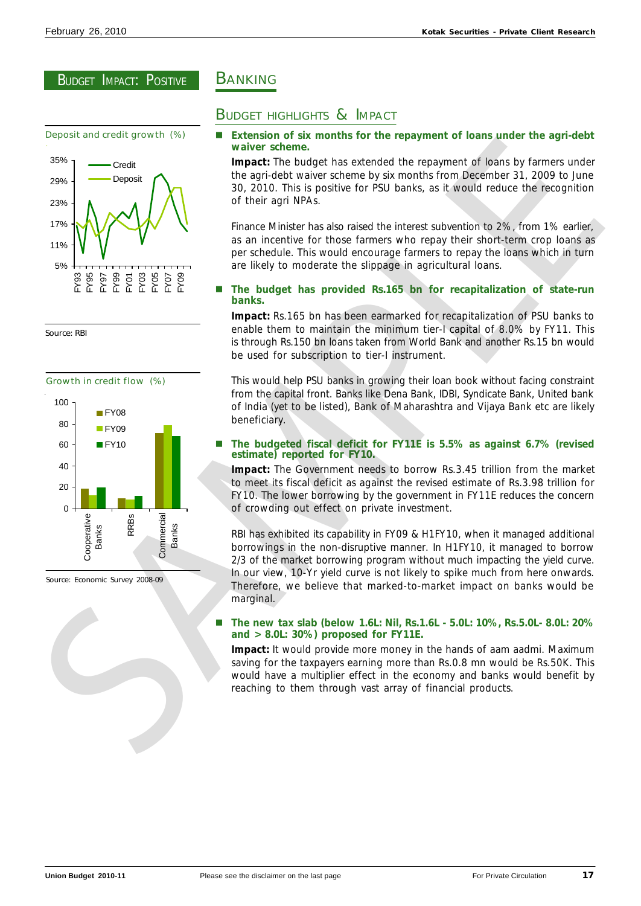![](_page_16_Figure_3.jpeg)

Source: RBI

![](_page_16_Figure_5.jpeg)

Source: Economic Survey 2008-09

# **BANKING**

# BUDGET HIGHLIGHTS & IMPACT

# Extension of six months for the repayment of loans under the agri-debt **waiver scheme.**

**Impact:** The budget has extended the repayment of loans by farmers under the agri-debt waiver scheme by six months from December 31, 2009 to June 30, 2010. This is positive for PSU banks, as it would reduce the recognition of their agri NPAs.

Finance Minister has also raised the interest subvention to 2%, from 1% earlier, as an incentive for those farmers who repay their short-term crop loans as per schedule. This would encourage farmers to repay the loans which in turn are likely to moderate the slippage in agricultural loans.

# n **The budget has provided Rs.165 bn for recapitalization of state-run banks.**

**Impact:** Rs.165 bn has been earmarked for recapitalization of PSU banks to enable them to maintain the minimum tier-I capital of 8.0% by FY11. This is through Rs.150 bn loans taken from World Bank and another Rs.15 bn would be used for subscription to tier-I instrument.

This would help PSU banks in growing their loan book without facing constraint from the capital front. Banks like Dena Bank, IDBI, Syndicate Bank, United bank of India (yet to be listed), Bank of Maharashtra and Vijaya Bank etc are likely beneficiary.

# n **The budgeted fiscal deficit for FY11E is 5.5% as against 6.7% (revised estimate) reported for FY10.**

**Impact:** The Government needs to borrow Rs.3.45 trillion from the market to meet its fiscal deficit as against the revised estimate of Rs.3.98 trillion for FY10. The lower borrowing by the government in FY11E reduces the concern of crowding out effect on private investment.

RBI has exhibited its capability in FY09 & H1FY10, when it managed additional borrowings in the non-disruptive manner. In H1FY10, it managed to borrow 2/3 of the market borrowing program without much impacting the yield curve. In our view, 10-Yr yield curve is not likely to spike much from here onwards. Therefore, we believe that marked-to-market impact on banks would be marginal.

# n **The new tax slab (below 1.6L: Nil, Rs.1.6L - 5.0L: 10%, Rs.5.0L- 8.0L: 20% and > 8.0L: 30%) proposed for FY11E.**

**Impact:** It would provide more money in the hands of aam aadmi. Maximum saving for the taxpayers earning more than Rs.0.8 mn would be Rs.50K. This would have a multiplier effect in the economy and banks would benefit by reaching to them through vast array of financial products.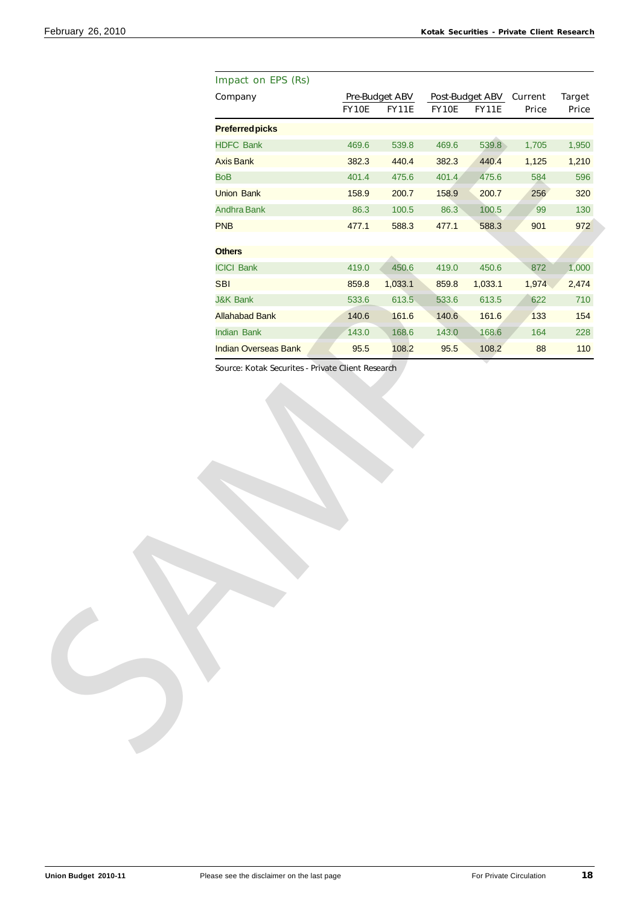| Company<br><b>Pre-Budget ABV</b><br>Post-Budget ABV Current<br><b>FY11E</b><br>FY10E<br>FY10E<br><b>FY11E</b><br>Price<br><b>Preferredpicks</b><br><b>HDFC Bank</b><br>469.6<br>539.8<br>469.6<br>539.8<br>1,705<br>382.3<br>440.4<br>382.3<br><b>Axis Bank</b><br>440.4<br>1,125<br><b>BoB</b><br>401.4<br>475.6<br>401.4<br>475.6<br>584<br><b>Union Bank</b><br>158.9<br>200.7<br>158.9<br>200.7<br>256<br>86.3<br>86.3<br>100.5<br>99<br>Andhra Bank<br>100.5<br><b>PNB</b><br>477.1<br>588.3<br>477.1<br>588.3<br>901<br><b>Others</b><br>1,000<br><b>ICICI Bank</b><br>450.6<br>872<br>419.0<br>450.6<br>419.0<br><b>SBI</b><br>1,033.1<br>1,974<br>859.8<br>859.8<br>1,033.1<br><b>J&amp;K Bank</b><br>533.6<br>613.5<br>533.6<br>613.5<br>622<br>133<br><b>Allahabad Bank</b><br>140.6<br>161.6<br>140.6<br>161.6<br><b>Indian Bank</b><br>143.0<br>168.6<br>143.0<br>168.6<br>164<br><b>Indian Overseas Bank</b><br>95.5<br>95.5<br>108.2<br>110<br>108.2<br>88<br>Source: Kotak Securites - Private Client Research |  |  |  |               |
|-------------------------------------------------------------------------------------------------------------------------------------------------------------------------------------------------------------------------------------------------------------------------------------------------------------------------------------------------------------------------------------------------------------------------------------------------------------------------------------------------------------------------------------------------------------------------------------------------------------------------------------------------------------------------------------------------------------------------------------------------------------------------------------------------------------------------------------------------------------------------------------------------------------------------------------------------------------------------------------------------------------------------------|--|--|--|---------------|
|                                                                                                                                                                                                                                                                                                                                                                                                                                                                                                                                                                                                                                                                                                                                                                                                                                                                                                                                                                                                                               |  |  |  | <b>Target</b> |
|                                                                                                                                                                                                                                                                                                                                                                                                                                                                                                                                                                                                                                                                                                                                                                                                                                                                                                                                                                                                                               |  |  |  | Price         |
|                                                                                                                                                                                                                                                                                                                                                                                                                                                                                                                                                                                                                                                                                                                                                                                                                                                                                                                                                                                                                               |  |  |  |               |
|                                                                                                                                                                                                                                                                                                                                                                                                                                                                                                                                                                                                                                                                                                                                                                                                                                                                                                                                                                                                                               |  |  |  | 1,950         |
|                                                                                                                                                                                                                                                                                                                                                                                                                                                                                                                                                                                                                                                                                                                                                                                                                                                                                                                                                                                                                               |  |  |  | 1,210         |
|                                                                                                                                                                                                                                                                                                                                                                                                                                                                                                                                                                                                                                                                                                                                                                                                                                                                                                                                                                                                                               |  |  |  | 596           |
|                                                                                                                                                                                                                                                                                                                                                                                                                                                                                                                                                                                                                                                                                                                                                                                                                                                                                                                                                                                                                               |  |  |  | 320           |
|                                                                                                                                                                                                                                                                                                                                                                                                                                                                                                                                                                                                                                                                                                                                                                                                                                                                                                                                                                                                                               |  |  |  | 130           |
|                                                                                                                                                                                                                                                                                                                                                                                                                                                                                                                                                                                                                                                                                                                                                                                                                                                                                                                                                                                                                               |  |  |  | 972           |
|                                                                                                                                                                                                                                                                                                                                                                                                                                                                                                                                                                                                                                                                                                                                                                                                                                                                                                                                                                                                                               |  |  |  |               |
|                                                                                                                                                                                                                                                                                                                                                                                                                                                                                                                                                                                                                                                                                                                                                                                                                                                                                                                                                                                                                               |  |  |  |               |
|                                                                                                                                                                                                                                                                                                                                                                                                                                                                                                                                                                                                                                                                                                                                                                                                                                                                                                                                                                                                                               |  |  |  |               |
|                                                                                                                                                                                                                                                                                                                                                                                                                                                                                                                                                                                                                                                                                                                                                                                                                                                                                                                                                                                                                               |  |  |  | 2,474         |
|                                                                                                                                                                                                                                                                                                                                                                                                                                                                                                                                                                                                                                                                                                                                                                                                                                                                                                                                                                                                                               |  |  |  | 710           |
|                                                                                                                                                                                                                                                                                                                                                                                                                                                                                                                                                                                                                                                                                                                                                                                                                                                                                                                                                                                                                               |  |  |  | 154           |
|                                                                                                                                                                                                                                                                                                                                                                                                                                                                                                                                                                                                                                                                                                                                                                                                                                                                                                                                                                                                                               |  |  |  | 228           |
|                                                                                                                                                                                                                                                                                                                                                                                                                                                                                                                                                                                                                                                                                                                                                                                                                                                                                                                                                                                                                               |  |  |  |               |
|                                                                                                                                                                                                                                                                                                                                                                                                                                                                                                                                                                                                                                                                                                                                                                                                                                                                                                                                                                                                                               |  |  |  |               |
|                                                                                                                                                                                                                                                                                                                                                                                                                                                                                                                                                                                                                                                                                                                                                                                                                                                                                                                                                                                                                               |  |  |  |               |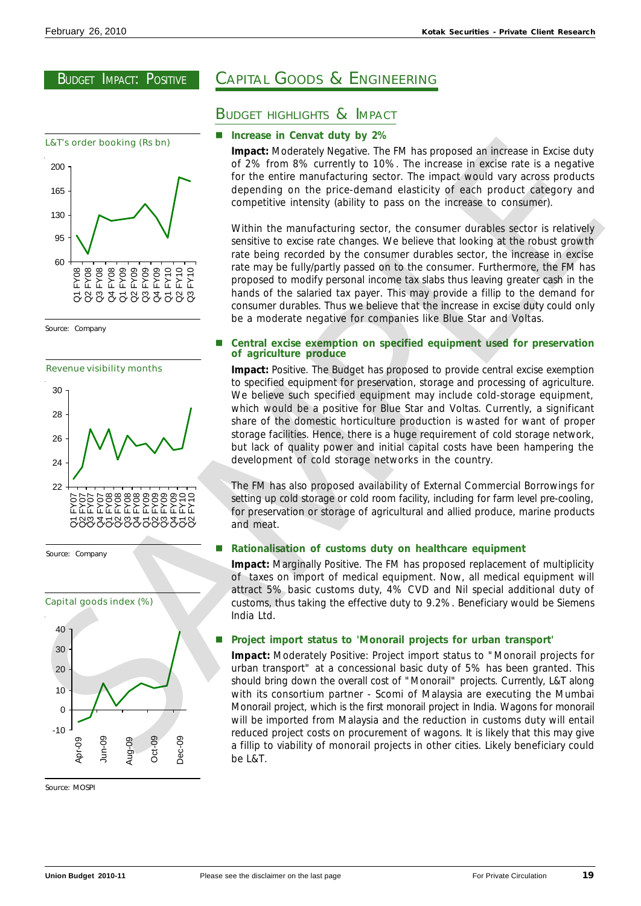![](_page_18_Figure_3.jpeg)

### Source: Company

![](_page_18_Figure_5.jpeg)

![](_page_18_Figure_6.jpeg)

Source: Company

![](_page_18_Figure_8.jpeg)

Source: MOSPI

# CAPITAL GOODS & ENGINEERING

# BUDGET HIGHLIGHTS & IMPACT

### **Increase in Cenvat duty by 2%**

**Impact:** Moderately Negative. The FM has proposed an increase in Excise duty of 2% from 8% currently to 10%. The increase in excise rate is a negative for the entire manufacturing sector. The impact would vary across products depending on the price-demand elasticity of each product category and competitive intensity (ability to pass on the increase to consumer).

Within the manufacturing sector, the consumer durables sector is relatively sensitive to excise rate changes. We believe that looking at the robust growth rate being recorded by the consumer durables sector, the increase in excise rate may be fully/partly passed on to the consumer. Furthermore, the FM has proposed to modify personal income tax slabs thus leaving greater cash in the hands of the salaried tax payer. This may provide a fillip to the demand for consumer durables. Thus we believe that the increase in excise duty could only be a moderate negative for companies like Blue Star and Voltas.

### n **Central excise exemption on specified equipment used for preservation of agriculture produce**

**Impact:** Positive. The Budget has proposed to provide central excise exemption to specified equipment for preservation, storage and processing of agriculture. We believe such specified equipment may include cold-storage equipment, which would be a positive for Blue Star and Voltas. Currently, a significant share of the domestic horticulture production is wasted for want of proper storage facilities. Hence, there is a huge requirement of cold storage network, but lack of quality power and initial capital costs have been hampering the development of cold storage networks in the country.

The FM has also proposed availability of External Commercial Borrowings for setting up cold storage or cold room facility, including for farm level pre-cooling, for preservation or storage of agricultural and allied produce, marine products and meat.

### n **Rationalisation of customs duty on healthcare equipment**

**Impact:** Marginally Positive. The FM has proposed replacement of multiplicity of taxes on import of medical equipment. Now, all medical equipment will attract 5% basic customs duty, 4% CVD and Nil special additional duty of customs, thus taking the effective duty to 9.2%. Beneficiary would be Siemens India Ltd.

### n **Project import status to 'Monorail projects for urban transport'**

**Impact:** Moderately Positive: Project import status to "Monorail projects for urban transport" at a concessional basic duty of 5% has been granted. This should bring down the overall cost of "Monorail" projects. Currently, L&T along with its consortium partner - Scomi of Malaysia are executing the Mumbai Monorail project, which is the first monorail project in India. Wagons for monorail will be imported from Malaysia and the reduction in customs duty will entail reduced project costs on procurement of wagons. It is likely that this may give a fillip to viability of monorail projects in other cities. Likely beneficiary could be L&T. Let's order booking 6k bins)<br>
impacts holocoloof stepsile. This has proposed on the cost of the cost of the cost of the cost of the cost of the cost of the cost of the cost of the cost of the cost of the cost of the cost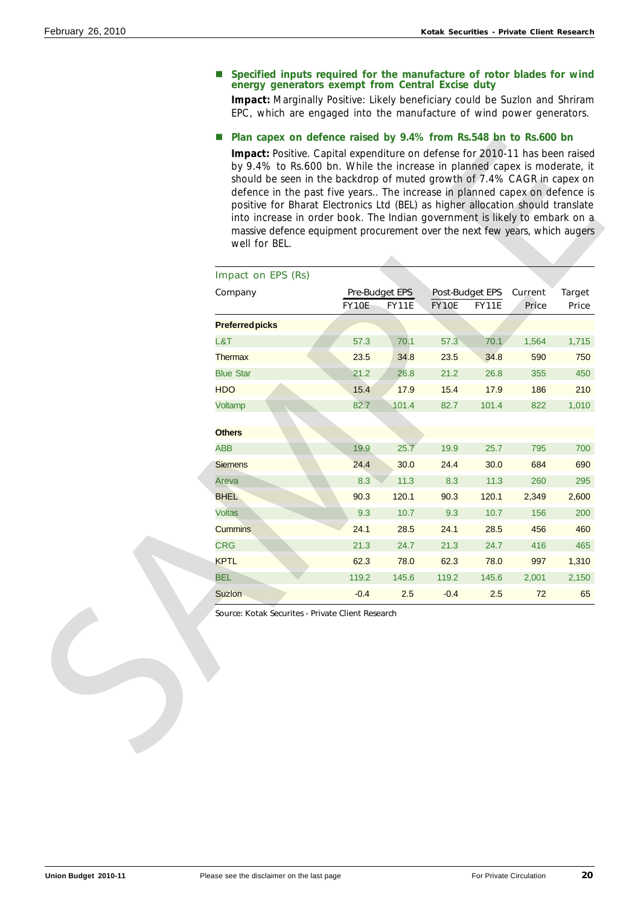### **n** Specified inputs required for the manufacture of rotor blades for wind **energy generators exempt from Central Excise duty**

**Impact:** Marginally Positive: Likely beneficiary could be Suzlon and Shriram EPC, which are engaged into the manufacture of wind power generators.

# ■ Plan capex on defence raised by 9.4% from Rs.548 bn to Rs.600 bn

| Impact on EPS (Rs)     |              |                                       |              |                                 |                         |                        |
|------------------------|--------------|---------------------------------------|--------------|---------------------------------|-------------------------|------------------------|
| Company                | <b>FY10E</b> | <b>Pre-Budget EPS</b><br><b>FY11E</b> | <b>FY10E</b> | Post-Budget EPS<br><b>FY11E</b> | Current<br><b>Price</b> | <b>Target</b><br>Price |
| <b>Preferred picks</b> |              |                                       |              |                                 |                         |                        |
| L&T                    | 57.3         | 70.1                                  | 57.3         | 70.1                            | 1,564                   | 1,715                  |
| <b>Thermax</b>         | 23.5         | 34.8                                  | 23.5         | 34.8                            | 590                     | 750                    |
| <b>Blue Star</b>       | 21.2         | 26.8                                  | 21.2         | 26.8                            | 355                     | 450                    |
| <b>HDO</b>             | 15.4         | 17.9                                  | 15.4         | 17.9                            | 186                     | 210                    |
| Voltamp                | 82.7         | 101.4                                 | 82.7         | 101.4                           | 822                     | 1,010                  |
| <b>Others</b>          |              |                                       |              |                                 |                         |                        |
| <b>ABB</b>             | 19.9         | 25.7                                  | 19.9         | 25.7                            | 795                     | 700                    |
| <b>Siemens</b>         | 24.4         | 30.0                                  | 24.4         | 30.0                            | 684                     | 690                    |
| Areva                  | 8.3          | 11.3                                  | 8.3          | 11.3                            | 260                     | 295                    |
| <b>BHEL</b>            | 90.3         | 120.1                                 | 90.3         | 120.1                           | 2,349                   | 2,600                  |
| <b>Voltas</b>          | 9.3          | 10.7                                  | 9.3          | 10.7                            | 156                     | 200                    |
| <b>Cummins</b>         | 24.1         | 28.5                                  | 24.1         | 28.5                            | 456                     | 460                    |
| <b>CRG</b>             | 21.3         | 24.7                                  | 21.3         | 24.7                            | 416                     | 465                    |
| <b>KPTL</b>            | 62.3         | 78.0                                  | 62.3         | 78.0                            | 997                     | 1,310                  |
| <b>BEL</b>             | 119.2        | 145.6                                 | 119.2        | 145.6                           | 2,001                   | 2,150                  |
| Suzion                 | $-0.4$       | 2.5                                   | $-0.4$       | 2.5                             | 72                      | 65                     |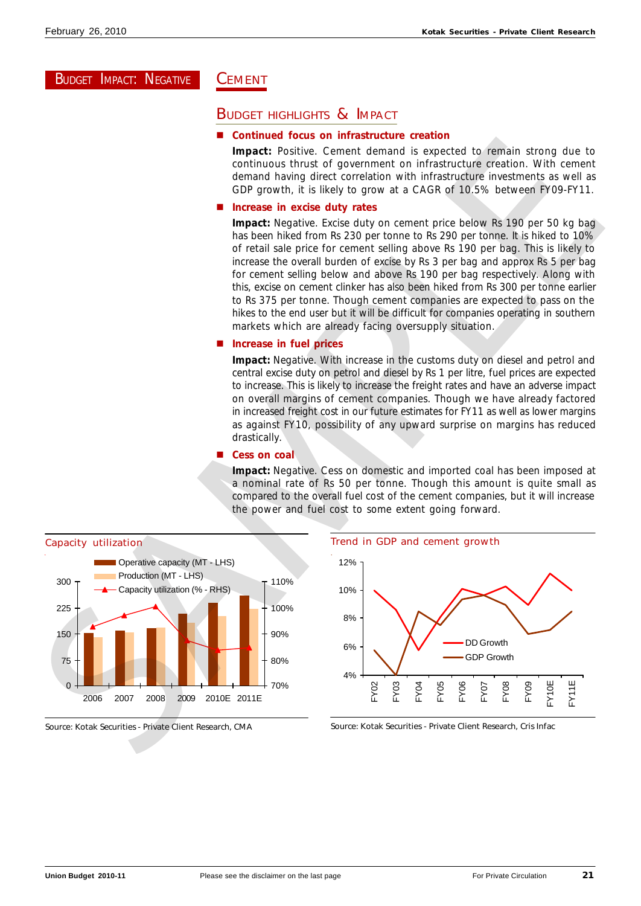# BUDGET IMPACT: NEGATIVE

# **CEMENT**

# **BUDGET HIGHLIGHTS & IMPACT**

### n **Continued focus on infrastructure creation**

**Impact:** Positive. Cement demand is expected to remain strong due to continuous thrust of government on infrastructure creation. With cement demand having direct correlation with infrastructure investments as well as GDP growth, it is likely to grow at a CAGR of 10.5% between FY09-FY11.

# **Increase in excise duty rates**

**Impact:** Negative. Excise duty on cement price below Rs 190 per 50 kg bag has been hiked from Rs 230 per tonne to Rs 290 per tonne. It is hiked to 10% of retail sale price for cement selling above Rs 190 per bag. This is likely to increase the overall burden of excise by Rs 3 per bag and approx Rs 5 per bag for cement selling below and above Rs 190 per bag respectively. Along with this, excise on cement clinker has also been hiked from Rs 300 per tonne earlier to Rs 375 per tonne. Though cement companies are expected to pass on the hikes to the end user but it will be difficult for companies operating in southern markets which are already facing oversupply situation.

# ■ Increase in fuel prices

**Impact:** Negative. With increase in the customs duty on diesel and petrol and central excise duty on petrol and diesel by Rs 1 per litre, fuel prices are expected to increase. This is likely to increase the freight rates and have an adverse impact on overall margins of cement companies. Though we have already factored in increased freight cost in our future estimates for FY11 as well as lower margins as against FY10, possibility of any upward surprise on margins has reduced drastically.

### ■ **Cess on coal**

**Impact:** Negative. Cess on domestic and imported coal has been imposed at a nominal rate of Rs 50 per tonne. Though this amount is quite small as compared to the overall fuel cost of the cement companies, but it will increase the power and fuel cost to some extent going forward.

![](_page_20_Figure_13.jpeg)

### Source: Kotak Securities - Private Client Research, CMA

![](_page_20_Figure_15.jpeg)

Source: Kotak Securities - Private Client Research, Cris Infac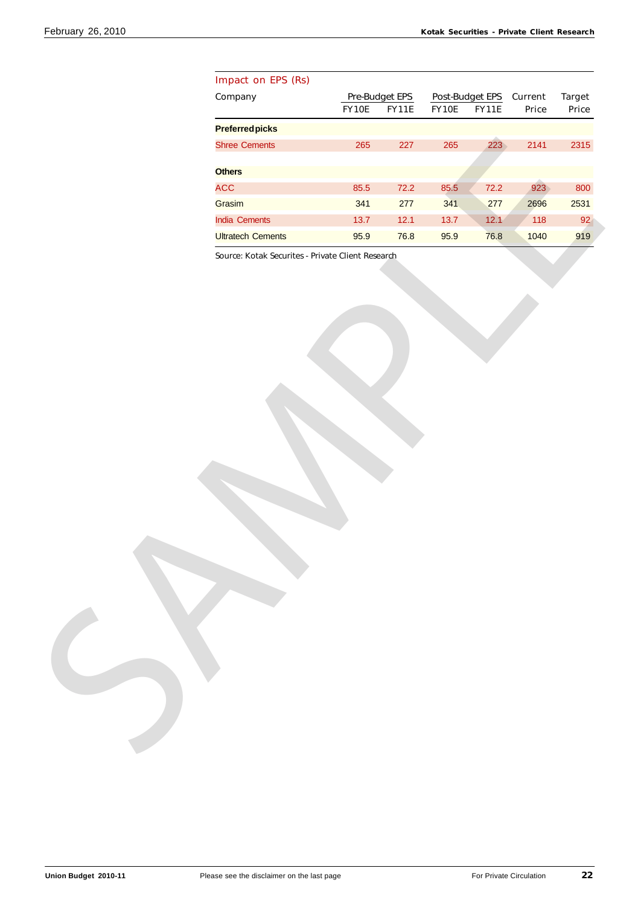| Company<br><b>Target</b><br>Pre-Budget EPS<br>Post-Budget EPS<br>Current<br>FY10E<br><b>FY11E</b><br>FY10E<br><b>FY11E</b><br>Price<br>Price<br><b>Preferredpicks</b><br>223<br>2141<br>2315<br><b>Shree Cements</b><br>265<br>227<br>265<br><b>Others</b><br><b>ACC</b><br>923<br>800<br>85.5<br>$72.2$<br>85.5<br>$72.2$<br>341<br>Grasim<br>341<br>277<br>277<br>2696<br>2531<br>118<br>92<br>India Cements<br>$13.7$<br>12.1<br>$13.7$<br>12.1<br>1040<br>919<br><b>Ultratech Cements</b><br>95.9<br>76.8<br>95.9<br>76.8<br>Source: Kotak Securites - Private Client Research | Impact on EPS (Rs) |  |  |  |
|------------------------------------------------------------------------------------------------------------------------------------------------------------------------------------------------------------------------------------------------------------------------------------------------------------------------------------------------------------------------------------------------------------------------------------------------------------------------------------------------------------------------------------------------------------------------------------|--------------------|--|--|--|
|                                                                                                                                                                                                                                                                                                                                                                                                                                                                                                                                                                                    |                    |  |  |  |
|                                                                                                                                                                                                                                                                                                                                                                                                                                                                                                                                                                                    |                    |  |  |  |
|                                                                                                                                                                                                                                                                                                                                                                                                                                                                                                                                                                                    |                    |  |  |  |
|                                                                                                                                                                                                                                                                                                                                                                                                                                                                                                                                                                                    |                    |  |  |  |
|                                                                                                                                                                                                                                                                                                                                                                                                                                                                                                                                                                                    |                    |  |  |  |
|                                                                                                                                                                                                                                                                                                                                                                                                                                                                                                                                                                                    |                    |  |  |  |
|                                                                                                                                                                                                                                                                                                                                                                                                                                                                                                                                                                                    |                    |  |  |  |
|                                                                                                                                                                                                                                                                                                                                                                                                                                                                                                                                                                                    |                    |  |  |  |
|                                                                                                                                                                                                                                                                                                                                                                                                                                                                                                                                                                                    |                    |  |  |  |
|                                                                                                                                                                                                                                                                                                                                                                                                                                                                                                                                                                                    |                    |  |  |  |
|                                                                                                                                                                                                                                                                                                                                                                                                                                                                                                                                                                                    |                    |  |  |  |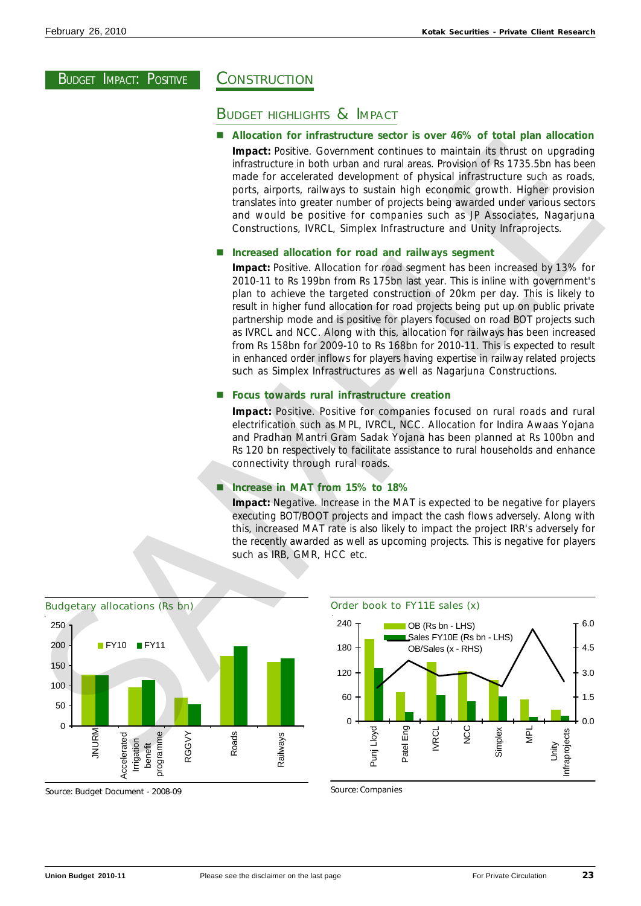# **CONSTRUCTION**

# BUDGET HIGHLIGHTS & IMPACT

n **Allocation for infrastructure sector is over 46% of total plan allocation Impact:** Positive. Government continues to maintain its thrust on upgrading infrastructure in both urban and rural areas. Provision of Rs 1735.5bn has been made for accelerated development of physical infrastructure such as roads, ports, airports, railways to sustain high economic growth. Higher provision translates into greater number of projects being awarded under various sectors and would be positive for companies such as JP Associates, Nagarjuna Constructions, IVRCL, Simplex Infrastructure and Unity Infraprojects.

# ■ Increased allocation for road and railways segment

**Impact:** Positive. Allocation for road segment has been increased by 13% for 2010-11 to Rs 199bn from Rs 175bn last year. This is inline with government's plan to achieve the targeted construction of 20km per day. This is likely to result in higher fund allocation for road projects being put up on public private partnership mode and is positive for players focused on road BOT projects such as IVRCL and NCC. Along with this, allocation for railways has been increased from Rs 158bn for 2009-10 to Rs 168bn for 2010-11. This is expected to result in enhanced order inflows for players having expertise in railway related projects such as Simplex Infrastructures as well as Nagarjuna Constructions.

# n **Focus towards rural infrastructure creation**

**Impact:** Positive. Positive for companies focused on rural roads and rural electrification such as MPL, IVRCL, NCC. Allocation for Indira Awaas Yojana and Pradhan Mantri Gram Sadak Yojana has been planned at Rs 100bn and Rs 120 bn respectively to facilitate assistance to rural households and enhance connectivity through rural roads.

# n **Increase in MAT from 15% to 18%**

**Impact:** Negative. Increase in the MAT is expected to be negative for players executing BOT/BOOT projects and impact the cash flows adversely. Along with this, increased MAT rate is also likely to impact the project IRR's adversely for the recently awarded as well as upcoming projects. This is negative for players such as IRB, GMR, HCC etc.

![](_page_22_Figure_12.jpeg)

Source: Budget Document - 2008-09

![](_page_22_Figure_14.jpeg)

Source: Companies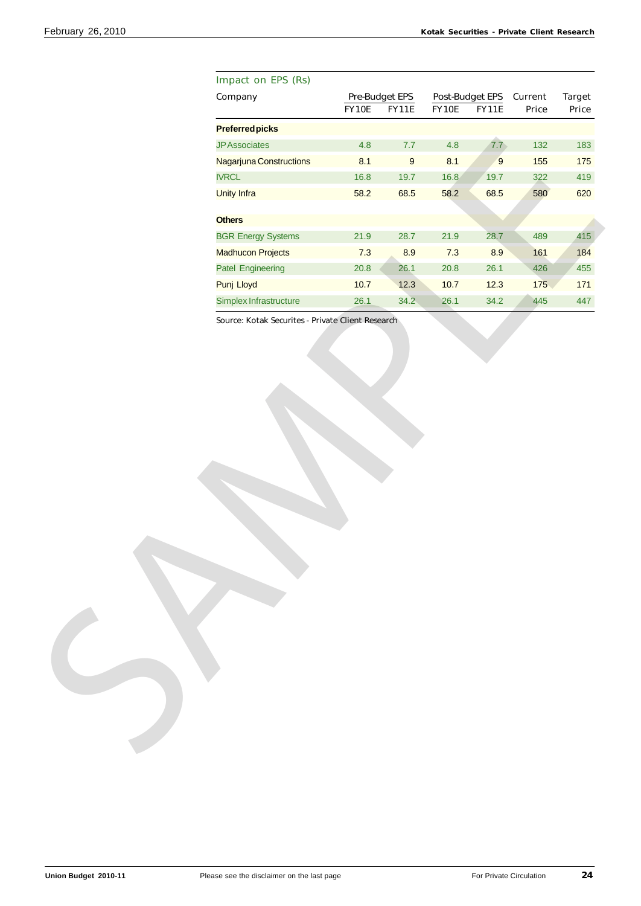| Impact on EPS (Rs)        |          |                  |        |              |                         |               |
|---------------------------|----------|------------------|--------|--------------|-------------------------|---------------|
| Company                   |          | Pre-Budget EPS   |        |              | Post-Budget EPS Current | <b>Target</b> |
|                           | FY10E    | <b>FY11E</b>     | FY10E  | <b>FY11E</b> | Price                   | Price         |
| <b>Preferredpicks</b>     |          |                  |        |              |                         |               |
| <b>JPAssociates</b>       | 4.8      | $7.7\,$          | 4.8    | 7.7          | 132                     | 183           |
| Nagarjuna Constructions   | 8.1      | $\boldsymbol{9}$ | 8.1    | $9\,$        | 155                     | 175           |
| <b>IVRCL</b>              | 16.8     | 19.7             | 16.8   | 19.7         | 322                     | 419           |
| <b>Unity Infra</b>        | 58.2     | 68.5             | 58.2   | 68.5         | 580                     | 620           |
| <b>Others</b>             |          |                  |        |              |                         |               |
| <b>BGR Energy Systems</b> | 21.9     | 28.7             | 21.9   | 28.7         | 489                     | 415           |
| <b>Madhucon Projects</b>  | 7.3      | 8.9              | 7.3    | 8.9          | 161                     | 184           |
| <b>Patel Engineering</b>  | $20.8\,$ | 26.1             | 20.8   | 26.1         | 426                     | 455           |
| Punj Lloyd                | $10.7$   | 12.3             | $10.7$ | 12.3         | 175                     | $171$         |
| Simplex Infrastructure    | 26.1     | 34.2             | 26.1   | 34.2         | 445                     | 447           |
|                           |          |                  |        |              |                         |               |
|                           |          |                  |        |              |                         |               |
|                           |          |                  |        |              |                         |               |
|                           |          |                  |        |              |                         |               |
|                           |          |                  |        |              |                         |               |
|                           |          |                  |        |              |                         |               |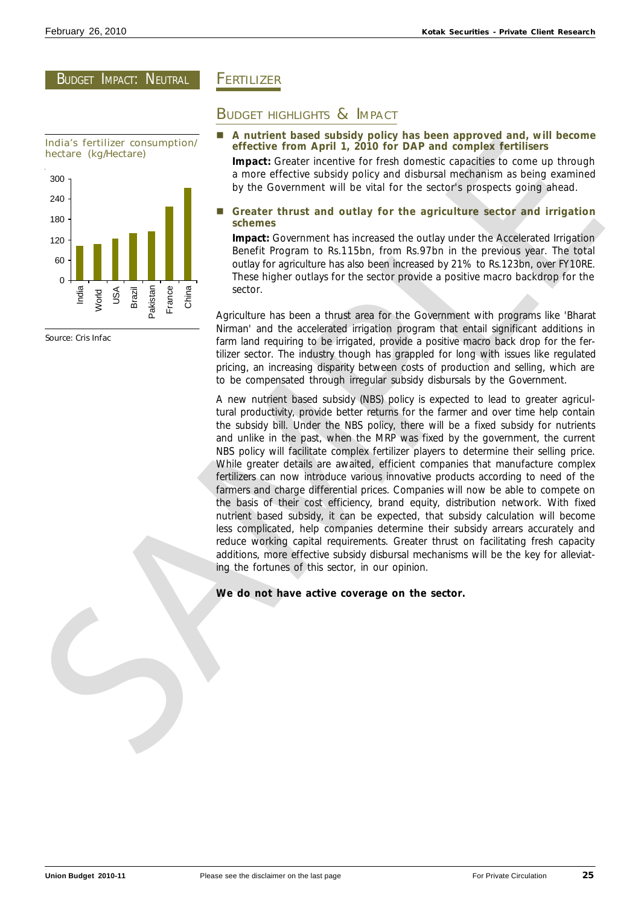# BUDGET IMPACT: NEUTRAL

![](_page_24_Figure_3.jpeg)

Source: Cris Infac

# **FERTILIZER**

# BUDGET HIGHLIGHTS & IMPACT

- n **A nutrient based subsidy policy has been approved and, will become effective from April 1, 2010 for DAP and complex fertilisers Impact:** Greater incentive for fresh domestic capacities to come up through
- a more effective subsidy policy and disbursal mechanism as being examined by the Government will be vital for the sector's prospects going ahead.
- n **Greater thrust and outlay for the agriculture sector and irrigation schemes**

**Impact:** Government has increased the outlay under the Accelerated Irrigation Benefit Program to Rs.115bn, from Rs.97bn in the previous year. The total outlay for agriculture has also been increased by 21% to Rs.123bn, over FY10RE. These higher outlays for the sector provide a positive macro backdrop for the sector.

Agriculture has been a thrust area for the Government with programs like 'Bharat Nirman' and the accelerated irrigation program that entail significant additions in farm land requiring to be irrigated, provide a positive macro back drop for the fertilizer sector. The industry though has grappled for long with issues like regulated pricing, an increasing disparity between costs of production and selling, which are to be compensated through irregular subsidy disbursals by the Government.

A new nutrient based subsidy (NBS) policy is expected to lead to greater agricultural productivity, provide better returns for the farmer and over time help contain the subsidy bill. Under the NBS policy, there will be a fixed subsidy for nutrients and unlike in the past, when the MRP was fixed by the government, the current NBS policy will facilitate complex fertilizer players to determine their selling price. While greater details are awaited, efficient companies that manufacture complex fertilizers can now introduce various innovative products according to need of the farmers and charge differential prices. Companies will now be able to compete on the basis of their cost efficiency, brand equity, distribution network. With fixed nutrient based subsidy, it can be expected, that subsidy calculation will become less complicated, help companies determine their subsidy arrears accurately and reduce working capital requirements. Greater thrust on facilitating fresh capacity additions, more effective subsidy disbursal mechanisms will be the key for alleviating the fortunes of this sector, in our opinion. Include Scribtzon (1997) and the state of the state of the state of the state of the state of the state of the state of the state of the state of the state of the state of the state of the state of the state of the state

# **We do not have active coverage on the sector.**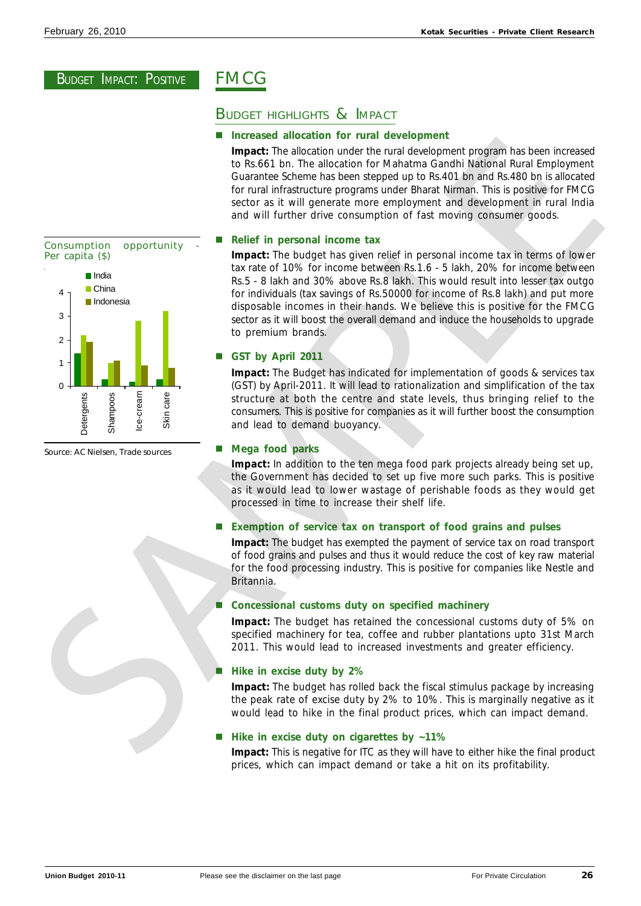# FMCG

# BUDGET HIGHLIGHTS & IMPACT

# **Increased allocation for rural development**

**Impact:** The allocation under the rural development program has been increased to Rs.661 bn. The allocation for Mahatma Gandhi National Rural Employment Guarantee Scheme has been stepped up to Rs.401 bn and Rs.480 bn is allocated for rural infrastructure programs under Bharat Nirman. This is positive for FMCG sector as it will generate more employment and development in rural India and will further drive consumption of fast moving consumer goods.

# n **Relief in personal income tax**

**Impact:** The budget has given relief in personal income tax in terms of lower tax rate of 10% for income between Rs.1.6 - 5 lakh, 20% for income between Rs.5 - 8 lakh and 30% above Rs.8 lakh. This would result into lesser tax outgo for individuals (tax savings of Rs.50000 for income of Rs.8 lakh) and put more disposable incomes in their hands. We believe this is positive for the FMCG sector as it will boost the overall demand and induce the households to upgrade to premium brands.

# n **GST by April 2011**

**Impact:** The Budget has indicated for implementation of goods & services tax (GST) by April-2011. It will lead to rationalization and simplification of the tax structure at both the centre and state levels, thus bringing relief to the consumers. This is positive for companies as it will further boost the consumption and lead to demand buoyancy.

# n **Mega food parks**

**Impact:** In addition to the ten mega food park projects already being set up, the Government has decided to set up five more such parks. This is positive as it would lead to lower wastage of perishable foods as they would get processed in time to increase their shelf life.

n **Exemption of service tax on transport of food grains and pulses**

**Impact:** The budget has exempted the payment of service tax on road transport of food grains and pulses and thus it would reduce the cost of key raw material for the food processing industry. This is positive for companies like Nestle and Britannia.

# n **Concessional customs duty on specified machinery**

**Impact:** The budget has retained the concessional customs duty of 5% on specified machinery for tea, coffee and rubber plantations upto 31st March 2011. This would lead to increased investments and greater efficiency.

# **Hike in excise duty by 2%**

**Impact:** The budget has rolled back the fiscal stimulus package by increasing the peak rate of excise duty by 2% to 10%. This is marginally negative as it would lead to hike in the final product prices, which can impact demand.

# n **Hike in excise duty on cigarettes by ~11%**

**Impact:** This is negative for ITC as they will have to either hike the final product prices, which can impact demand or take a hit on its profitability.

![](_page_25_Figure_21.jpeg)

Source: AC Nielsen, Trade sources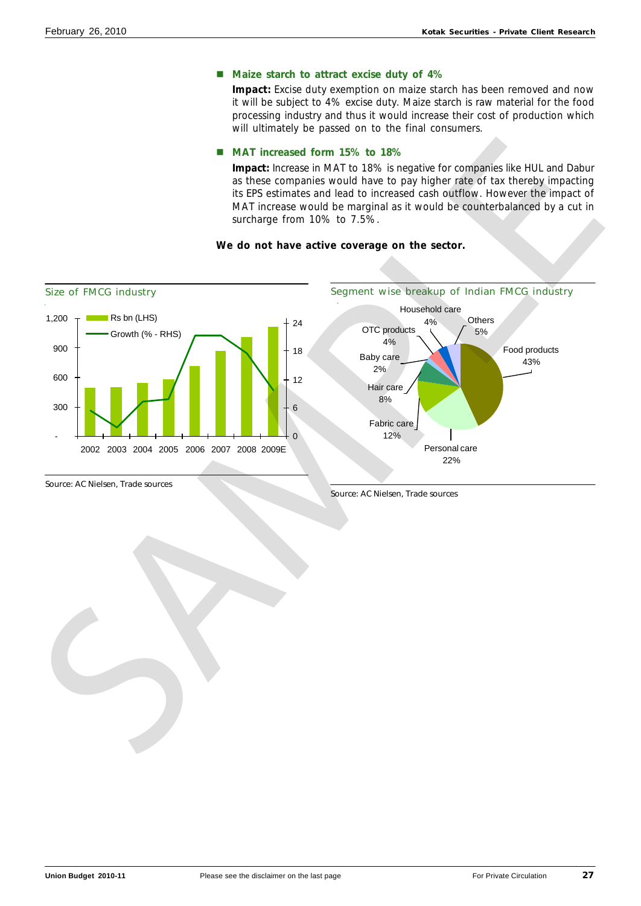# ■ Maize starch to attract excise duty of 4%

**Impact:** Excise duty exemption on maize starch has been removed and now it will be subject to 4% excise duty. Maize starch is raw material for the food processing industry and thus it would increase their cost of production which will ultimately be passed on to the final consumers.

# ■ MAT increased form 15% to 18%

**Impact:** Increase in MAT to 18% is negative for companies like HUL and Dabur as these companies would have to pay higher rate of tax thereby impacting its EPS estimates and lead to increased cash outflow. However the impact of MAT increase would be marginal as it would be counterbalanced by a cut in surcharge from 10% to 7.5%.

# **We do not have active coverage on the sector.**

![](_page_26_Figure_7.jpeg)

![](_page_26_Figure_9.jpeg)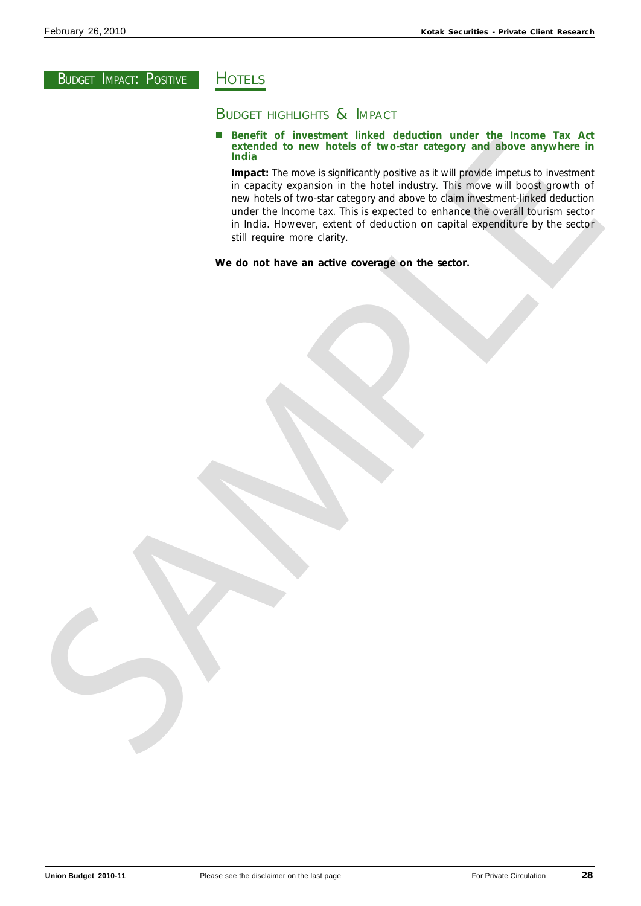# **HOTELS**

# **BUDGET HIGHLIGHTS & IMPACT**

■ Benefit of investment linked deduction under the Income Tax Act **extended to new hotels of two-star category and above anywhere in India**

**Impact:** The move is significantly positive as it will provide impetus to investment in capacity expansion in the hotel industry. This move will boost growth of new hotels of two-star category and above to claim investment-linked deduction under the Income tax. This is expected to enhance the overall tourism sector in India. However, extent of deduction on capital expenditure by the sector still require more clarity. The present of the new highest process contained the contained the contact process in the basic process contact the matrix and the contact process and the contact process contact the matrix and process contact the matrix a

**We do not have an active coverage on the sector.**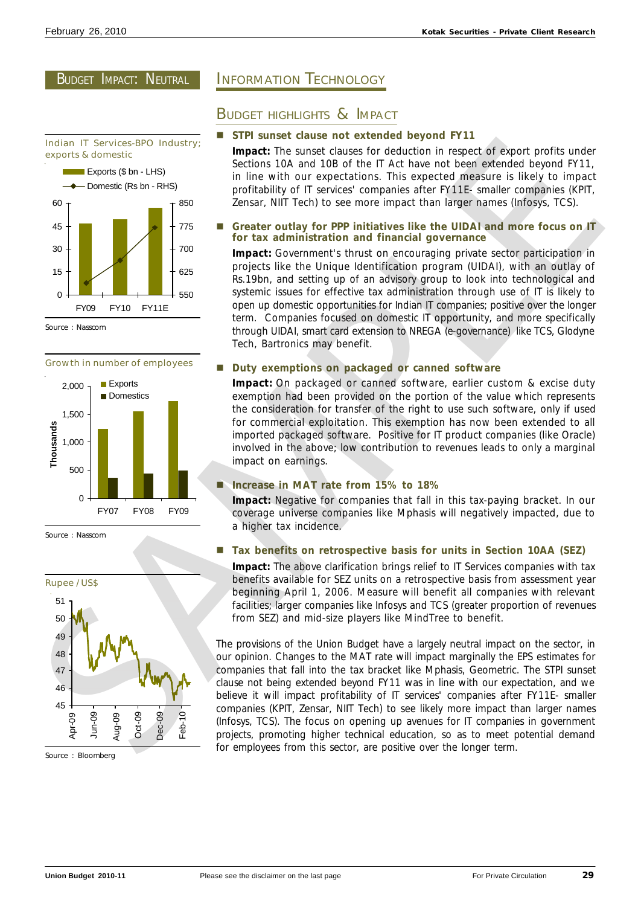# BUDGET IMPACT: NEUTRAL

![](_page_28_Figure_3.jpeg)

Source : Nasscom

# Growth in number of employees

![](_page_28_Figure_6.jpeg)

![](_page_28_Figure_7.jpeg)

![](_page_28_Figure_8.jpeg)

Source : Bloomberg

# INFORMATION TECHNOLOGY

# BUDGET HIGHLIGHTS & IMPACT

# **STPI sunset clause not extended beyond FY11**

**Impact:** The sunset clauses for deduction in respect of export profits under Sections 10A and 10B of the IT Act have not been extended beyond FY11, in line with our expectations. This expected measure is likely to impact profitability of IT services' companies after FY11E- smaller companies (KPIT, Zensar, NIIT Tech) to see more impact than larger names (Infosys, TCS).

# n **Greater outlay for PPP initiatives like the UIDAI and more focus on IT for tax administration and financial governance**

**Impact:** Government's thrust on encouraging private sector participation in projects like the Unique Identification program (UIDAI), with an outlay of Rs.19bn, and setting up of an advisory group to look into technological and systemic issues for effective tax administration through use of IT is likely to open up domestic opportunities for Indian IT companies; positive over the longer term. Companies focused on domestic IT opportunity, and more specifically through UIDAI, smart card extension to NREGA (e-governance) like TCS, Glodyne Tech, Bartronics may benefit.

# **Duty exemptions on packaged or canned software**

**Impact:** On packaged or canned software, earlier custom & excise duty exemption had been provided on the portion of the value which represents the consideration for transfer of the right to use such software, only if used for commercial exploitation. This exemption has now been extended to all imported packaged software. Positive for IT product companies (like Oracle) involved in the above; low contribution to revenues leads to only a marginal impact on earnings.

# n **Increase in MAT rate from 15% to 18%**

**Impact:** Negative for companies that fall in this tax-paying bracket. In our coverage universe companies like Mphasis will negatively impacted, due to a higher tax incidence.

# ■ Tax benefits on retrospective basis for units in Section 10AA (SEZ)

**Impact:** The above clarification brings relief to IT Services companies with tax benefits available for SEZ units on a retrospective basis from assessment year beginning April 1, 2006. Measure will benefit all companies with relevant facilities; larger companies like Infosys and TCS (greater proportion of revenues from SEZ) and mid-size players like MindTree to benefit.

The provisions of the Union Budget have a largely neutral impact on the sector, in our opinion. Changes to the MAT rate will impact marginally the EPS estimates for companies that fall into the tax bracket like Mphasis, Geometric. The STPI sunset clause not being extended beyond FY11 was in line with our expectation, and we believe it will impact profitability of IT services' companies after FY11E- smaller companies (KPIT, Zensar, NIIT Tech) to see likely more impact than larger names (Infosys, TCS). The focus on opening up avenues for IT companies in government projects, promoting higher technical education, so as to meet potential demand for employees from this sector, are positive over the longer term. Legendre and the state of the state of the state of the state of the state of the state of the state of the state of the state of the state of the state of the state of the state of the state of the state of the state of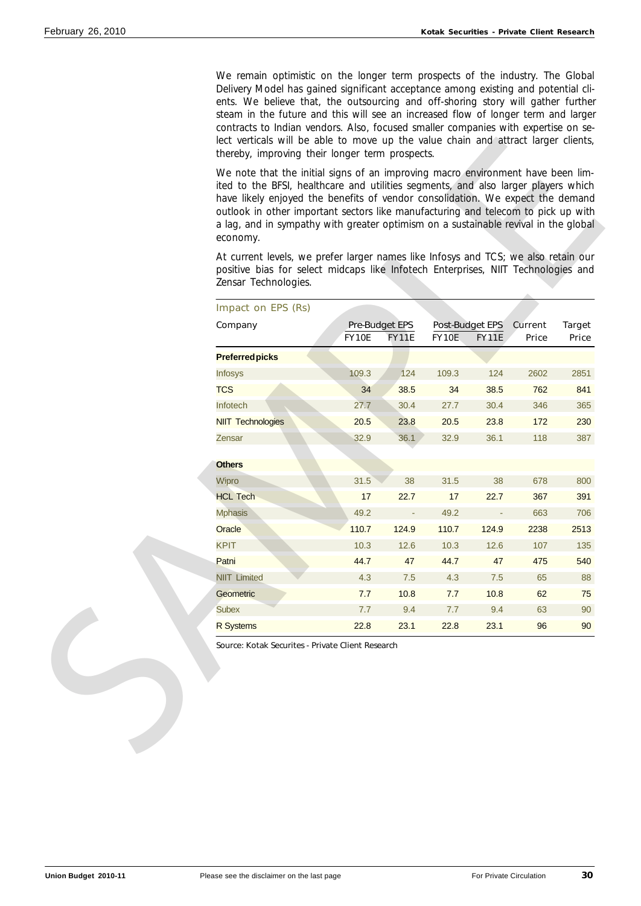We remain optimistic on the longer term prospects of the industry. The Global Delivery Model has gained significant acceptance among existing and potential clients. We believe that, the outsourcing and off-shoring story will gather further steam in the future and this will see an increased flow of longer term and larger contracts to Indian vendors. Also, focused smaller companies with expertise on select verticals will be able to move up the value chain and attract larger clients, thereby, improving their longer term prospects.

|                          |                                       |                          |       |                                 | At current levels, we prefer larger names like Infosys and TCS; we also retain our<br>positive bias for select midcaps like Infotech Enterprises, NIIT Technologies and |                        |
|--------------------------|---------------------------------------|--------------------------|-------|---------------------------------|-------------------------------------------------------------------------------------------------------------------------------------------------------------------------|------------------------|
| Zensar Technologies.     |                                       |                          |       |                                 |                                                                                                                                                                         |                        |
| Impact on EPS (Rs)       |                                       |                          |       |                                 |                                                                                                                                                                         |                        |
| Company                  | <b>Pre-Budget EPS</b><br><b>FY10E</b> | <b>FY11E</b>             | FY10E | Post-Budget EPS<br><b>FY11E</b> | <b>Current</b><br><b>Price</b>                                                                                                                                          | <b>Target</b><br>Price |
| <b>Preferred picks</b>   |                                       |                          |       |                                 |                                                                                                                                                                         |                        |
| <b>Infosys</b>           | 109.3                                 | 124                      | 109.3 | 124                             | 2602                                                                                                                                                                    | 2851                   |
| <b>TCS</b>               | 34                                    | 38.5                     | 34    | 38.5                            | 762                                                                                                                                                                     | 841                    |
| Infotech                 | 27.7                                  | 30.4                     | 27.7  | 30.4                            | 346                                                                                                                                                                     | 365                    |
| <b>NIIT Technologies</b> | 20.5                                  | 23.8                     | 20.5  | 23.8                            | 172                                                                                                                                                                     | 230                    |
| Zensar                   | 32.9                                  | 36.1                     | 32.9  | 36.1                            | 118                                                                                                                                                                     | 387                    |
| <b>Others</b>            |                                       |                          |       |                                 |                                                                                                                                                                         |                        |
| Wipro                    | 31.5                                  | 38                       | 31.5  | 38                              | 678                                                                                                                                                                     | 800                    |
| <b>HCL Tech</b>          | 17                                    | 22.7                     | 17    | 22.7                            | 367                                                                                                                                                                     | 391                    |
| <b>Mphasis</b>           | 49.2                                  | $\overline{\phantom{a}}$ | 49.2  | ÷                               | 663                                                                                                                                                                     | 706                    |
| Oracle                   | 110.7                                 | 124.9                    | 110.7 | 124.9                           | 2238                                                                                                                                                                    | 2513                   |
| <b>KPIT</b>              | 10.3                                  | 12.6                     | 10.3  | 12.6                            | 107                                                                                                                                                                     | 135                    |
| Patni                    | 44.7                                  | 47                       | 44.7  | 47                              | 475                                                                                                                                                                     | 540                    |
| <b>NIIT Limited</b>      | 4.3                                   | 7.5                      | 4.3   | $7.5$                           | 65                                                                                                                                                                      | 88                     |
| Geometric                | 7.7                                   | 10.8                     | 7.7   | 10.8                            | 62                                                                                                                                                                      | 75                     |
| <b>Subex</b>             | 7.7                                   | 9.4                      | 7.7   | 9.4                             | 63                                                                                                                                                                      | 90                     |
| <b>R</b> Systems         | 22.8                                  | 23.1                     | 22.8  | 23.1                            | 96                                                                                                                                                                      | 90                     |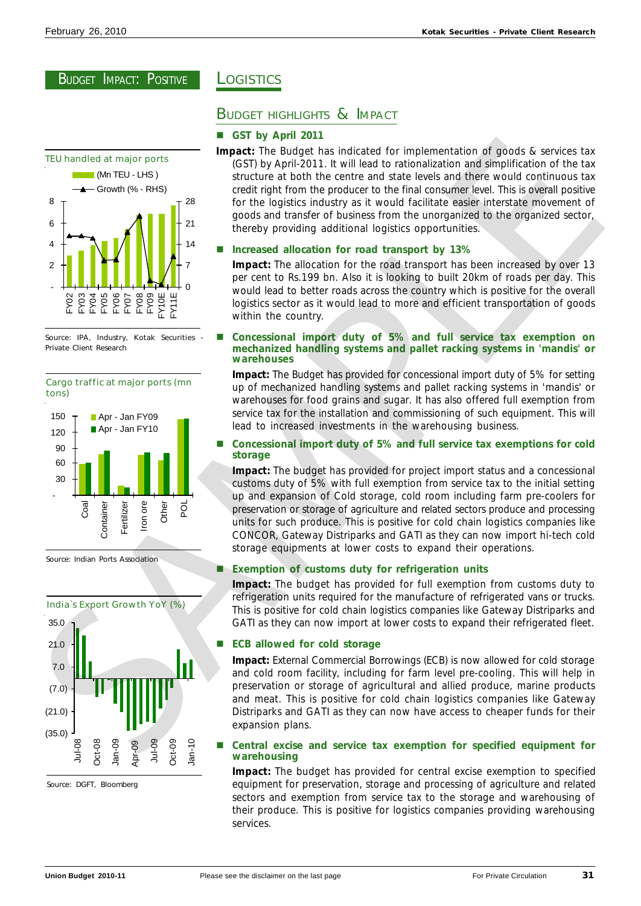![](_page_30_Figure_3.jpeg)

Source: IPA, Industry, Kotak Securities - Private Client Research

![](_page_30_Figure_5.jpeg)

Source: Indian Ports Association

![](_page_30_Figure_7.jpeg)

Source: DGFT, Bloomberg

# **LOGISTICS**

# BUDGET HIGHLIGHTS & IMPACT

### **GST by April 2011**

**Impact:** The Budget has indicated for implementation of goods & services tax (GST) by April-2011. It will lead to rationalization and simplification of the tax structure at both the centre and state levels and there would continuous tax credit right from the producer to the final consumer level. This is overall positive for the logistics industry as it would facilitate easier interstate movement of goods and transfer of business from the unorganized to the organized sector, thereby providing additional logistics opportunities. TEU handled at major parts<br>  $\frac{1}{2}$  and the specific series and with the longitud for instead of the instead of the specific series and the specific series and the specific series and the specific series and the specifi

### **Increased allocation for road transport by 13%**

**Impact:** The allocation for the road transport has been increased by over 13 per cent to Rs.199 bn. Also it is looking to built 20km of roads per day. This would lead to better roads across the country which is positive for the overall logistics sector as it would lead to more and efficient transportation of goods within the country.

### n **Concessional import duty of 5% and full service tax exemption on mechanized handling systems and pallet racking systems in 'mandis' or warehouses**

**Impact:** The Budget has provided for concessional import duty of 5% for setting up of mechanized handling systems and pallet racking systems in 'mandis' or warehouses for food grains and sugar. It has also offered full exemption from service tax for the installation and commissioning of such equipment. This will lead to increased investments in the warehousing business.

### n **Concessional import duty of 5% and full service tax exemptions for cold storage**

**Impact:** The budget has provided for project import status and a concessional customs duty of 5% with full exemption from service tax to the initial setting up and expansion of Cold storage, cold room including farm pre-coolers for preservation or storage of agriculture and related sectors produce and processing units for such produce. This is positive for cold chain logistics companies like CONCOR, Gateway Distriparks and GATI as they can now import hi-tech cold storage equipments at lower costs to expand their operations.

### **Exemption of customs duty for refrigeration units**

**Impact:** The budget has provided for full exemption from customs duty to refrigeration units required for the manufacture of refrigerated vans or trucks. This is positive for cold chain logistics companies like Gateway Distriparks and GATI as they can now import at lower costs to expand their refrigerated fleet.

### **ECB allowed for cold storage**

**Impact:** External Commercial Borrowings (ECB) is now allowed for cold storage and cold room facility, including for farm level pre-cooling. This will help in preservation or storage of agricultural and allied produce, marine products and meat. This is positive for cold chain logistics companies like Gateway Distriparks and GATI as they can now have access to cheaper funds for their expansion plans.

### n **Central excise and service tax exemption for specified equipment for warehousing**

**Impact:** The budget has provided for central excise exemption to specified equipment for preservation, storage and processing of agriculture and related sectors and exemption from service tax to the storage and warehousing of their produce. This is positive for logistics companies providing warehousing services.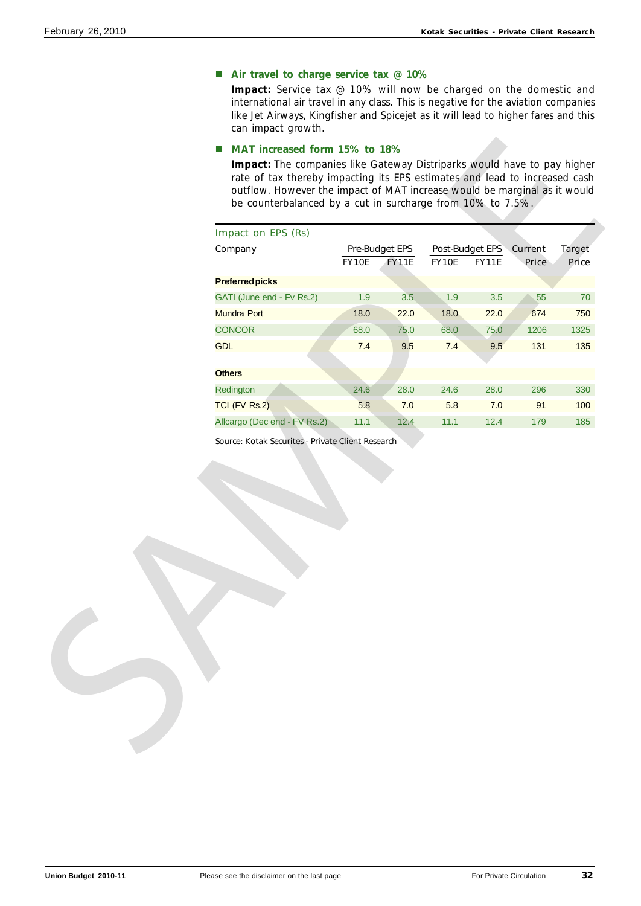# ■ Air travel to charge service tax @ 10%

**Impact:** Service tax @ 10% will now be charged on the domestic and international air travel in any class. This is negative for the aviation companies like Jet Airways, Kingfisher and Spicejet as it will lead to higher fares and this can impact growth.

# ■ MAT increased form 15% to 18%

| Impact on EPS (Rs)                                                                |              |                                       |       |                                         |       |                        |
|-----------------------------------------------------------------------------------|--------------|---------------------------------------|-------|-----------------------------------------|-------|------------------------|
| Company                                                                           | <b>FY10E</b> | <b>Pre-Budget EPS</b><br><b>FY11E</b> | FY10E | Post-Budget EPS Current<br><b>FY11E</b> | Price | <b>Target</b><br>Price |
| <b>Preferred picks</b>                                                            |              |                                       |       |                                         |       |                        |
| GATI (June end - Fv Rs.2)                                                         | 1.9          | 3.5                                   | 1.9   | 3.5                                     | 55    | 70                     |
| <b>Mundra Port</b>                                                                | 18.0         | 22.0                                  | 18.0  | 22.0                                    | 674   | 750                    |
| <b>CONCOR</b>                                                                     | 68.0         | 75.0                                  | 68.0  | 75.0                                    | 1206  | 1325                   |
| <b>GDL</b>                                                                        | 7.4          | 9.5                                   | 7.4   | 9.5                                     | 131   | 135                    |
|                                                                                   |              |                                       |       |                                         |       |                        |
| <b>Others</b>                                                                     |              |                                       |       |                                         |       |                        |
| Redington                                                                         | 24.6         | 28.0                                  | 24.6  | 28.0                                    | 296   |                        |
| <b>TCI (FV Rs.2)</b>                                                              | 5.8          | 7.0                                   | 5.8   | 7.0                                     | 91    |                        |
| Allcargo (Dec end - FV Rs.2)<br>Source: Kotak Securites - Private Client Research | 11.1         | 12.4                                  | 11.1  | 12.4                                    | 179   | 330<br>100<br>185      |
|                                                                                   |              |                                       |       |                                         |       |                        |
|                                                                                   |              |                                       |       |                                         |       |                        |
|                                                                                   |              |                                       |       |                                         |       |                        |
|                                                                                   |              |                                       |       |                                         |       |                        |
|                                                                                   |              |                                       |       |                                         |       |                        |
|                                                                                   |              |                                       |       |                                         |       |                        |
|                                                                                   |              |                                       |       |                                         |       |                        |
|                                                                                   |              |                                       |       |                                         |       |                        |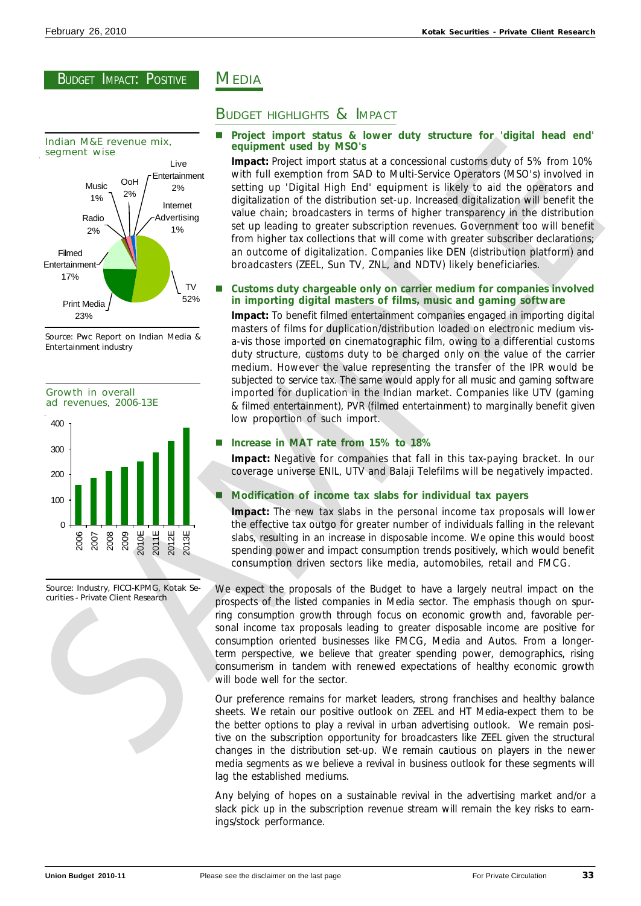![](_page_32_Figure_3.jpeg)

Source: Pwc Report on Indian Media & Entertainment industry

![](_page_32_Figure_5.jpeg)

Source: Industry, FICCI-KPMG, Kotak Securities - Private Client Research

# **MEDIA**

# BUDGET HIGHLIGHTS & IMPACT

# n **Project import status & lower duty structure for 'digital head end' equipment used by MSO's**

**Impact:** Project import status at a concessional customs duty of 5% from 10% with full exemption from SAD to Multi-Service Operators (MSO's) involved in setting up 'Digital High End' equipment is likely to aid the operators and digitalization of the distribution set-up. Increased digitalization will benefit the value chain; broadcasters in terms of higher transparency in the distribution set up leading to greater subscription revenues. Government too will benefit from higher tax collections that will come with greater subscriber declarations; an outcome of digitalization. Companies like DEN (distribution platform) and broadcasters (ZEEL, Sun TV, ZNL, and NDTV) likely beneficiaries. Sometimes the energy of the energy of the energy of the energy of the energy of the energy of the energy of the energy of the energy of the energy of the energy of the energy of the energy of the energy of the energy of

# n **Customs duty chargeable only on carrier medium for companies involved in importing digital masters of films, music and gaming software**

**Impact:** To benefit filmed entertainment companies engaged in importing digital masters of films for duplication/distribution loaded on electronic medium visa-vis those imported on cinematographic film, owing to a differential customs duty structure, customs duty to be charged only on the value of the carrier medium. However the value representing the transfer of the IPR would be subjected to service tax. The same would apply for all music and gaming software imported for duplication in the Indian market. Companies like UTV (gaming & filmed entertainment), PVR (filmed entertainment) to marginally benefit given low proportion of such import.

# n **Increase in MAT rate from 15% to 18%**

**Impact:** Negative for companies that fall in this tax-paying bracket. In our coverage universe ENIL, UTV and Balaji Telefilms will be negatively impacted.

# n **Modification of income tax slabs for individual tax payers**

**Impact:** The new tax slabs in the personal income tax proposals will lower the effective tax outgo for greater number of individuals falling in the relevant slabs, resulting in an increase in disposable income. We opine this would boost spending power and impact consumption trends positively, which would benefit consumption driven sectors like media, automobiles, retail and FMCG.

We expect the proposals of the Budget to have a largely neutral impact on the prospects of the listed companies in Media sector. The emphasis though on spurring consumption growth through focus on economic growth and, favorable personal income tax proposals leading to greater disposable income are positive for consumption oriented businesses like FMCG, Media and Autos. From a longerterm perspective, we believe that greater spending power, demographics, rising consumerism in tandem with renewed expectations of healthy economic growth will bode well for the sector.

Our preference remains for market leaders, strong franchises and healthy balance sheets. We retain our positive outlook on ZEEL and HT Media-expect them to be the better options to play a revival in urban advertising outlook. We remain positive on the subscription opportunity for broadcasters like ZEEL given the structural changes in the distribution set-up. We remain cautious on players in the newer media segments as we believe a revival in business outlook for these segments will lag the established mediums.

Any belying of hopes on a sustainable revival in the advertising market and/or a slack pick up in the subscription revenue stream will remain the key risks to earnings/stock performance.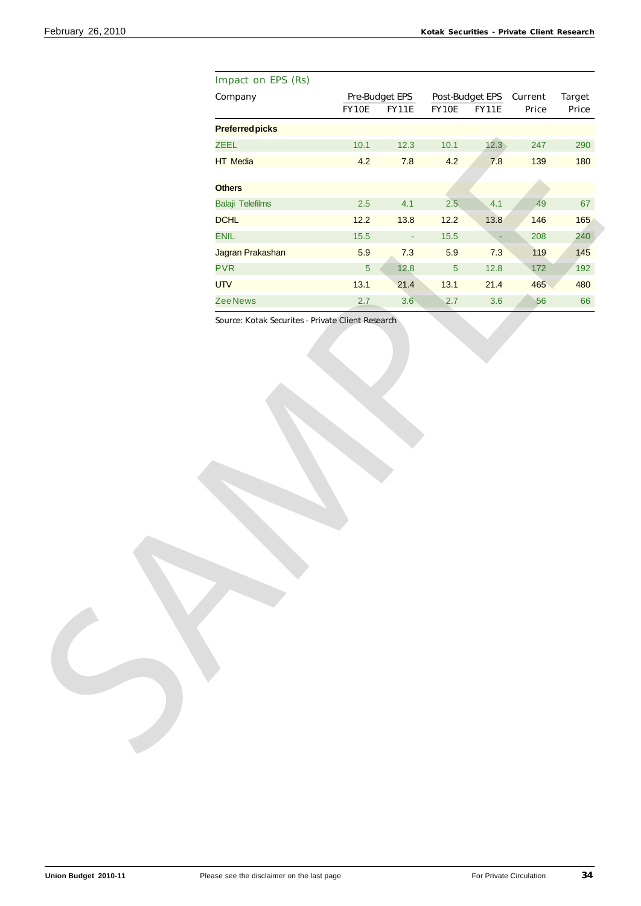| Company               |                  |                        |                                    |                          |       |               |
|-----------------------|------------------|------------------------|------------------------------------|--------------------------|-------|---------------|
|                       |                  | Pre-Budget EPS         |                                    | Post-Budget EPS Current  |       | <b>Target</b> |
|                       | FY10E            | <b>FY11E</b>           | FY10E                              | <b>FY11E</b>             | Price | Price         |
| <b>Preferredpicks</b> |                  |                        |                                    |                          |       |               |
| <b>ZEEL</b>           | 10.1             | 12.3                   | $10.1$                             | 12.3                     | 247   | 290           |
| <b>HT</b> Media       |                  | 4.2<br>7.8             | 4.2                                | 7.8                      | 139   | 180           |
|                       |                  |                        |                                    |                          |       |               |
| <b>Others</b>         |                  |                        |                                    |                          |       |               |
| Balaji Telefilms      |                  | $2.5\,$<br>4.1         | 2.5                                | 4.1                      | 49    | 67            |
| <b>DCHL</b>           | 12.2             | 13.8                   | $12.2$                             | 13.8                     | 146   | 165           |
| <b>ENIL</b>           | $15.5$           |                        | $15.5$<br>$\overline{\phantom{a}}$ | $\overline{\phantom{a}}$ | 208   | 240           |
|                       | Jagran Prakashan | 5.9<br>7.3             | 5.9                                | 7.3                      | 119   | 145           |
| <b>PVR</b>            |                  | $\overline{5}$<br>12.8 | $\overline{5}$                     | 12.8                     | 172   | 192           |
| <b>UTV</b>            | 13.1             | 21.4                   | 13.1                               | 21.4                     | 465   | 480           |
| <b>ZeeNews</b>        |                  | 3.6<br>2.7             | 2.7                                | 3.6                      | 56    | 66            |
|                       |                  |                        |                                    |                          |       |               |
|                       |                  |                        |                                    |                          |       |               |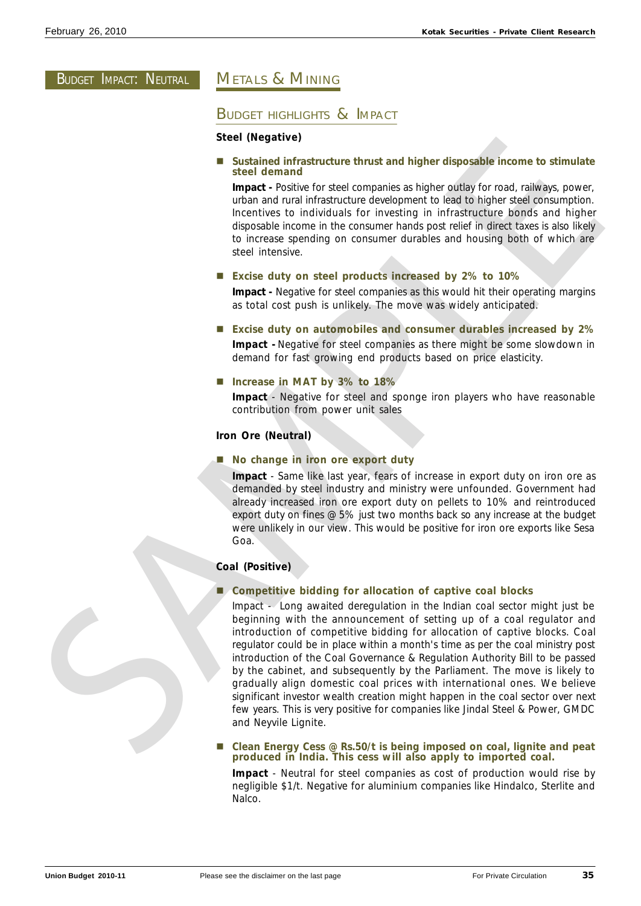# **BUDGET IMPACT: NEUTRAL**

# METALS & MINING

# BUDGET HIGHLIGHTS & IMPACT

# **Steel (Negative)**

■ Sustained infrastructure thrust and higher disposable income to stimulate **steel demand**

**Impact -** Positive for steel companies as higher outlay for road, railways, power, urban and rural infrastructure development to lead to higher steel consumption. Incentives to individuals for investing in infrastructure bonds and higher disposable income in the consumer hands post relief in direct taxes is also likely to increase spending on consumer durables and housing both of which are steel intensive.

■ Excise duty on steel products increased by 2% to 10%

**Impact -** Negative for steel companies as this would hit their operating margins as total cost push is unlikely. The move was widely anticipated.

- Excise duty on automobiles and consumer durables increased by 2% **Impact -** Negative for steel companies as there might be some slowdown in demand for fast growing end products based on price elasticity.
- Increase in MAT by 3% to 18%

**Impact** - Negative for steel and sponge iron players who have reasonable contribution from power unit sales

# **Iron Ore (Neutral)**

■ No change in iron ore export duty

**Impact** - Same like last year, fears of increase in export duty on iron ore as demanded by steel industry and ministry were unfounded. Government had already increased iron ore export duty on pellets to 10% and reintroduced export duty on fines @ 5% just two months back so any increase at the budget were unlikely in our view. This would be positive for iron ore exports like Sesa Goa.

### **Coal (Positive)**

### n **Competitive bidding for allocation of captive coal blocks**

Impact - Long awaited deregulation in the Indian coal sector might just be beginning with the announcement of setting up of a coal regulator and introduction of competitive bidding for allocation of captive blocks. Coal regulator could be in place within a month's time as per the coal ministry post introduction of the Coal Governance & Regulation Authority Bill to be passed by the cabinet, and subsequently by the Parliament. The move is likely to gradually align domestic coal prices with international ones. We believe significant investor wealth creation might happen in the coal sector over next few years. This is very positive for companies like Jindal Steel & Power, GMDC and Neyvile Lignite. Steel domand<br>
Steel downthesition threatecture thrust and higher disposable income to stimulate<br>
steel domand and infinitentiation doctomynatic as higher outlier for each, no weak through<br>
times and the limit infinitentiat

### n **Clean Energy Cess @ Rs.50/t is being imposed on coal, lignite and peat produced in India. This cess will also apply to imported coal.**

**Impact** - Neutral for steel companies as cost of production would rise by negligible \$1/t. Negative for aluminium companies like Hindalco, Sterlite and Nalco.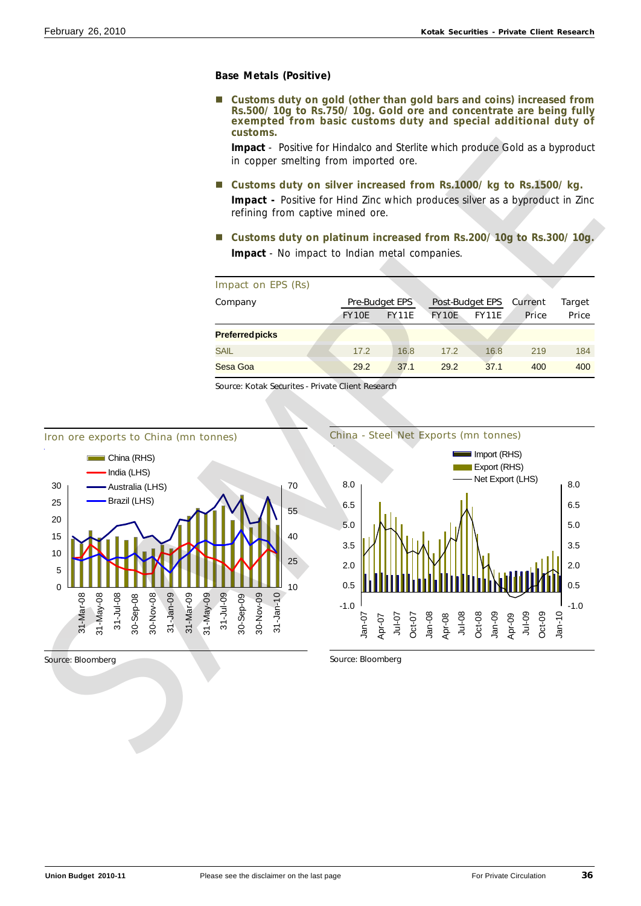# **Base Metals (Positive)**

■ Customs duty on gold (other than gold bars and coins) increased from **Rs.500/ 10g to Rs.750/ 10g. Gold ore and concentrate are being fully exempted from basic customs duty and special additional duty of customs.**

**Impact** - Positive for Hindalco and Sterlite which produce Gold as a byproduct in copper smelting from imported ore.

■ Customs duty on silver increased from Rs.1000/ kg to Rs.1500/ kg.

**Impact -** Positive for Hind Zinc which produces silver as a byproduct in Zinc refining from captive mined ore.

■ Customs duty on platinum increased from Rs.200/ 10g to Rs.300/ 10g. **Impact** - No impact to Indian metal companies.

| Impact on EPS (Rs)     |              |                       |              |                        |         |              |
|------------------------|--------------|-----------------------|--------------|------------------------|---------|--------------|
| Company                |              | <b>Pre-Budget EPS</b> |              | <b>Post-Budget EPS</b> | Current | Target       |
|                        | <b>FY10E</b> | <b>FY11E</b>          | <b>FY10E</b> | <b>FY11E</b>           | Price   | <b>Price</b> |
| <b>Preferred picks</b> |              |                       |              |                        |         |              |
| <b>SAIL</b>            | 17.2         | 16.8                  | 17.2         | 16.8                   | 219     | 184          |
| Sesa Goa               | 29.2         | 37.1                  | 29.2         | 37.1                   | 400     | 400          |

China - Steel Net Exports (mn tonnes)

Source: Kotak Securites - Private Client Research

![](_page_35_Figure_10.jpeg)

-1.0 0.5 2.0 3.5 5.0 6.5 8.0 Oct-09 Jan-10 Jul-09 Oct-08 Jan-09 Apr-09 Jul-08 Oct-07 Jan-08 Apr-08 Jul-07 Jan-07 Apr-07 -1.0 0.5 2.0 3.5 5.0 6.5 8.0 Import (RHS) Export (RHS)

Source: Bloomberg

Source: Bloomberg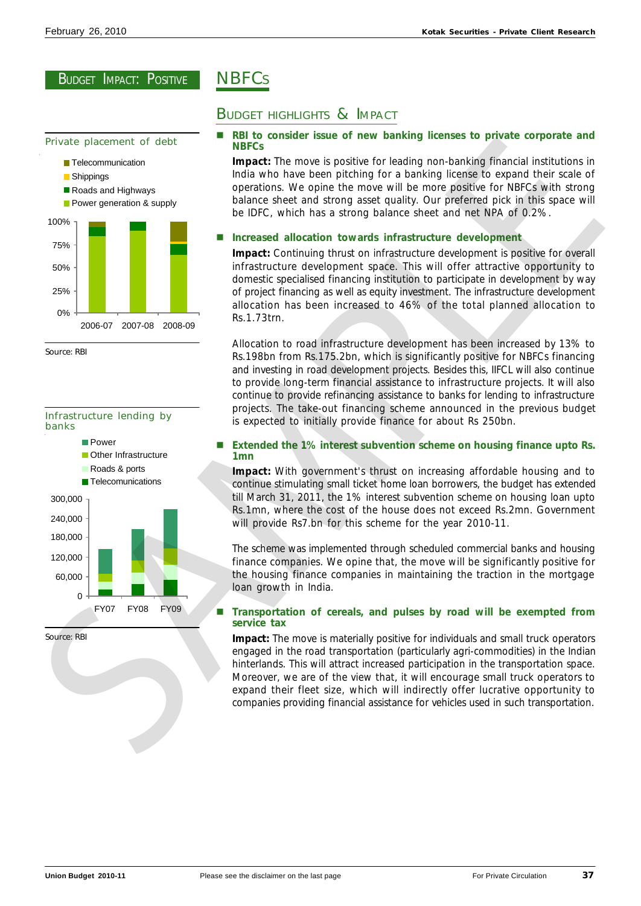Private placement of debt

![](_page_36_Figure_3.jpeg)

Source: RBI

![](_page_36_Figure_5.jpeg)

Source: RBI

# **NBFCs**

# BUDGET HIGHLIGHTS & IMPACT

### n **RBI to consider issue of new banking licenses to private corporate and NBFCs**

**Impact:** The move is positive for leading non-banking financial institutions in India who have been pitching for a banking license to expand their scale of operations. We opine the move will be more positive for NBFCs with strong balance sheet and strong asset quality. Our preferred pick in this space will be IDFC, which has a strong balance sheet and net NPA of 0.2%.

# **Increased allocation towards infrastructure development**

**Impact:** Continuing thrust on infrastructure development is positive for overall infrastructure development space. This will offer attractive opportunity to domestic specialised financing institution to participate in development by way of project financing as well as equity investment. The infrastructure development allocation has been increased to 46% of the total planned allocation to Rs.1.73trn.

Allocation to road infrastructure development has been increased by 13% to Rs.198bn from Rs.175.2bn, which is significantly positive for NBFCs financing and investing in road development projects. Besides this, IIFCL will also continue to provide long-term financial assistance to infrastructure projects. It will also continue to provide refinancing assistance to banks for lending to infrastructure projects. The take-out financing scheme announced in the previous budget is expected to initially provide finance for about Rs 250bn.

### n **Extended the 1% interest subvention scheme on housing finance upto Rs. 1mn**

**Impact:** With government's thrust on increasing affordable housing and to continue stimulating small ticket home loan borrowers, the budget has extended till March 31, 2011, the 1% interest subvention scheme on housing loan upto Rs.1mn, where the cost of the house does not exceed Rs.2mn. Government will provide Rs7.bn for this scheme for the year 2010-11.

The scheme was implemented through scheduled commercial banks and housing finance companies. We opine that, the move will be significantly positive for the housing finance companies in maintaining the traction in the mortgage loan growth in India.

# ■ Transportation of cereals, and pulses by road will be exempted from **service tax**

**Impact:** The move is materially positive for individuals and small truck operators engaged in the road transportation (particularly agri-commodities) in the Indian hinterlands. This will attract increased participation in the transportation space. Moreover, we are of the view that, it will encourage small truck operators to expand their fleet size, which will indirectly offer lucrative opportunity to companies providing financial assistance for vehicles used in such transportation.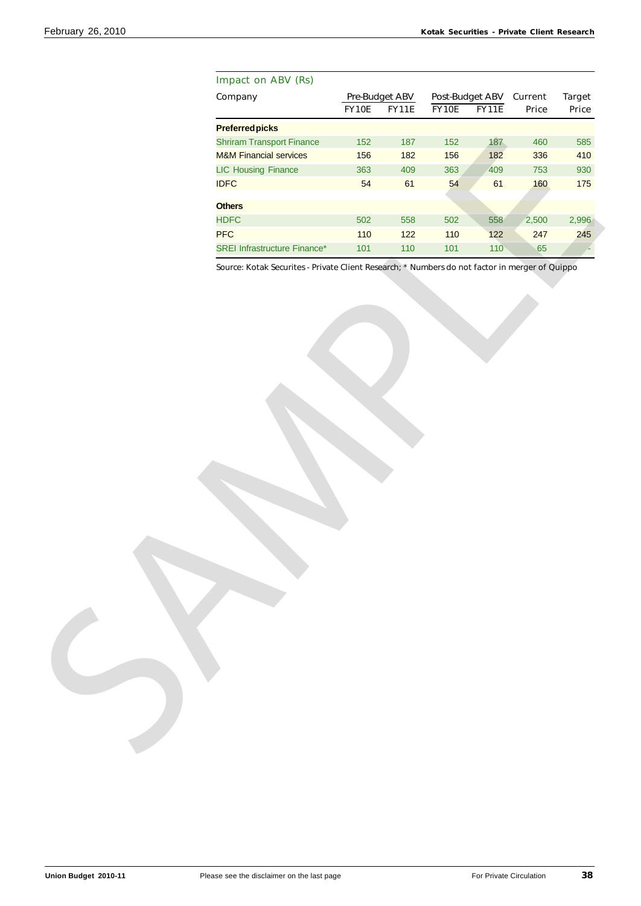| Impact on ABV (Rs)                  |       |                |       |                         |       |               |
|-------------------------------------|-------|----------------|-------|-------------------------|-------|---------------|
| Company                             |       | Pre-Budget ABV |       | Post-Budget ABV Current |       | <b>Target</b> |
|                                     | FY10E | <b>FY11E</b>   | FY10E | FY11E                   | Price | Price         |
| <b>Preferredpicks</b>               |       |                |       |                         |       |               |
| <b>Shriram Transport Finance</b>    | 152   | 187            | 152   | 187                     | 460   | 585           |
| <b>M&amp;M Financial services</b>   | 156   | 182            | 156   | 182                     | 336   | 410           |
| <b>LIC Housing Finance</b>          | 363   | 409            | 363   | 409                     | 753   | 930           |
| <b>IDFC</b>                         | 54    | 61             | 54    | 61                      | 160   | 175           |
| <b>Others</b>                       |       |                |       |                         |       |               |
| <b>HDFC</b>                         | 502   | 558            | 502   | 558                     | 2,500 | 2,996         |
| <b>PFC</b>                          | 110   | $122$          | 110   | 122                     | 247   | 245           |
|                                     |       |                |       |                         |       |               |
| <b>SREI Infrastructure Finance*</b> | $101$ | $110$          | 101   | 110                     | 65    |               |
|                                     |       |                |       |                         |       |               |
|                                     |       |                |       |                         |       |               |
|                                     |       |                |       |                         |       |               |
|                                     |       |                |       |                         |       |               |
|                                     |       |                |       |                         |       |               |
|                                     |       |                |       |                         |       |               |
|                                     |       |                |       |                         |       |               |
|                                     |       |                |       |                         |       |               |
|                                     |       |                |       |                         |       |               |
|                                     |       |                |       |                         |       |               |
|                                     |       |                |       |                         |       |               |
|                                     |       |                |       |                         |       |               |
|                                     |       |                |       |                         |       |               |
|                                     |       |                |       |                         |       |               |
|                                     |       |                |       |                         |       |               |
|                                     |       |                |       |                         |       |               |
|                                     |       |                |       |                         |       |               |
|                                     |       |                |       |                         |       |               |
|                                     |       |                |       |                         |       |               |
|                                     |       |                |       |                         |       |               |
|                                     |       |                |       |                         |       |               |
|                                     |       |                |       |                         |       |               |
|                                     |       |                |       |                         |       |               |
|                                     |       |                |       |                         |       |               |
|                                     |       |                |       |                         |       |               |
|                                     |       |                |       |                         |       |               |
|                                     |       |                |       |                         |       |               |
|                                     |       |                |       |                         |       |               |
|                                     |       |                |       |                         |       |               |
|                                     |       |                |       |                         |       |               |
|                                     |       |                |       |                         |       |               |
|                                     |       |                |       |                         |       |               |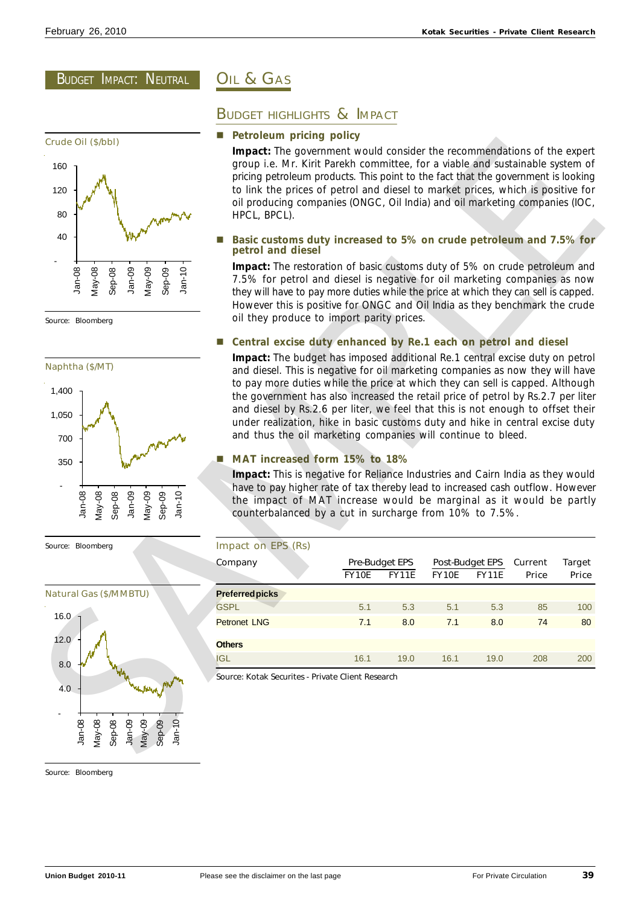BUDGET IMPACT: NEUTRAL

![](_page_38_Figure_3.jpeg)

![](_page_38_Figure_5.jpeg)

![](_page_38_Figure_7.jpeg)

# OIL & GAS

# BUDGET HIGHLIGHTS & IMPACT

# **Petroleum pricing policy**

# n **Basic customs duty increased to 5% on crude petroleum and 7.5% for petrol and diesel**

# ■ Central excise duty enhanced by Re.1 each on petrol and diesel

# n **MAT increased form 15% to 18%**

| 160<br>120<br>80<br>40<br>$Jan-08$<br>$Jan-10$<br>$May-08$<br>$May-09$<br>$Jan-09$<br>$Sep-09$<br>$Sep-08$<br>Source: Bloomberg<br>Naphtha (\$/MT)<br>1,400<br>1,050<br>700 | <b>Impact:</b> The government would consider the recommendations of the expert<br>group i.e. Mr. Kirit Parekh committee, for a viable and sustainable system of<br>pricing petroleum products. This point to the fact that the government is looking<br>to link the prices of petrol and diesel to market prices, which is positive for<br>oil producing companies (ONGC, Oil India) and oil marketing companies (IOC,<br>HPCL, BPCL).<br>Basic customs duty increased to 5% on crude petroleum and 7.5% for<br>petrol and diesel<br>Impact: The restoration of basic customs duty of 5% on crude petroleum and<br>7.5% for petrol and diesel is negative for oil marketing companies as now<br>they will have to pay more duties while the price at which they can sell is capped.<br>However this is positive for ONGC and Oil India as they benchmark the crude<br>oil they produce to import parity prices.<br>Central excise duty enhanced by Re.1 each on petrol and diesel<br>Impact: The budget has imposed additional Re.1 central excise duty on petrol<br>and diesel. This is negative for oil marketing companies as now they will have<br>to pay more duties while the price at which they can sell is capped. Although<br>the government has also increased the retail price of petrol by Rs.2.7 per liter<br>and diesel by Rs.2.6 per liter, we feel that this is not enough to offset their<br>under realization, hike in basic customs duty and hike in central excise duty<br>and thus the oil marketing companies will continue to bleed. |                                |              |                          |              |                  |                        |
|-----------------------------------------------------------------------------------------------------------------------------------------------------------------------------|--------------------------------------------------------------------------------------------------------------------------------------------------------------------------------------------------------------------------------------------------------------------------------------------------------------------------------------------------------------------------------------------------------------------------------------------------------------------------------------------------------------------------------------------------------------------------------------------------------------------------------------------------------------------------------------------------------------------------------------------------------------------------------------------------------------------------------------------------------------------------------------------------------------------------------------------------------------------------------------------------------------------------------------------------------------------------------------------------------------------------------------------------------------------------------------------------------------------------------------------------------------------------------------------------------------------------------------------------------------------------------------------------------------------------------------------------------------------------------------------------------------------------------------------------------------|--------------------------------|--------------|--------------------------|--------------|------------------|------------------------|
| <b>Mayne</b><br>350<br>$Jan-10$<br>$Jan-08$<br>$May-08$<br>$May-09$<br>Jan-09<br>$Sep-09$<br>$Sep-08$                                                                       | MAT increased form 15% to 18%<br>Impact: This is negative for Reliance Industries and Cairn India as they would<br>have to pay higher rate of tax thereby lead to increased cash outflow. However<br>the impact of MAT increase would be marginal as it would be partly<br>counterbalanced by a cut in surcharge from 10% to 7.5%.                                                                                                                                                                                                                                                                                                                                                                                                                                                                                                                                                                                                                                                                                                                                                                                                                                                                                                                                                                                                                                                                                                                                                                                                                           |                                |              |                          |              |                  |                        |
|                                                                                                                                                                             |                                                                                                                                                                                                                                                                                                                                                                                                                                                                                                                                                                                                                                                                                                                                                                                                                                                                                                                                                                                                                                                                                                                                                                                                                                                                                                                                                                                                                                                                                                                                                              |                                |              |                          |              |                  |                        |
| Source: Bloomberg                                                                                                                                                           | Impact on EPS (Rs)<br>Company                                                                                                                                                                                                                                                                                                                                                                                                                                                                                                                                                                                                                                                                                                                                                                                                                                                                                                                                                                                                                                                                                                                                                                                                                                                                                                                                                                                                                                                                                                                                | Pre-Budget EPS<br><b>FY10E</b> | <b>FY11E</b> | Post-Budget EPS<br>FY10E | <b>FY11E</b> | Current<br>Price | <b>Target</b><br>Price |
| <b>Natural Gas (\$/MMBTU)</b>                                                                                                                                               | <b>Preferred picks</b>                                                                                                                                                                                                                                                                                                                                                                                                                                                                                                                                                                                                                                                                                                                                                                                                                                                                                                                                                                                                                                                                                                                                                                                                                                                                                                                                                                                                                                                                                                                                       |                                |              |                          |              |                  |                        |
|                                                                                                                                                                             | <b>GSPL</b>                                                                                                                                                                                                                                                                                                                                                                                                                                                                                                                                                                                                                                                                                                                                                                                                                                                                                                                                                                                                                                                                                                                                                                                                                                                                                                                                                                                                                                                                                                                                                  | 5.1                            | 5.3          | 5.1                      | 5.3          | 85               | 100                    |
| 16.0 $-1$                                                                                                                                                                   | <b>Petronet LNG</b>                                                                                                                                                                                                                                                                                                                                                                                                                                                                                                                                                                                                                                                                                                                                                                                                                                                                                                                                                                                                                                                                                                                                                                                                                                                                                                                                                                                                                                                                                                                                          | 7.1                            | 8.0          | 7.1                      | 8.0          | 74               | 80                     |
| 12.0                                                                                                                                                                        | <b>Others</b>                                                                                                                                                                                                                                                                                                                                                                                                                                                                                                                                                                                                                                                                                                                                                                                                                                                                                                                                                                                                                                                                                                                                                                                                                                                                                                                                                                                                                                                                                                                                                |                                |              |                          |              |                  |                        |
| 8.0                                                                                                                                                                         | <b>IGL</b>                                                                                                                                                                                                                                                                                                                                                                                                                                                                                                                                                                                                                                                                                                                                                                                                                                                                                                                                                                                                                                                                                                                                                                                                                                                                                                                                                                                                                                                                                                                                                   | 16.1                           | 19.0         | 16.1                     | 19.0         | 208              | 200                    |

Source: Bloomberg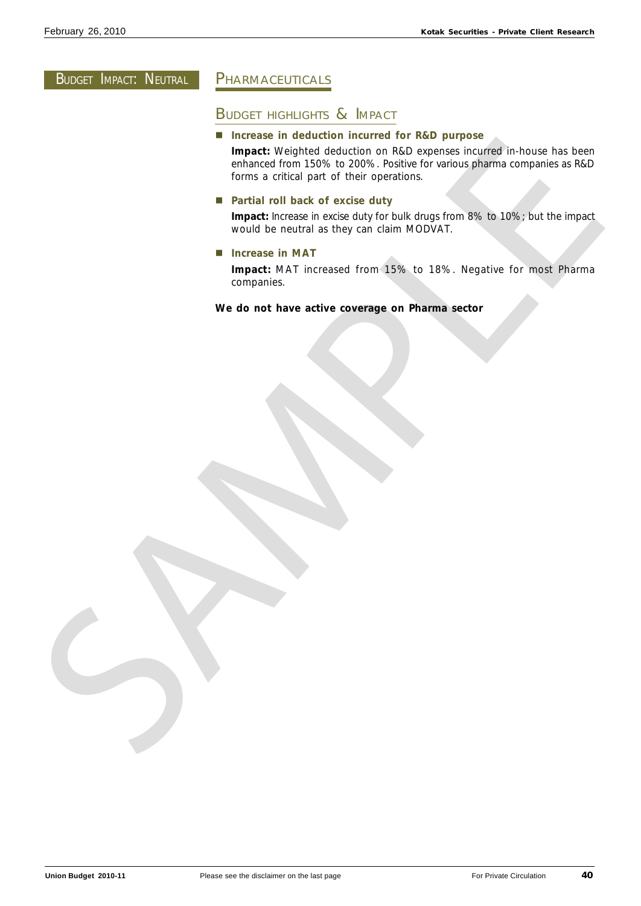# BUDGET IMPACT: NEUTRAL

# PHARMACEUTICALS

# BUDGET HIGHLIGHTS & IMPACT

■ Increase in deduction incurred for R&D purpose

**Impact:** Weighted deduction on R&D expenses incurred in-house has been enhanced from 150% to 200%. Positive for various pharma companies as R&D forms a critical part of their operations. Interests in detailed meanter on the beat purpose from the state of the state of the state of the state of the state of the state of the state of the state of the state of the state of the state of the state of the state o

■ Partial roll back of excise duty

**Impact:** Increase in excise duty for bulk drugs from 8% to 10%; but the impact would be neutral as they can claim MODVAT.

 $\blacksquare$  Increase in MAT

**Impact:** MAT increased from 15% to 18%. Negative for most Pharma companies.

**We do not have active coverage on Pharma sector**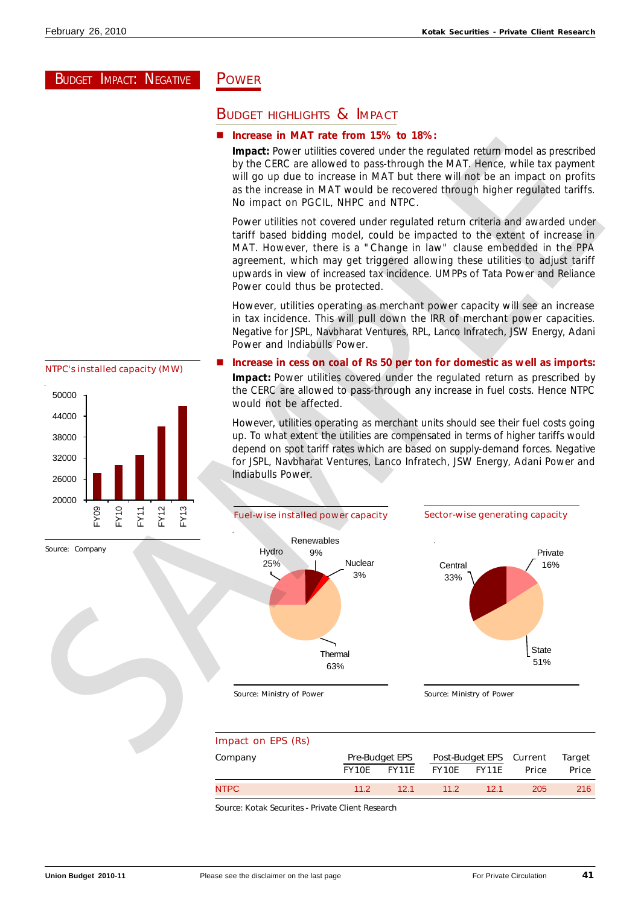# BUDGET IMPACT: NEGATIVE

# POWER

# BUDGET HIGHLIGHTS & IMPACT

### n **Increase in MAT rate from 15% to 18%:**

**Impact:** Power utilities covered under the regulated return model as prescribed by the CERC are allowed to pass-through the MAT. Hence, while tax payment will go up due to increase in MAT but there will not be an impact on profits as the increase in MAT would be recovered through higher regulated tariffs. No impact on PGCIL, NHPC and NTPC.

Power utilities not covered under regulated return criteria and awarded under tariff based bidding model, could be impacted to the extent of increase in MAT. However, there is a "Change in law" clause embedded in the PPA agreement, which may get triggered allowing these utilities to adjust tariff upwards in view of increased tax incidence. UMPPs of Tata Power and Reliance Power could thus be protected.

However, utilities operating as merchant power capacity will see an increase in tax incidence. This will pull down the IRR of merchant power capacities. Negative for JSPL, Navbharat Ventures, RPL, Lanco Infratech, JSW Energy, Adani Power and Indiabulls Power.

# 20000 26000 32000 38000 44000 50000 FY09 FY10 FY11 FY12 FY13

Source: Company

# Increase in cess on coal of Rs 50 per ton for domestic as well as imports: **Impact:** Power utilities covered under the regulated return as prescribed by

the CERC are allowed to pass-through any increase in fuel costs. Hence NTPC would not be affected.

However, utilities operating as merchant units should see their fuel costs going up. To what extent the utilities are compensated in terms of higher tariffs would depend on spot tariff rates which are based on supply-demand forces. Negative for JSPL, Navbharat Ventures, Lanco Infratech, JSW Energy, Adani Power and Indiabulls Power.

![](_page_40_Figure_13.jpeg)

| Impact on EPS (Rs) |                       |              |                         |       |       |              |
|--------------------|-----------------------|--------------|-------------------------|-------|-------|--------------|
| Company            | <b>Pre-Budget EPS</b> |              | Post-Budget EPS Current |       |       | Target       |
|                    | <b>FY10E</b>          | <b>FY11E</b> | <b>FY10E</b>            | FY11E | Price | <b>Price</b> |
| NTPC               | 112                   | 12.1         | 11.2 <sub>2</sub>       | 121   | 205   | 216          |

Source: Kotak Securites - Private Client Research

NTPC's installed capacity (MW)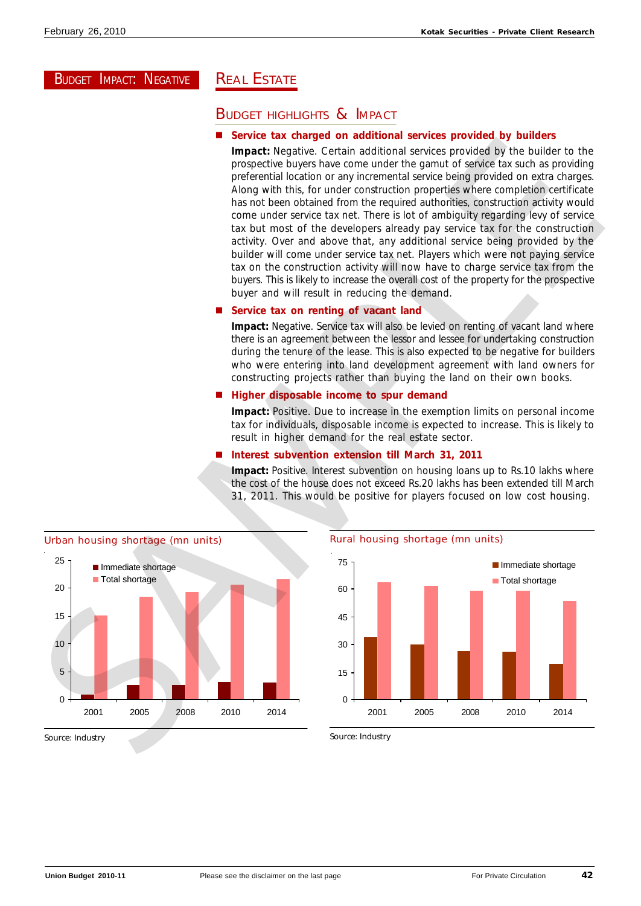# BUDGET IMPACT: NEGATIVE

# **REAL ESTATE**

# BUDGET HIGHLIGHTS & IMPACT

# n **Service tax charged on additional services provided by builders**

**Impact:** Negative. Certain additional services provided by the builder to the prospective buyers have come under the gamut of service tax such as providing preferential location or any incremental service being provided on extra charges. Along with this, for under construction properties where completion certificate has not been obtained from the required authorities, construction activity would come under service tax net. There is lot of ambiguity regarding levy of service tax but most of the developers already pay service tax for the construction activity. Over and above that, any additional service being provided by the builder will come under service tax net. Players which were not paying service tax on the construction activity will now have to charge service tax from the buyers. This is likely to increase the overall cost of the property for the prospective buyer and will result in reducing the demand. Some control and the property of the property of the shortage of the shortage of the shortage of the shortage of the shortage of the shortage of the shortage of the shortage of the shortage of the shortage of the shortage

# **Service tax on renting of vacant land**

**Impact:** Negative. Service tax will also be levied on renting of vacant land where there is an agreement between the lessor and lessee for undertaking construction during the tenure of the lease. This is also expected to be negative for builders who were entering into land development agreement with land owners for constructing projects rather than buying the land on their own books.

# n **Higher disposable income to spur demand**

**Impact:** Positive. Due to increase in the exemption limits on personal income tax for individuals, disposable income is expected to increase. This is likely to result in higher demand for the real estate sector.

# n **Interest subvention extension till March 31, 2011**

**Impact:** Positive. Interest subvention on housing loans up to Rs.10 lakhs where the cost of the house does not exceed Rs.20 lakhs has been extended till March 31, 2011. This would be positive for players focused on low cost housing.

![](_page_41_Figure_13.jpeg)

# Rural housing shortage (mn units)

![](_page_41_Figure_15.jpeg)

Source: Industry

Source: Industry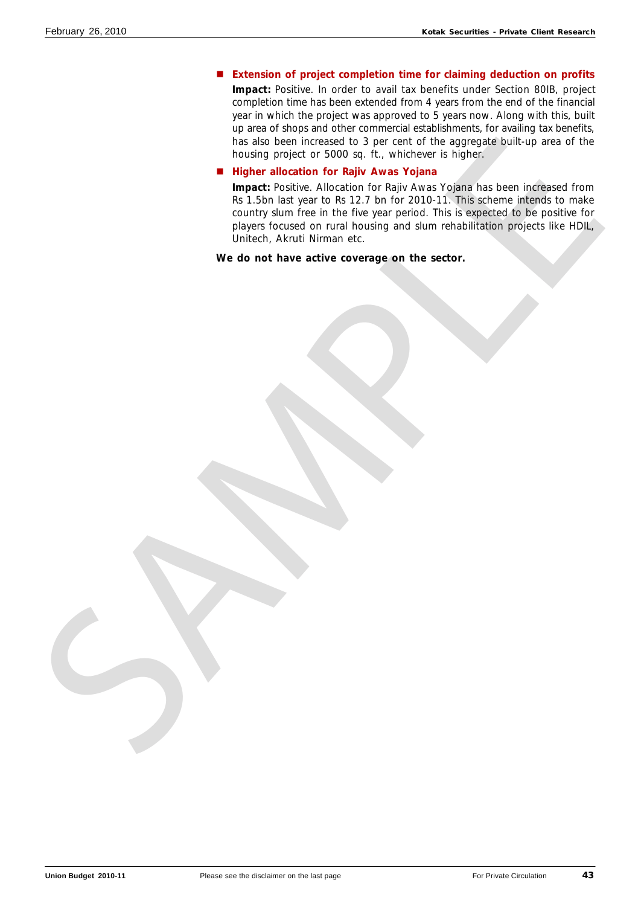# ■ Extension of project completion time for claiming deduction on profits

**Impact:** Positive. In order to avail tax benefits under Section 80IB, project completion time has been extended from 4 years from the end of the financial year in which the project was approved to 5 years now. Along with this, built up area of shops and other commercial establishments, for availing tax benefits, has also been increased to 3 per cent of the aggregate built-up area of the housing project or 5000 sq. ft., whichever is higher.

### ■ Higher allocation for Rajiv Awas Yojana

**Impact:** Positive. Allocation for Rajiv Awas Yojana has been increased from Rs 1.5bn last year to Rs 12.7 bn for 2010-11. This scheme intends to make country slum free in the five year period. This is expected to be positive for players focused on rural housing and slum rehabilitation projects like HDIL, Unitech, Akruti Nirman etc. **Max do the interference of the play are correlated** to the aggregate built-up with one through property and finder and the **Higginst Leveland King the Higginst Leveland King the State Weight and State Unit State Level in**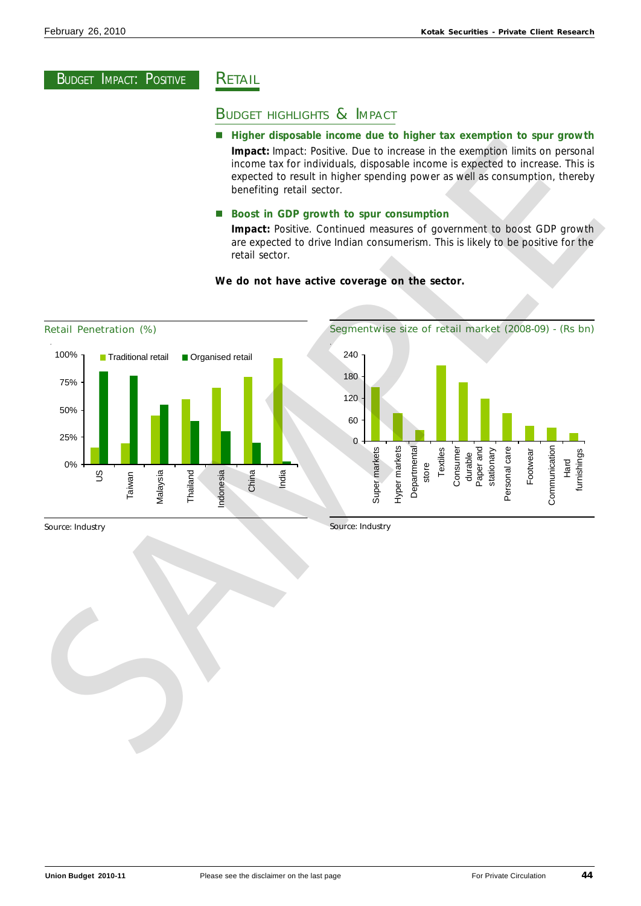# **RETAIL**

# BUDGET HIGHLIGHTS & IMPACT

# ■ Higher disposable income due to higher tax exemption to spur growth **Impact:** Impact: Positive. Due to increase in the exemption limits on personal

income tax for individuals, disposable income is expected to increase. This is expected to result in higher spending power as well as consumption, thereby benefiting retail sector.

# ■ Boost in GDP growth to spur consumption

**Impact:** Positive. Continued measures of government to boost GDP growth are expected to drive Indian consumerism. This is likely to be positive for the retail sector.

# **We do not have active coverage on the sector.**

![](_page_43_Figure_10.jpeg)

### Segmentwise size of retail market (2008-09) - (Rs bn) 0 60 120 180 240 Super markets Hyper markets Departmental store Textiles Consumer durable Paper and stationary Personal care Footwear Communication Hard furnishings

Source: Industry

Source: Industry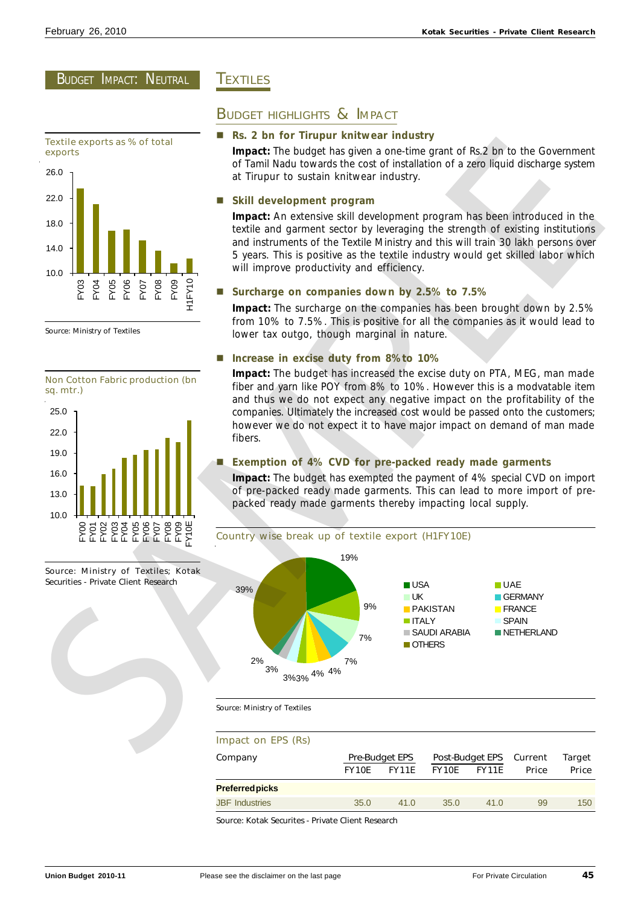# BUDGET IMPACT: NEUTRAL

![](_page_44_Figure_3.jpeg)

Source: Ministry of Textiles

![](_page_44_Figure_5.jpeg)

![](_page_44_Figure_6.jpeg)

# **TEXTILES**

# BUDGET HIGHLIGHTS & IMPACT

### n **Rs. 2 bn for Tirupur knitwear industry**

**Impact:** The budget has given a one-time grant of Rs.2 bn to the Government of Tamil Nadu towards the cost of installation of a zero liquid discharge system at Tirupur to sustain knitwear industry.

# n **Skill development program**

**Impact:** An extensive skill development program has been introduced in the textile and garment sector by leveraging the strength of existing institutions and instruments of the Textile Ministry and this will train 30 lakh persons over 5 years. This is positive as the textile industry would get skilled labor which will improve productivity and efficiency.

# n **Surcharge on companies down by 2.5% to 7.5%**

**Impact:** The surcharge on the companies has been brought down by 2.5% from 10% to 7.5%. This is positive for all the companies as it would lead to lower tax outgo, though marginal in nature.

# n **Increase in excise duty from 8%to 10%**

**Impact:** The budget has increased the excise duty on PTA, MEG, man made fiber and yarn like POY from 8% to 10%. However this is a modvatable item and thus we do not expect any negative impact on the profitability of the companies. Ultimately the increased cost would be passed onto the customers; however we do not expect it to have major impact on demand of man made fibers.

# n **Exemption of 4% CVD for pre-packed ready made garments**

**Impact:** The budget has exempted the payment of 4% special CVD on import of pre-packed ready made garments. This can lead to more import of prepacked ready made garments thereby impacting local supply.

![](_page_44_Figure_19.jpeg)

Source: Ministry of Textiles

### Impact on EPS (Rs)

| Company                |              | <b>Pre-Budget EPS</b> |              | Post-Budget EPS Current |       | Target       |
|------------------------|--------------|-----------------------|--------------|-------------------------|-------|--------------|
|                        | <b>FY10E</b> | FY11E                 | <b>FY10E</b> | <b>FY11E</b>            | Price | <b>Price</b> |
| <b>Preferred picks</b> |              |                       |              |                         |       |              |
| <b>JBF</b> Industries  | 35.0         | 41.0                  | 35.0         | 41.0                    | 99    | 150          |

Source: Kotak Securites - Private Client Research

Source: Ministry of Textiles; Kotak Securities - Private Client Research